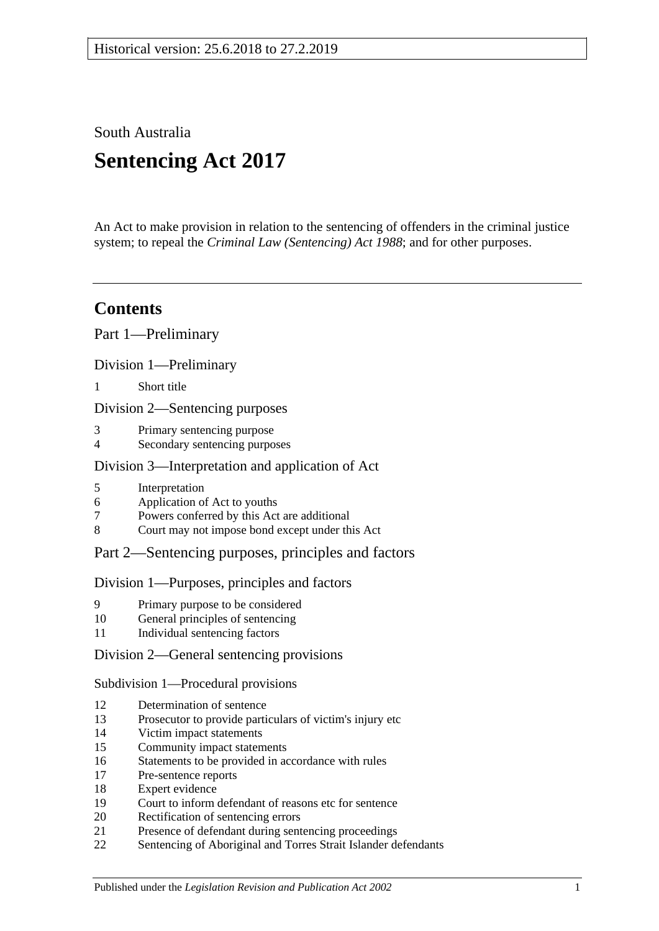South Australia

# **Sentencing Act 2017**

An Act to make provision in relation to the sentencing of offenders in the criminal justice system; to repeal the *[Criminal Law \(Sentencing\) Act](http://www.legislation.sa.gov.au/index.aspx?action=legref&type=act&legtitle=Criminal%20Law%20(Sentencing)%20Act%201988) 1988*; and for other purposes.

# **Contents**

Part [1—Preliminary](#page-4-0)

Division [1—Preliminary](#page-4-1)

1 [Short title](#page-4-2)

Division [2—Sentencing purposes](#page-4-3)

- 3 [Primary sentencing purpose](#page-4-4)
- 4 [Secondary sentencing purposes](#page-4-5)

## Division [3—Interpretation and application of Act](#page-5-0)

- 5 [Interpretation](#page-5-1)
- 6 [Application of Act to youths](#page-9-0)
- 7 [Powers conferred by this Act are additional](#page-9-1)
- 8 [Court may not impose bond except under this Act](#page-9-2)

## Part [2—Sentencing purposes, principles and factors](#page-10-0)

## Division [1—Purposes, principles and factors](#page-10-1)

- 9 [Primary purpose to be considered](#page-10-2)
- 10 [General principles of sentencing](#page-10-3)
- 11 [Individual sentencing factors](#page-10-4)

## Division [2—General sentencing provisions](#page-12-0)

Subdivision [1—Procedural provisions](#page-12-1)

- 12 [Determination of sentence](#page-12-2)
- 13 [Prosecutor to provide particulars of victim's injury etc](#page-12-3)
- 14 [Victim impact statements](#page-12-4)
- 15 [Community impact statements](#page-14-0)
- 16 [Statements to be provided in accordance with rules](#page-14-1)
- 17 [Pre-sentence reports](#page-14-2)
- 18 [Expert evidence](#page-15-0)
- 19 [Court to inform defendant of reasons etc for sentence](#page-16-0)
- 20 [Rectification of sentencing errors](#page-16-1)
- 21 [Presence of defendant during sentencing proceedings](#page-16-2)
- 22 [Sentencing of Aboriginal and Torres Strait Islander defendants](#page-17-0)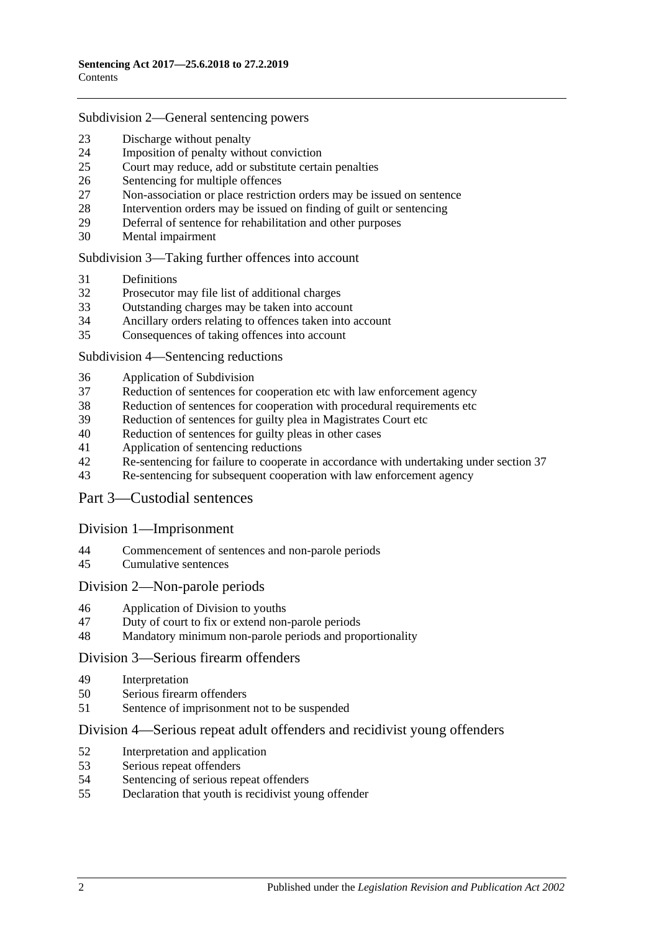#### Subdivision [2—General sentencing powers](#page-18-0)

- [Discharge without penalty](#page-18-1)
- [Imposition of penalty without conviction](#page-18-2)<br>25 Court may reduce add or substitute certain
- [Court may reduce, add or substitute certain penalties](#page-19-0)
- [Sentencing for multiple offences](#page-20-0)
- [Non-association or place restriction orders may be issued on sentence](#page-20-1)
- [Intervention orders may be issued on finding of guilt or sentencing](#page-21-0)
- [Deferral of sentence for rehabilitation and other purposes](#page-22-0)
- [Mental impairment](#page-23-0)

Subdivision [3—Taking further offences into account](#page-24-0)

- [Definitions](#page-24-1)
- [Prosecutor may file list of additional charges](#page-25-0)
- [Outstanding charges may be taken into account](#page-25-1)
- [Ancillary orders relating to offences taken into account](#page-26-0)
- [Consequences of taking offences into account](#page-26-1)

#### Subdivision [4—Sentencing reductions](#page-27-0)

- [Application of Subdivision](#page-27-1)
- [Reduction of sentences for cooperation etc with law enforcement agency](#page-27-2)
- [Reduction of sentences for cooperation with procedural requirements etc](#page-28-0)
- [Reduction of sentences for guilty plea in Magistrates Court etc](#page-28-1)
- [Reduction of sentences for guilty pleas in other cases](#page-30-0)
- [Application of sentencing reductions](#page-32-0)
- [Re-sentencing for failure to cooperate in accordance with undertaking under section](#page-33-0) 37
- [Re-sentencing for subsequent cooperation with law enforcement agency](#page-33-1)

#### Part [3—Custodial sentences](#page-35-0)

#### Division [1—Imprisonment](#page-35-1)

- [Commencement of sentences and non-parole periods](#page-35-2)
- [Cumulative sentences](#page-36-0)

#### Division [2—Non-parole periods](#page-36-1)

- [Application of Division to youths](#page-36-2)
- [Duty of court to fix or extend non-parole periods](#page-36-3)
- [Mandatory minimum non-parole periods and proportionality](#page-40-0)

#### Division [3—Serious firearm offenders](#page-40-1)

- [Interpretation](#page-40-2)
- [Serious firearm offenders](#page-42-0)
- [Sentence of imprisonment not to be suspended](#page-42-1)

#### Division [4—Serious repeat adult offenders and recidivist young offenders](#page-43-0)

- [Interpretation and application](#page-43-1)
- [Serious repeat offenders](#page-45-0)
- [Sentencing of serious repeat offenders](#page-45-1)
- [Declaration that youth is recidivist young offender](#page-46-0)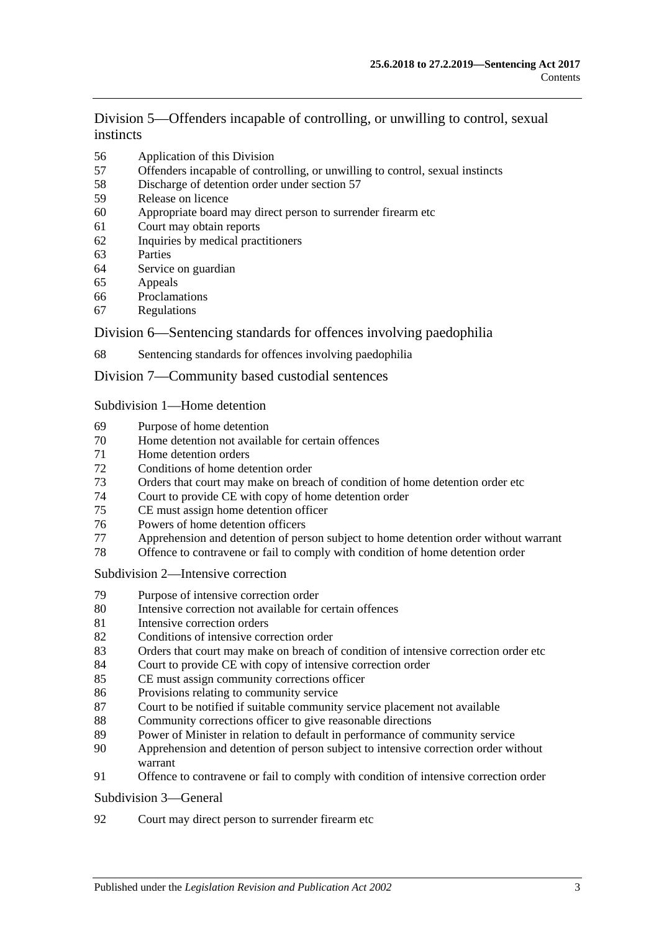Division [5—Offenders incapable of controlling, or unwilling to control, sexual](#page-46-1)  [instincts](#page-46-1)

- [Application of this Division](#page-46-2)
- [Offenders incapable of controlling, or unwilling to control, sexual instincts](#page-47-0)
- [Discharge of detention order under section](#page-49-0) 57
- [Release on licence](#page-50-0)
- [Appropriate board may direct person to surrender firearm etc](#page-53-0)
- [Court may obtain reports](#page-54-0)
- [Inquiries by medical practitioners](#page-54-1)
- [Parties](#page-54-2)
- [Service on guardian](#page-54-3)
- [Appeals](#page-55-0)<br>66 Proclama
- [Proclamations](#page-55-1)
- [Regulations](#page-55-2)

#### Division [6—Sentencing standards for offences involving paedophilia](#page-56-0)

[Sentencing standards for offences involving paedophilia](#page-56-1)

#### Division [7—Community based custodial sentences](#page-56-2)

#### Subdivision [1—Home detention](#page-56-3)

- [Purpose of home detention](#page-56-4)
- [Home detention not available for certain offences](#page-56-5)
- [Home detention orders](#page-57-0)
- [Conditions of home detention order](#page-60-0)
- [Orders that court may make on breach of condition of home detention order etc](#page-61-0)
- [Court to provide CE with copy of home detention order](#page-63-0)
- [CE must assign home detention officer](#page-63-1)
- [Powers of home detention officers](#page-63-2)
- [Apprehension and detention of person subject to home detention order without warrant](#page-64-0)
- [Offence to contravene or fail to comply with condition of home detention order](#page-64-1)

#### Subdivision [2—Intensive correction](#page-64-2)

- [Purpose of intensive correction order](#page-64-3)
- [Intensive correction not available for certain offences](#page-65-0)
- [Intensive correction orders](#page-65-1)
- [Conditions of intensive correction order](#page-66-0)
- [Orders that court may make on breach of condition of intensive correction order etc](#page-67-0)
- [Court to provide CE with copy of intensive correction order](#page-69-0)
- [CE must assign community corrections officer](#page-69-1)
- [Provisions relating to community service](#page-70-0)
- [Court to be notified if suitable community service placement not available](#page-71-0)
- [Community corrections officer to give reasonable directions](#page-71-1)
- [Power of Minister in relation to default in performance of community service](#page-72-0)
- [Apprehension and detention of person subject to intensive correction order without](#page-72-1)  [warrant](#page-72-1)
- [Offence to contravene or fail to comply with condition of intensive correction order](#page-72-2)

#### [Subdivision](#page-72-3) 3—General

[Court may direct person to surrender firearm etc](#page-72-4)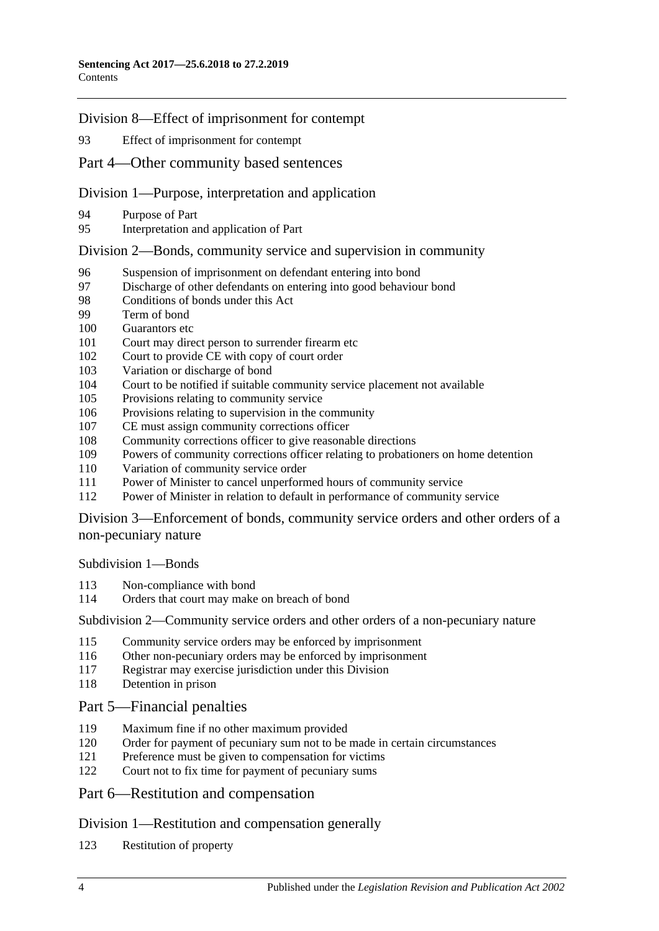Division [8—Effect of imprisonment for contempt](#page-73-0)

[Effect of imprisonment for contempt](#page-73-1)

#### Part [4—Other community based sentences](#page-73-2)

#### Division [1—Purpose, interpretation and application](#page-73-3)

- [Purpose of Part](#page-73-4)
- [Interpretation and application of Part](#page-73-5)

#### Division [2—Bonds, community service and supervision in community](#page-74-0)

- [Suspension of imprisonment on defendant entering into bond](#page-74-1)
- [Discharge of other defendants on entering into good behaviour bond](#page-77-0)<br>98 Conditions of bonds under this Act
- [Conditions of bonds under this Act](#page-77-1)
- [Term of bond](#page-79-0)
- [Guarantors etc](#page-79-1)
- [Court may direct person to surrender firearm etc](#page-79-2)
- [Court to provide CE with copy of court order](#page-80-0)
- [Variation or discharge of bond](#page-80-1)
- [Court to be notified if suitable community service placement not available](#page-81-0)
- [Provisions relating to community service](#page-81-1)
- [Provisions relating to supervision in the community](#page-82-0)
- [CE must assign community corrections officer](#page-82-1)
- [Community corrections officer to give reasonable directions](#page-83-0)
- [Powers of community corrections officer relating to probationers on home detention](#page-83-1)
- [Variation of community service order](#page-84-0)
- [Power of Minister to cancel unperformed hours of community service](#page-84-1)
- [Power of Minister in relation to default in performance of community service](#page-85-0)

Division [3—Enforcement of bonds, community service orders and other orders of a](#page-85-1)  [non-pecuniary nature](#page-85-1)

[Subdivision](#page-85-2) 1—Bonds

- [Non-compliance with bond](#page-85-3)
- [Orders that court may make on breach of bond](#page-86-0)

Subdivision [2—Community service orders and other orders of a non-pecuniary nature](#page-88-0)

- [Community service orders may be enforced by imprisonment](#page-88-1)
- [Other non-pecuniary orders may be enforced by imprisonment](#page-89-0)
- [Registrar may exercise jurisdiction under this Division](#page-90-0)
- [Detention in prison](#page-90-1)

## Part [5—Financial penalties](#page-90-2)

- [Maximum fine if no other maximum provided](#page-90-3)
- [Order for payment of pecuniary sum not to be made in certain circumstances](#page-91-0)
- [Preference must be given to compensation for victims](#page-91-1)
- [Court not to fix time for payment of pecuniary sums](#page-91-2)

## Part [6—Restitution and compensation](#page-92-0)

#### Division [1—Restitution and compensation generally](#page-92-1)

[Restitution of property](#page-92-2)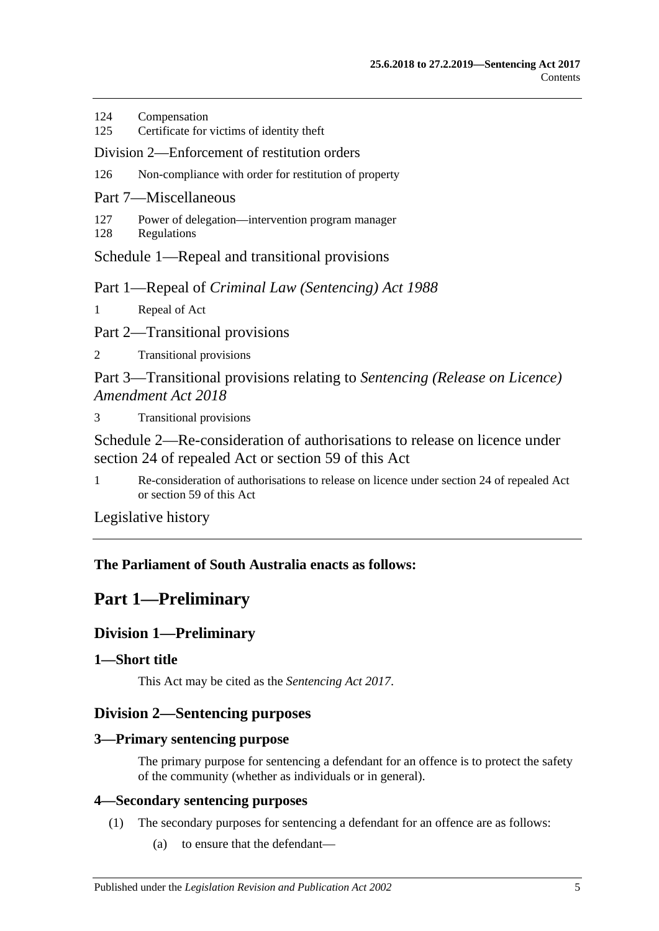- 124 [Compensation](#page-92-3)
- 125 [Certificate for victims of identity theft](#page-93-0)

#### Division [2—Enforcement of restitution orders](#page-93-1)

- 126 [Non-compliance with order for restitution of property](#page-93-2)
- Part [7—Miscellaneous](#page-94-0)
- 127 [Power of delegation—intervention program manager](#page-94-1)
- 128 [Regulations](#page-95-0)

Schedule [1—Repeal and transitional provisions](#page-95-1)

Part 1—Repeal of *Criminal Law (Sentencing) Act 1988*

1 [Repeal of Act](#page-95-2)

Part 2—Transitional provisions

2 [Transitional provisions](#page-95-3)

Part 3—Transitional provisions relating to *Sentencing (Release on Licence) Amendment Act 2018*

3 [Transitional provisions](#page-96-0)

[Schedule 2—Re-consideration of authorisations to release on licence under](#page-97-0)  [section 24 of repealed Act or section](#page-97-0) 59 of this Act

1 [Re-consideration of authorisations to release on licence under section 24 of repealed Act](#page-97-1)  or [section](#page-50-0) 59 [of this Act](#page-97-1)

[Legislative history](#page-99-0)

## <span id="page-4-0"></span>**The Parliament of South Australia enacts as follows:**

# **Part 1—Preliminary**

# <span id="page-4-1"></span>**Division 1—Preliminary**

## <span id="page-4-2"></span>**1—Short title**

This Act may be cited as the *Sentencing Act 2017*.

## <span id="page-4-3"></span>**Division 2—Sentencing purposes**

## <span id="page-4-4"></span>**3—Primary sentencing purpose**

The primary purpose for sentencing a defendant for an offence is to protect the safety of the community (whether as individuals or in general).

## <span id="page-4-6"></span><span id="page-4-5"></span>**4—Secondary sentencing purposes**

- (1) The secondary purposes for sentencing a defendant for an offence are as follows:
	- (a) to ensure that the defendant—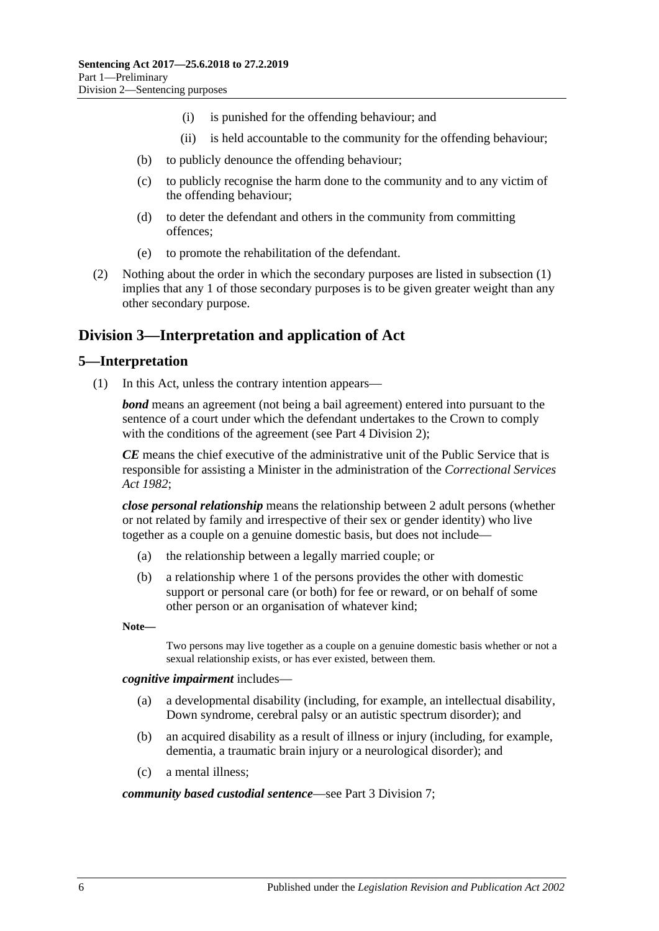- (i) is punished for the offending behaviour; and
- (ii) is held accountable to the community for the offending behaviour;
- (b) to publicly denounce the offending behaviour;
- (c) to publicly recognise the harm done to the community and to any victim of the offending behaviour;
- (d) to deter the defendant and others in the community from committing offences;
- (e) to promote the rehabilitation of the defendant.
- (2) Nothing about the order in which the secondary purposes are listed in [subsection](#page-4-6) (1) implies that any 1 of those secondary purposes is to be given greater weight than any other secondary purpose.

# <span id="page-5-0"></span>**Division 3—Interpretation and application of Act**

#### <span id="page-5-1"></span>**5—Interpretation**

(1) In this Act, unless the contrary intention appears—

*bond* means an agreement (not being a bail agreement) entered into pursuant to the sentence of a court under which the defendant undertakes to the Crown to comply with the conditions of the agreement (see Part [4 Division](#page-74-0) 2);

*CE* means the chief executive of the administrative unit of the Public Service that is responsible for assisting a Minister in the administration of the *[Correctional Services](http://www.legislation.sa.gov.au/index.aspx?action=legref&type=act&legtitle=Correctional%20Services%20Act%201982)  Act [1982](http://www.legislation.sa.gov.au/index.aspx?action=legref&type=act&legtitle=Correctional%20Services%20Act%201982)*;

*close personal relationship* means the relationship between 2 adult persons (whether or not related by family and irrespective of their sex or gender identity) who live together as a couple on a genuine domestic basis, but does not include—

- (a) the relationship between a legally married couple; or
- (b) a relationship where 1 of the persons provides the other with domestic support or personal care (or both) for fee or reward, or on behalf of some other person or an organisation of whatever kind;

**Note—**

Two persons may live together as a couple on a genuine domestic basis whether or not a sexual relationship exists, or has ever existed, between them.

*cognitive impairment* includes—

- (a) a developmental disability (including, for example, an intellectual disability, Down syndrome, cerebral palsy or an autistic spectrum disorder); and
- (b) an acquired disability as a result of illness or injury (including, for example, dementia, a traumatic brain injury or a neurological disorder); and
- (c) a mental illness;

#### *community based custodial sentence*—see Part [3 Division](#page-56-2) 7;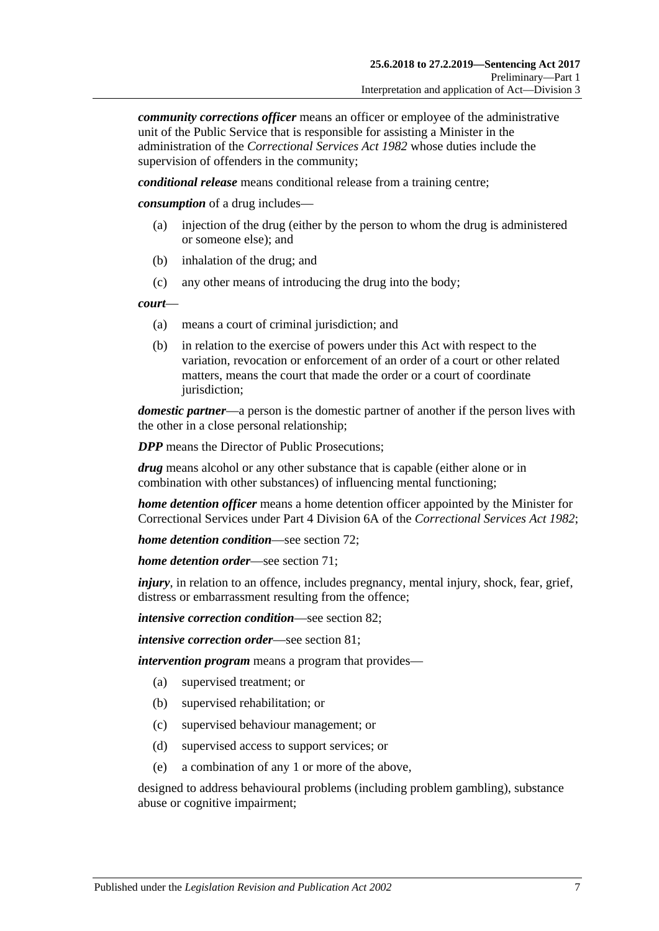*community corrections officer* means an officer or employee of the administrative unit of the Public Service that is responsible for assisting a Minister in the administration of the *[Correctional Services Act](http://www.legislation.sa.gov.au/index.aspx?action=legref&type=act&legtitle=Correctional%20Services%20Act%201982) 1982* whose duties include the supervision of offenders in the community;

*conditional release* means conditional release from a training centre;

*consumption* of a drug includes—

- (a) injection of the drug (either by the person to whom the drug is administered or someone else); and
- (b) inhalation of the drug; and
- (c) any other means of introducing the drug into the body;

*court*—

- (a) means a court of criminal jurisdiction; and
- (b) in relation to the exercise of powers under this Act with respect to the variation, revocation or enforcement of an order of a court or other related matters, means the court that made the order or a court of coordinate jurisdiction;

*domestic partner*—a person is the domestic partner of another if the person lives with the other in a close personal relationship;

*DPP* means the Director of Public Prosecutions:

*drug* means alcohol or any other substance that is capable (either alone or in combination with other substances) of influencing mental functioning;

*home detention officer* means a home detention officer appointed by the Minister for Correctional Services under Part 4 Division 6A of the *[Correctional Services Act](http://www.legislation.sa.gov.au/index.aspx?action=legref&type=act&legtitle=Correctional%20Services%20Act%201982) 1982*;

*home detention condition*—see [section](#page-60-0) 72;

*home detention order*—see [section](#page-57-0) 71;

*injury*, in relation to an offence, includes pregnancy, mental injury, shock, fear, grief, distress or embarrassment resulting from the offence;

*intensive correction condition*—see [section](#page-66-0) 82;

*intensive correction order*—see [section](#page-65-1) 81;

*intervention program* means a program that provides—

- (a) supervised treatment; or
- (b) supervised rehabilitation; or
- (c) supervised behaviour management; or
- (d) supervised access to support services; or
- (e) a combination of any 1 or more of the above,

designed to address behavioural problems (including problem gambling), substance abuse or cognitive impairment;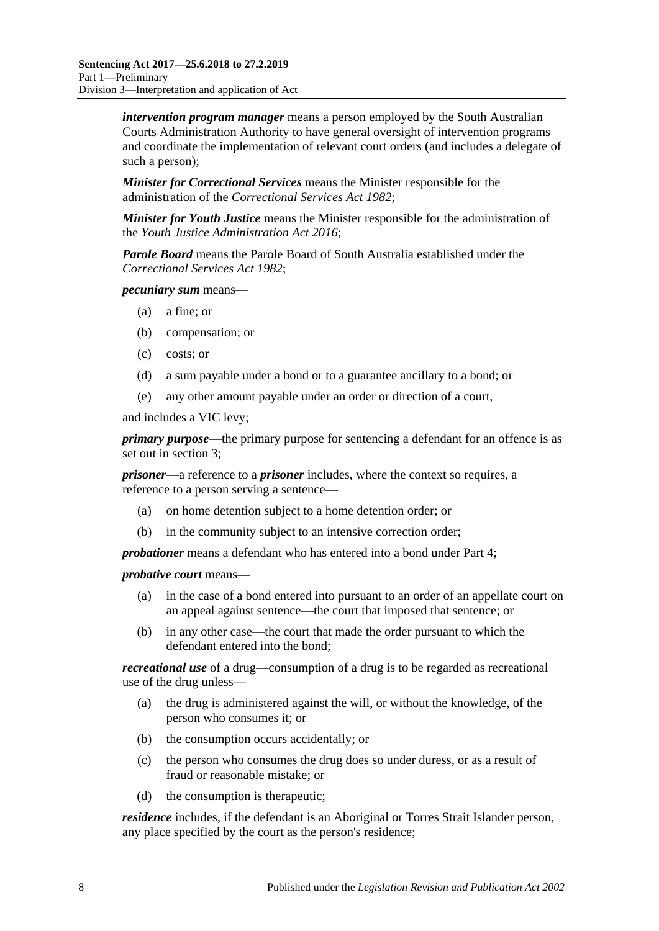*intervention program manager* means a person employed by the South Australian Courts Administration Authority to have general oversight of intervention programs and coordinate the implementation of relevant court orders (and includes a delegate of such a person);

*Minister for Correctional Services* means the Minister responsible for the administration of the *[Correctional Services Act](http://www.legislation.sa.gov.au/index.aspx?action=legref&type=act&legtitle=Correctional%20Services%20Act%201982) 1982*;

*Minister for Youth Justice* means the Minister responsible for the administration of the *[Youth Justice Administration Act](http://www.legislation.sa.gov.au/index.aspx?action=legref&type=act&legtitle=Youth%20Justice%20Administration%20Act%202016) 2016*;

*Parole Board* means the Parole Board of South Australia established under the *[Correctional Services Act](http://www.legislation.sa.gov.au/index.aspx?action=legref&type=act&legtitle=Correctional%20Services%20Act%201982) 1982*;

*pecuniary sum* means—

- (a) a fine; or
- (b) compensation; or
- (c) costs; or
- (d) a sum payable under a bond or to a guarantee ancillary to a bond; or
- (e) any other amount payable under an order or direction of a court,

and includes a VIC levy;

*primary purpose*—the primary purpose for sentencing a defendant for an offence is as set out in [section](#page-4-4) 3;

*prisoner*—a reference to a *prisoner* includes, where the context so requires, a reference to a person serving a sentence—

- (a) on home detention subject to a home detention order; or
- (b) in the community subject to an intensive correction order;

*probationer* means a defendant who has entered into a bond under [Part](#page-73-2) 4;

#### *probative court* means—

- (a) in the case of a bond entered into pursuant to an order of an appellate court on an appeal against sentence—the court that imposed that sentence; or
- (b) in any other case—the court that made the order pursuant to which the defendant entered into the bond;

*recreational use* of a drug—consumption of a drug is to be regarded as recreational use of the drug unless—

- (a) the drug is administered against the will, or without the knowledge, of the person who consumes it; or
- (b) the consumption occurs accidentally; or
- (c) the person who consumes the drug does so under duress, or as a result of fraud or reasonable mistake; or
- (d) the consumption is therapeutic;

*residence* includes, if the defendant is an Aboriginal or Torres Strait Islander person, any place specified by the court as the person's residence;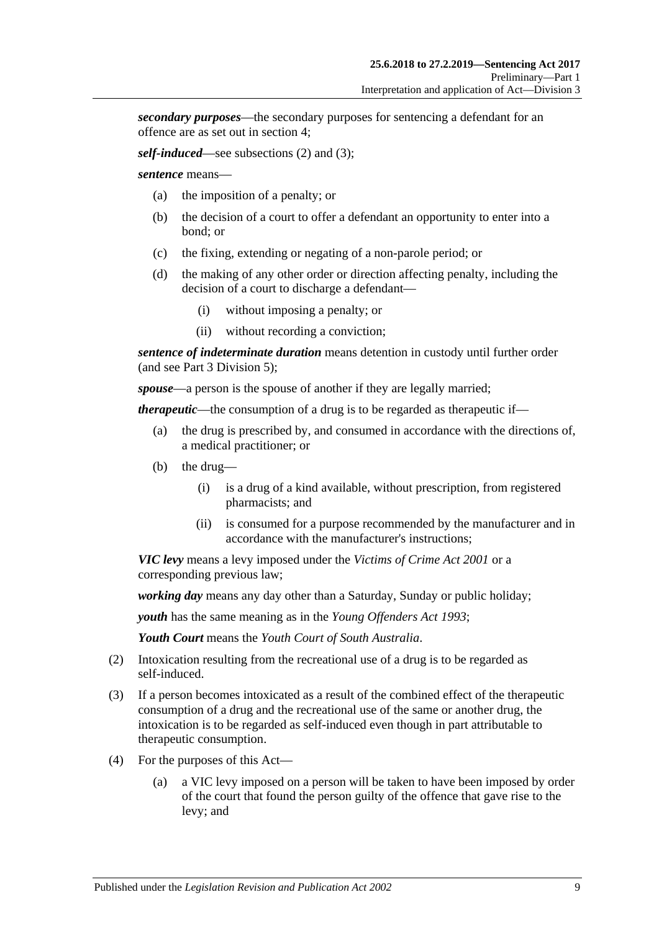*secondary purposes*—the secondary purposes for sentencing a defendant for an offence are as set out in [section](#page-4-5) 4;

*self-induced*—see [subsections \(2\)](#page-8-0) and [\(3\);](#page-8-1)

*sentence* means—

- (a) the imposition of a penalty; or
- (b) the decision of a court to offer a defendant an opportunity to enter into a bond; or
- (c) the fixing, extending or negating of a non-parole period; or
- (d) the making of any other order or direction affecting penalty, including the decision of a court to discharge a defendant—
	- (i) without imposing a penalty; or
	- (ii) without recording a conviction;

*sentence of indeterminate duration* means detention in custody until further order (and see Part [3 Division](#page-46-1) 5);

*spouse*—a person is the spouse of another if they are legally married;

*therapeutic*—the consumption of a drug is to be regarded as therapeutic if—

- (a) the drug is prescribed by, and consumed in accordance with the directions of, a medical practitioner; or
- (b) the drug—
	- (i) is a drug of a kind available, without prescription, from registered pharmacists; and
	- (ii) is consumed for a purpose recommended by the manufacturer and in accordance with the manufacturer's instructions;

*VIC levy* means a levy imposed under the *[Victims of Crime Act](http://www.legislation.sa.gov.au/index.aspx?action=legref&type=act&legtitle=Victims%20of%20Crime%20Act%202001) 2001* or a corresponding previous law;

*working day* means any day other than a Saturday, Sunday or public holiday;

*youth* has the same meaning as in the *[Young Offenders Act](http://www.legislation.sa.gov.au/index.aspx?action=legref&type=act&legtitle=Young%20Offenders%20Act%201993) 1993*;

*Youth Court* means the *Youth Court of South Australia*.

- <span id="page-8-0"></span>(2) Intoxication resulting from the recreational use of a drug is to be regarded as self-induced.
- <span id="page-8-1"></span>(3) If a person becomes intoxicated as a result of the combined effect of the therapeutic consumption of a drug and the recreational use of the same or another drug, the intoxication is to be regarded as self-induced even though in part attributable to therapeutic consumption.
- (4) For the purposes of this Act—
	- (a) a VIC levy imposed on a person will be taken to have been imposed by order of the court that found the person guilty of the offence that gave rise to the levy; and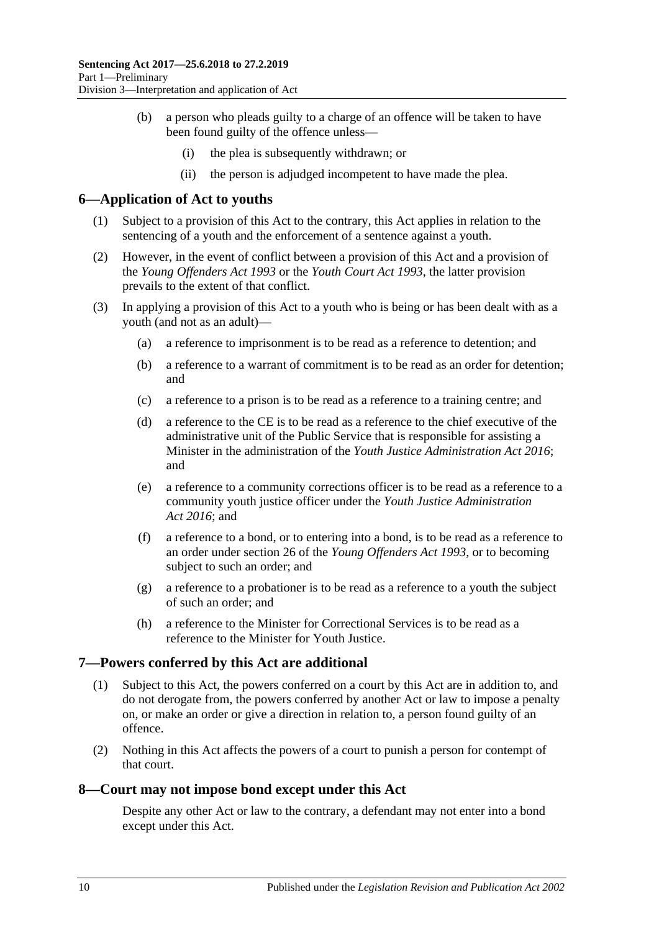- (b) a person who pleads guilty to a charge of an offence will be taken to have been found guilty of the offence unless—
	- (i) the plea is subsequently withdrawn; or
	- (ii) the person is adjudged incompetent to have made the plea.

#### <span id="page-9-0"></span>**6—Application of Act to youths**

- (1) Subject to a provision of this Act to the contrary, this Act applies in relation to the sentencing of a youth and the enforcement of a sentence against a youth.
- (2) However, in the event of conflict between a provision of this Act and a provision of the *[Young Offenders Act](http://www.legislation.sa.gov.au/index.aspx?action=legref&type=act&legtitle=Young%20Offenders%20Act%201993) 1993* or the *[Youth Court Act](http://www.legislation.sa.gov.au/index.aspx?action=legref&type=act&legtitle=Youth%20Court%20Act%201993) 1993*, the latter provision prevails to the extent of that conflict.
- (3) In applying a provision of this Act to a youth who is being or has been dealt with as a youth (and not as an adult)—
	- (a) a reference to imprisonment is to be read as a reference to detention; and
	- (b) a reference to a warrant of commitment is to be read as an order for detention; and
	- (c) a reference to a prison is to be read as a reference to a training centre; and
	- (d) a reference to the CE is to be read as a reference to the chief executive of the administrative unit of the Public Service that is responsible for assisting a Minister in the administration of the *[Youth Justice Administration Act](http://www.legislation.sa.gov.au/index.aspx?action=legref&type=act&legtitle=Youth%20Justice%20Administration%20Act%202016) 2016*; and
	- (e) a reference to a community corrections officer is to be read as a reference to a community youth justice officer under the *[Youth Justice Administration](http://www.legislation.sa.gov.au/index.aspx?action=legref&type=act&legtitle=Youth%20Justice%20Administration%20Act%202016)  Act [2016](http://www.legislation.sa.gov.au/index.aspx?action=legref&type=act&legtitle=Youth%20Justice%20Administration%20Act%202016)*; and
	- (f) a reference to a bond, or to entering into a bond, is to be read as a reference to an order under section 26 of the *[Young Offenders Act](http://www.legislation.sa.gov.au/index.aspx?action=legref&type=act&legtitle=Young%20Offenders%20Act%201993) 1993*, or to becoming subject to such an order; and
	- (g) a reference to a probationer is to be read as a reference to a youth the subject of such an order; and
	- (h) a reference to the Minister for Correctional Services is to be read as a reference to the Minister for Youth Justice.

## <span id="page-9-1"></span>**7—Powers conferred by this Act are additional**

- (1) Subject to this Act, the powers conferred on a court by this Act are in addition to, and do not derogate from, the powers conferred by another Act or law to impose a penalty on, or make an order or give a direction in relation to, a person found guilty of an offence.
- (2) Nothing in this Act affects the powers of a court to punish a person for contempt of that court.

#### <span id="page-9-2"></span>**8—Court may not impose bond except under this Act**

Despite any other Act or law to the contrary, a defendant may not enter into a bond except under this Act.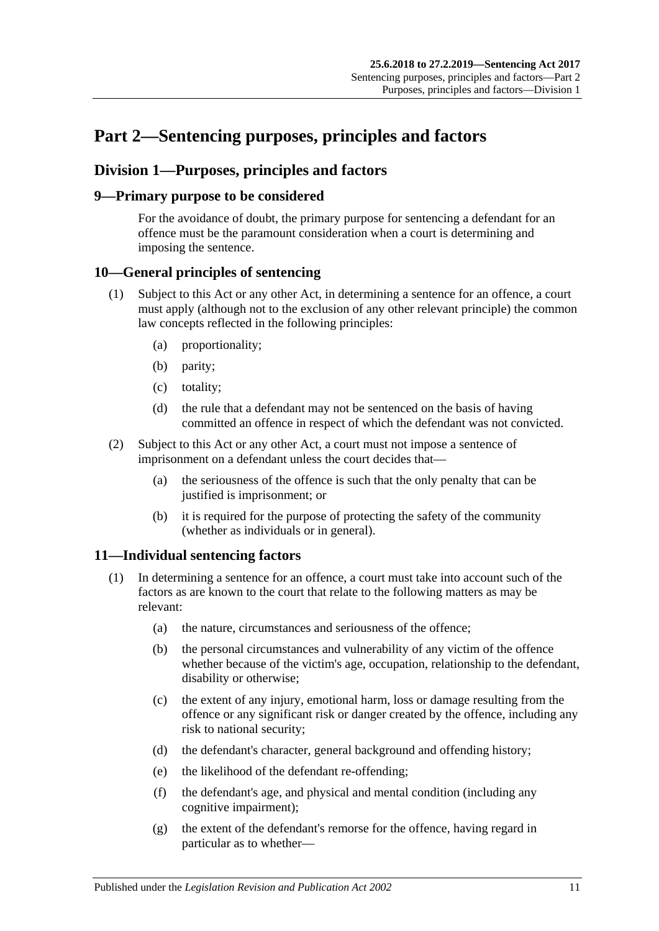# <span id="page-10-0"></span>**Part 2—Sentencing purposes, principles and factors**

# <span id="page-10-1"></span>**Division 1—Purposes, principles and factors**

## <span id="page-10-2"></span>**9—Primary purpose to be considered**

For the avoidance of doubt, the primary purpose for sentencing a defendant for an offence must be the paramount consideration when a court is determining and imposing the sentence.

## <span id="page-10-3"></span>**10—General principles of sentencing**

- (1) Subject to this Act or any other Act, in determining a sentence for an offence, a court must apply (although not to the exclusion of any other relevant principle) the common law concepts reflected in the following principles:
	- (a) proportionality;
	- (b) parity;
	- (c) totality;
	- (d) the rule that a defendant may not be sentenced on the basis of having committed an offence in respect of which the defendant was not convicted.
- (2) Subject to this Act or any other Act, a court must not impose a sentence of imprisonment on a defendant unless the court decides that—
	- (a) the seriousness of the offence is such that the only penalty that can be justified is imprisonment; or
	- (b) it is required for the purpose of protecting the safety of the community (whether as individuals or in general).

# <span id="page-10-5"></span><span id="page-10-4"></span>**11—Individual sentencing factors**

- <span id="page-10-6"></span>(1) In determining a sentence for an offence, a court must take into account such of the factors as are known to the court that relate to the following matters as may be relevant:
	- (a) the nature, circumstances and seriousness of the offence;
	- (b) the personal circumstances and vulnerability of any victim of the offence whether because of the victim's age, occupation, relationship to the defendant, disability or otherwise;
	- (c) the extent of any injury, emotional harm, loss or damage resulting from the offence or any significant risk or danger created by the offence, including any risk to national security;
	- (d) the defendant's character, general background and offending history;
	- (e) the likelihood of the defendant re-offending;
	- (f) the defendant's age, and physical and mental condition (including any cognitive impairment);
	- (g) the extent of the defendant's remorse for the offence, having regard in particular as to whether—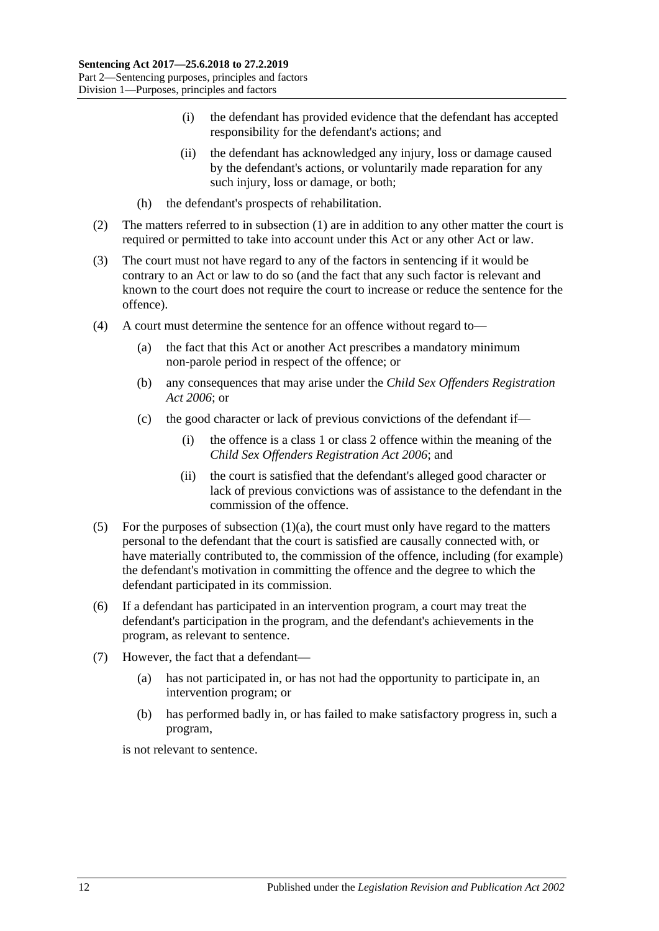- (i) the defendant has provided evidence that the defendant has accepted responsibility for the defendant's actions; and
- (ii) the defendant has acknowledged any injury, loss or damage caused by the defendant's actions, or voluntarily made reparation for any such injury, loss or damage, or both;
- (h) the defendant's prospects of rehabilitation.
- (2) The matters referred to in [subsection](#page-10-5) (1) are in addition to any other matter the court is required or permitted to take into account under this Act or any other Act or law.
- (3) The court must not have regard to any of the factors in sentencing if it would be contrary to an Act or law to do so (and the fact that any such factor is relevant and known to the court does not require the court to increase or reduce the sentence for the offence).
- (4) A court must determine the sentence for an offence without regard to—
	- (a) the fact that this Act or another Act prescribes a mandatory minimum non-parole period in respect of the offence; or
	- (b) any consequences that may arise under the *[Child Sex Offenders Registration](http://www.legislation.sa.gov.au/index.aspx?action=legref&type=act&legtitle=Child%20Sex%20Offenders%20Registration%20Act%202006)  Act [2006](http://www.legislation.sa.gov.au/index.aspx?action=legref&type=act&legtitle=Child%20Sex%20Offenders%20Registration%20Act%202006)*; or
	- (c) the good character or lack of previous convictions of the defendant if—
		- (i) the offence is a class 1 or class 2 offence within the meaning of the *[Child Sex Offenders Registration Act](http://www.legislation.sa.gov.au/index.aspx?action=legref&type=act&legtitle=Child%20Sex%20Offenders%20Registration%20Act%202006) 2006*; and
		- (ii) the court is satisfied that the defendant's alleged good character or lack of previous convictions was of assistance to the defendant in the commission of the offence.
- (5) For the purposes of [subsection](#page-10-6)  $(1)(a)$ , the court must only have regard to the matters personal to the defendant that the court is satisfied are causally connected with, or have materially contributed to, the commission of the offence, including (for example) the defendant's motivation in committing the offence and the degree to which the defendant participated in its commission.
- (6) If a defendant has participated in an intervention program, a court may treat the defendant's participation in the program, and the defendant's achievements in the program, as relevant to sentence.
- (7) However, the fact that a defendant—
	- (a) has not participated in, or has not had the opportunity to participate in, an intervention program; or
	- (b) has performed badly in, or has failed to make satisfactory progress in, such a program,

is not relevant to sentence.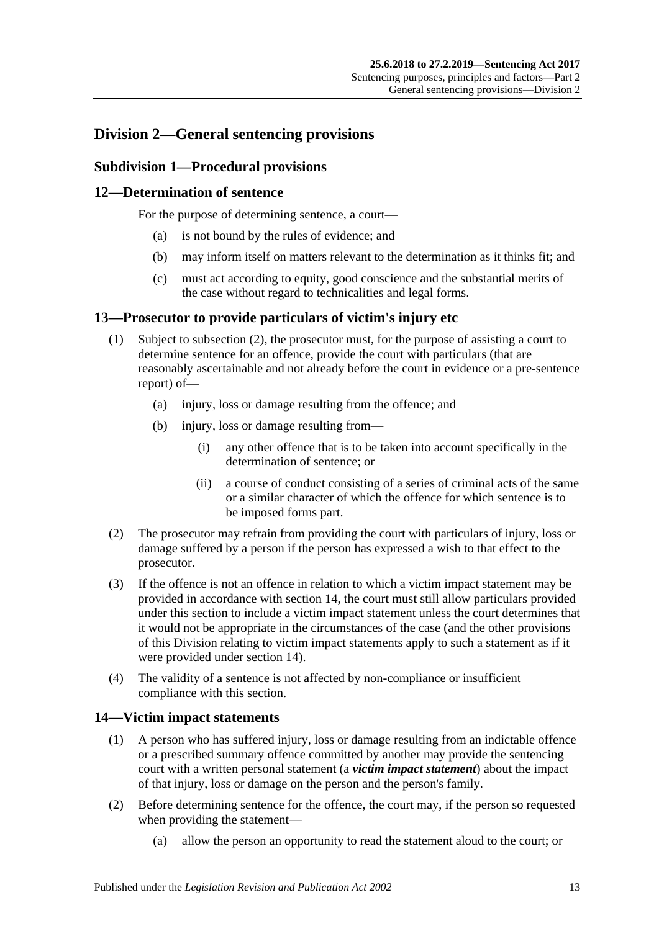# <span id="page-12-1"></span><span id="page-12-0"></span>**Division 2—General sentencing provisions**

## **Subdivision 1—Procedural provisions**

## <span id="page-12-2"></span>**12—Determination of sentence**

For the purpose of determining sentence, a court—

- (a) is not bound by the rules of evidence; and
- (b) may inform itself on matters relevant to the determination as it thinks fit; and
- (c) must act according to equity, good conscience and the substantial merits of the case without regard to technicalities and legal forms.

#### <span id="page-12-3"></span>**13—Prosecutor to provide particulars of victim's injury etc**

- (1) Subject to [subsection](#page-12-5) (2), the prosecutor must, for the purpose of assisting a court to determine sentence for an offence, provide the court with particulars (that are reasonably ascertainable and not already before the court in evidence or a pre-sentence report) of—
	- (a) injury, loss or damage resulting from the offence; and
	- (b) injury, loss or damage resulting from—
		- (i) any other offence that is to be taken into account specifically in the determination of sentence; or
		- (ii) a course of conduct consisting of a series of criminal acts of the same or a similar character of which the offence for which sentence is to be imposed forms part.
- <span id="page-12-5"></span>(2) The prosecutor may refrain from providing the court with particulars of injury, loss or damage suffered by a person if the person has expressed a wish to that effect to the prosecutor.
- (3) If the offence is not an offence in relation to which a victim impact statement may be provided in accordance with [section](#page-12-4) 14, the court must still allow particulars provided under this section to include a victim impact statement unless the court determines that it would not be appropriate in the circumstances of the case (and the other provisions of this Division relating to victim impact statements apply to such a statement as if it were provided under [section](#page-12-4) 14).
- (4) The validity of a sentence is not affected by non-compliance or insufficient compliance with this section.

## <span id="page-12-4"></span>**14—Victim impact statements**

- (1) A person who has suffered injury, loss or damage resulting from an indictable offence or a prescribed summary offence committed by another may provide the sentencing court with a written personal statement (a *victim impact statement*) about the impact of that injury, loss or damage on the person and the person's family.
- (2) Before determining sentence for the offence, the court may, if the person so requested when providing the statement—
	- (a) allow the person an opportunity to read the statement aloud to the court; or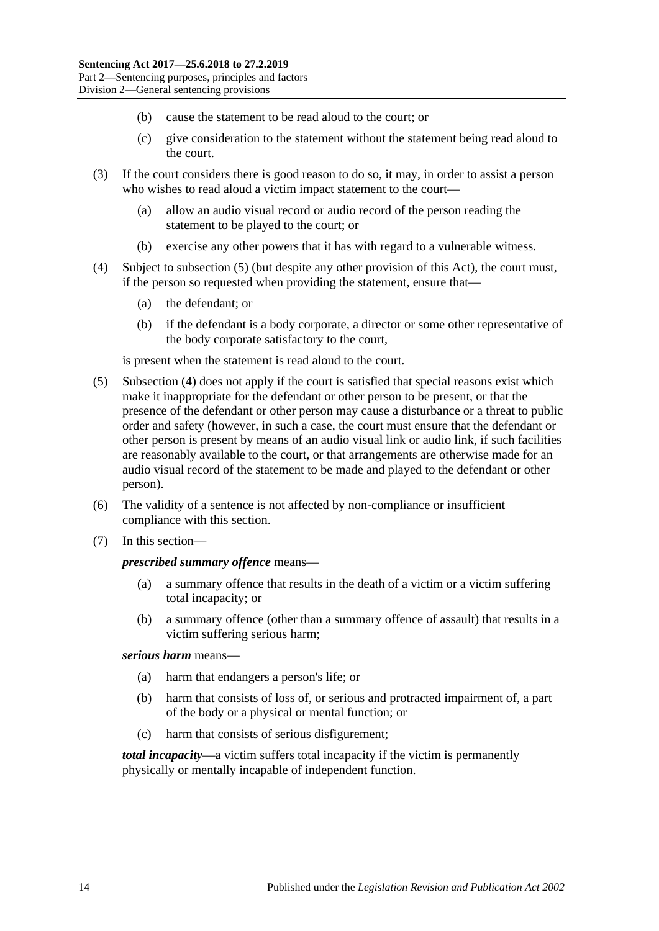- (b) cause the statement to be read aloud to the court; or
- (c) give consideration to the statement without the statement being read aloud to the court.
- (3) If the court considers there is good reason to do so, it may, in order to assist a person who wishes to read aloud a victim impact statement to the court—
	- (a) allow an audio visual record or audio record of the person reading the statement to be played to the court; or
	- (b) exercise any other powers that it has with regard to a vulnerable witness.
- <span id="page-13-1"></span>(4) Subject to [subsection](#page-13-0) (5) (but despite any other provision of this Act), the court must, if the person so requested when providing the statement, ensure that—
	- (a) the defendant; or
	- (b) if the defendant is a body corporate, a director or some other representative of the body corporate satisfactory to the court,

is present when the statement is read aloud to the court.

- <span id="page-13-0"></span>(5) [Subsection](#page-13-1) (4) does not apply if the court is satisfied that special reasons exist which make it inappropriate for the defendant or other person to be present, or that the presence of the defendant or other person may cause a disturbance or a threat to public order and safety (however, in such a case, the court must ensure that the defendant or other person is present by means of an audio visual link or audio link, if such facilities are reasonably available to the court, or that arrangements are otherwise made for an audio visual record of the statement to be made and played to the defendant or other person).
- (6) The validity of a sentence is not affected by non-compliance or insufficient compliance with this section.
- (7) In this section—

#### *prescribed summary offence* means—

- (a) a summary offence that results in the death of a victim or a victim suffering total incapacity; or
- (b) a summary offence (other than a summary offence of assault) that results in a victim suffering serious harm;

#### *serious harm* means—

- (a) harm that endangers a person's life; or
- (b) harm that consists of loss of, or serious and protracted impairment of, a part of the body or a physical or mental function; or
- (c) harm that consists of serious disfigurement;

*total incapacity*—a victim suffers total incapacity if the victim is permanently physically or mentally incapable of independent function.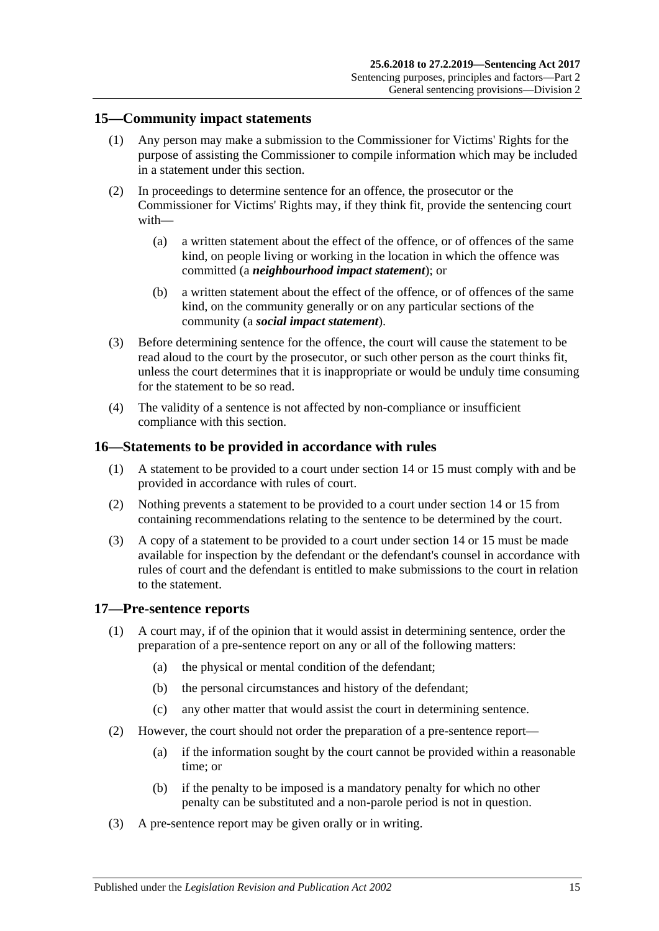#### <span id="page-14-0"></span>**15—Community impact statements**

- (1) Any person may make a submission to the Commissioner for Victims' Rights for the purpose of assisting the Commissioner to compile information which may be included in a statement under this section.
- (2) In proceedings to determine sentence for an offence, the prosecutor or the Commissioner for Victims' Rights may, if they think fit, provide the sentencing court with—
	- (a) a written statement about the effect of the offence, or of offences of the same kind, on people living or working in the location in which the offence was committed (a *neighbourhood impact statement*); or
	- (b) a written statement about the effect of the offence, or of offences of the same kind, on the community generally or on any particular sections of the community (a *social impact statement*).
- (3) Before determining sentence for the offence, the court will cause the statement to be read aloud to the court by the prosecutor, or such other person as the court thinks fit, unless the court determines that it is inappropriate or would be unduly time consuming for the statement to be so read.
- (4) The validity of a sentence is not affected by non-compliance or insufficient compliance with this section.

#### <span id="page-14-1"></span>**16—Statements to be provided in accordance with rules**

- (1) A statement to be provided to a court under [section](#page-12-4) 14 or [15](#page-14-0) must comply with and be provided in accordance with rules of court.
- (2) Nothing prevents a statement to be provided to a court under [section](#page-12-4) 14 or [15](#page-14-0) from containing recommendations relating to the sentence to be determined by the court.
- (3) A copy of a statement to be provided to a court under [section](#page-12-4) 14 or [15](#page-14-0) must be made available for inspection by the defendant or the defendant's counsel in accordance with rules of court and the defendant is entitled to make submissions to the court in relation to the statement.

#### <span id="page-14-2"></span>**17—Pre-sentence reports**

- (1) A court may, if of the opinion that it would assist in determining sentence, order the preparation of a pre-sentence report on any or all of the following matters:
	- (a) the physical or mental condition of the defendant;
	- (b) the personal circumstances and history of the defendant;
	- (c) any other matter that would assist the court in determining sentence.
- (2) However, the court should not order the preparation of a pre-sentence report—
	- (a) if the information sought by the court cannot be provided within a reasonable time; or
	- (b) if the penalty to be imposed is a mandatory penalty for which no other penalty can be substituted and a non-parole period is not in question.
- (3) A pre-sentence report may be given orally or in writing.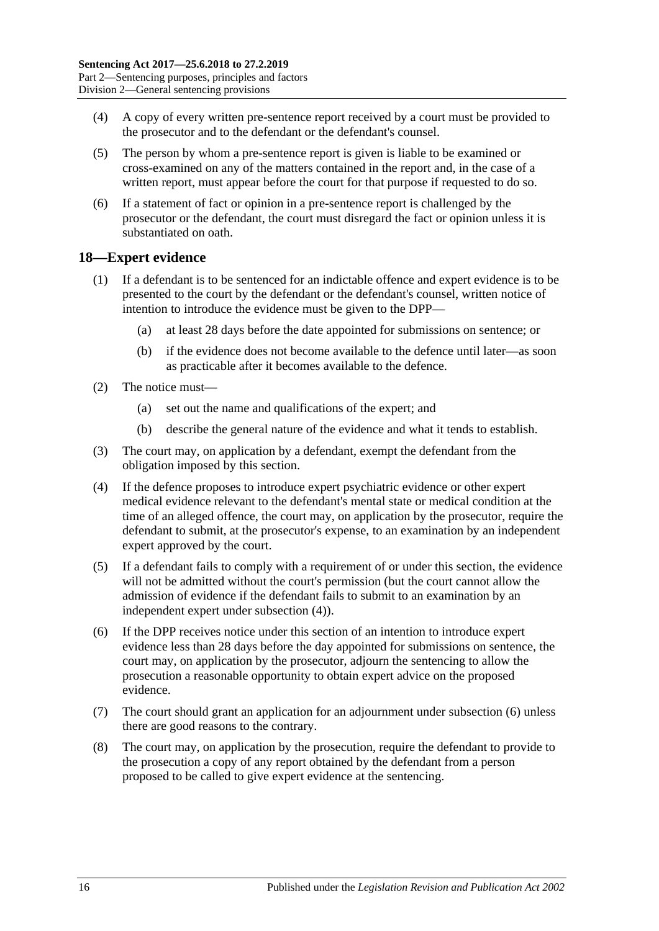- (4) A copy of every written pre-sentence report received by a court must be provided to the prosecutor and to the defendant or the defendant's counsel.
- (5) The person by whom a pre-sentence report is given is liable to be examined or cross-examined on any of the matters contained in the report and, in the case of a written report, must appear before the court for that purpose if requested to do so.
- (6) If a statement of fact or opinion in a pre-sentence report is challenged by the prosecutor or the defendant, the court must disregard the fact or opinion unless it is substantiated on oath.

#### <span id="page-15-0"></span>**18—Expert evidence**

- (1) If a defendant is to be sentenced for an indictable offence and expert evidence is to be presented to the court by the defendant or the defendant's counsel, written notice of intention to introduce the evidence must be given to the DPP—
	- (a) at least 28 days before the date appointed for submissions on sentence; or
	- (b) if the evidence does not become available to the defence until later—as soon as practicable after it becomes available to the defence.
- (2) The notice must—
	- (a) set out the name and qualifications of the expert; and
	- (b) describe the general nature of the evidence and what it tends to establish.
- (3) The court may, on application by a defendant, exempt the defendant from the obligation imposed by this section.
- <span id="page-15-1"></span>(4) If the defence proposes to introduce expert psychiatric evidence or other expert medical evidence relevant to the defendant's mental state or medical condition at the time of an alleged offence, the court may, on application by the prosecutor, require the defendant to submit, at the prosecutor's expense, to an examination by an independent expert approved by the court.
- (5) If a defendant fails to comply with a requirement of or under this section, the evidence will not be admitted without the court's permission (but the court cannot allow the admission of evidence if the defendant fails to submit to an examination by an independent expert under [subsection](#page-15-1) (4)).
- <span id="page-15-2"></span>(6) If the DPP receives notice under this section of an intention to introduce expert evidence less than 28 days before the day appointed for submissions on sentence, the court may, on application by the prosecutor, adjourn the sentencing to allow the prosecution a reasonable opportunity to obtain expert advice on the proposed evidence.
- (7) The court should grant an application for an adjournment under [subsection](#page-15-2) (6) unless there are good reasons to the contrary.
- (8) The court may, on application by the prosecution, require the defendant to provide to the prosecution a copy of any report obtained by the defendant from a person proposed to be called to give expert evidence at the sentencing.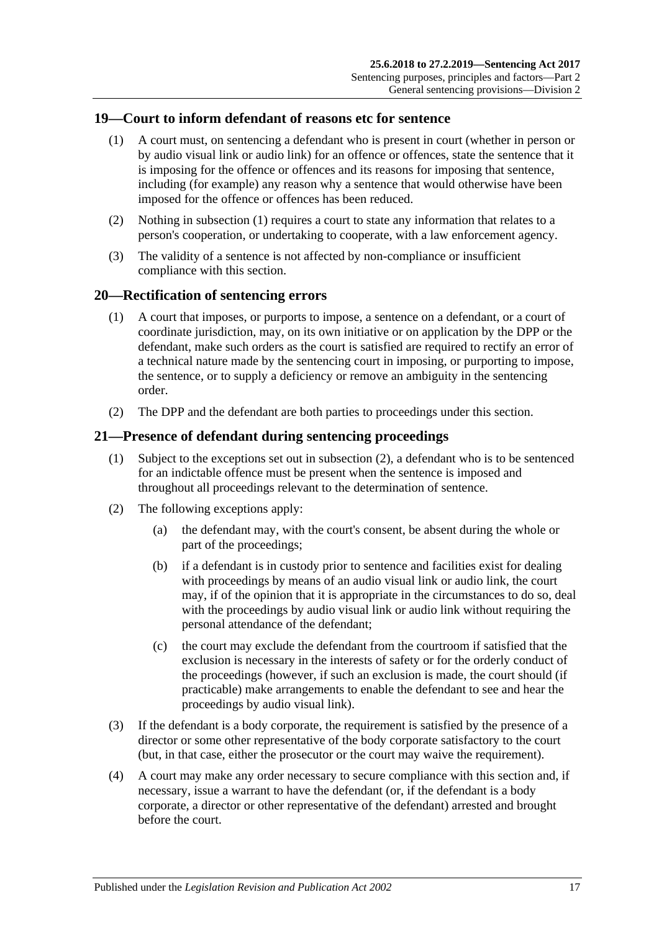#### <span id="page-16-3"></span><span id="page-16-0"></span>**19—Court to inform defendant of reasons etc for sentence**

- (1) A court must, on sentencing a defendant who is present in court (whether in person or by audio visual link or audio link) for an offence or offences, state the sentence that it is imposing for the offence or offences and its reasons for imposing that sentence, including (for example) any reason why a sentence that would otherwise have been imposed for the offence or offences has been reduced.
- (2) Nothing in [subsection](#page-16-3) (1) requires a court to state any information that relates to a person's cooperation, or undertaking to cooperate, with a law enforcement agency.
- (3) The validity of a sentence is not affected by non-compliance or insufficient compliance with this section.

#### <span id="page-16-1"></span>**20—Rectification of sentencing errors**

- (1) A court that imposes, or purports to impose, a sentence on a defendant, or a court of coordinate jurisdiction, may, on its own initiative or on application by the DPP or the defendant, make such orders as the court is satisfied are required to rectify an error of a technical nature made by the sentencing court in imposing, or purporting to impose, the sentence, or to supply a deficiency or remove an ambiguity in the sentencing order.
- (2) The DPP and the defendant are both parties to proceedings under this section.

#### <span id="page-16-2"></span>**21—Presence of defendant during sentencing proceedings**

- (1) Subject to the exceptions set out in [subsection](#page-16-4) (2), a defendant who is to be sentenced for an indictable offence must be present when the sentence is imposed and throughout all proceedings relevant to the determination of sentence.
- <span id="page-16-4"></span>(2) The following exceptions apply:
	- (a) the defendant may, with the court's consent, be absent during the whole or part of the proceedings;
	- (b) if a defendant is in custody prior to sentence and facilities exist for dealing with proceedings by means of an audio visual link or audio link, the court may, if of the opinion that it is appropriate in the circumstances to do so, deal with the proceedings by audio visual link or audio link without requiring the personal attendance of the defendant;
	- (c) the court may exclude the defendant from the courtroom if satisfied that the exclusion is necessary in the interests of safety or for the orderly conduct of the proceedings (however, if such an exclusion is made, the court should (if practicable) make arrangements to enable the defendant to see and hear the proceedings by audio visual link).
- (3) If the defendant is a body corporate, the requirement is satisfied by the presence of a director or some other representative of the body corporate satisfactory to the court (but, in that case, either the prosecutor or the court may waive the requirement).
- (4) A court may make any order necessary to secure compliance with this section and, if necessary, issue a warrant to have the defendant (or, if the defendant is a body corporate, a director or other representative of the defendant) arrested and brought before the court.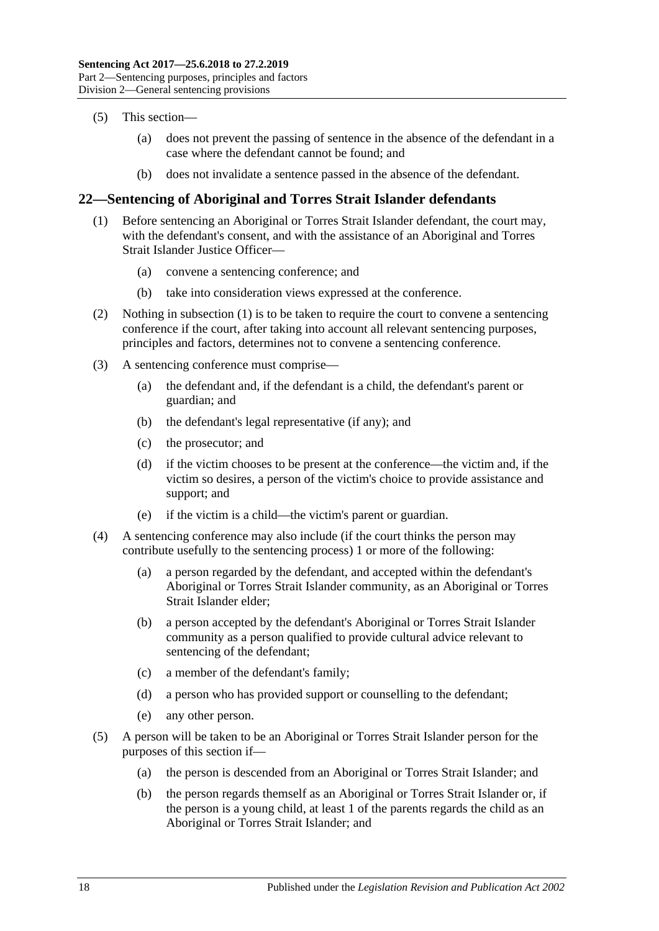- (5) This section—
	- (a) does not prevent the passing of sentence in the absence of the defendant in a case where the defendant cannot be found; and
	- (b) does not invalidate a sentence passed in the absence of the defendant.

## <span id="page-17-1"></span><span id="page-17-0"></span>**22—Sentencing of Aboriginal and Torres Strait Islander defendants**

- (1) Before sentencing an Aboriginal or Torres Strait Islander defendant, the court may, with the defendant's consent, and with the assistance of an Aboriginal and Torres Strait Islander Justice Officer—
	- (a) convene a sentencing conference; and
	- (b) take into consideration views expressed at the conference.
- (2) Nothing in [subsection](#page-17-1) (1) is to be taken to require the court to convene a sentencing conference if the court, after taking into account all relevant sentencing purposes, principles and factors, determines not to convene a sentencing conference.
- (3) A sentencing conference must comprise—
	- (a) the defendant and, if the defendant is a child, the defendant's parent or guardian; and
	- (b) the defendant's legal representative (if any); and
	- (c) the prosecutor; and
	- (d) if the victim chooses to be present at the conference—the victim and, if the victim so desires, a person of the victim's choice to provide assistance and support; and
	- (e) if the victim is a child—the victim's parent or guardian.
- (4) A sentencing conference may also include (if the court thinks the person may contribute usefully to the sentencing process) 1 or more of the following:
	- (a) a person regarded by the defendant, and accepted within the defendant's Aboriginal or Torres Strait Islander community, as an Aboriginal or Torres Strait Islander elder;
	- (b) a person accepted by the defendant's Aboriginal or Torres Strait Islander community as a person qualified to provide cultural advice relevant to sentencing of the defendant;
	- (c) a member of the defendant's family;
	- (d) a person who has provided support or counselling to the defendant;
	- (e) any other person.
- (5) A person will be taken to be an Aboriginal or Torres Strait Islander person for the purposes of this section if—
	- (a) the person is descended from an Aboriginal or Torres Strait Islander; and
	- (b) the person regards themself as an Aboriginal or Torres Strait Islander or, if the person is a young child, at least 1 of the parents regards the child as an Aboriginal or Torres Strait Islander; and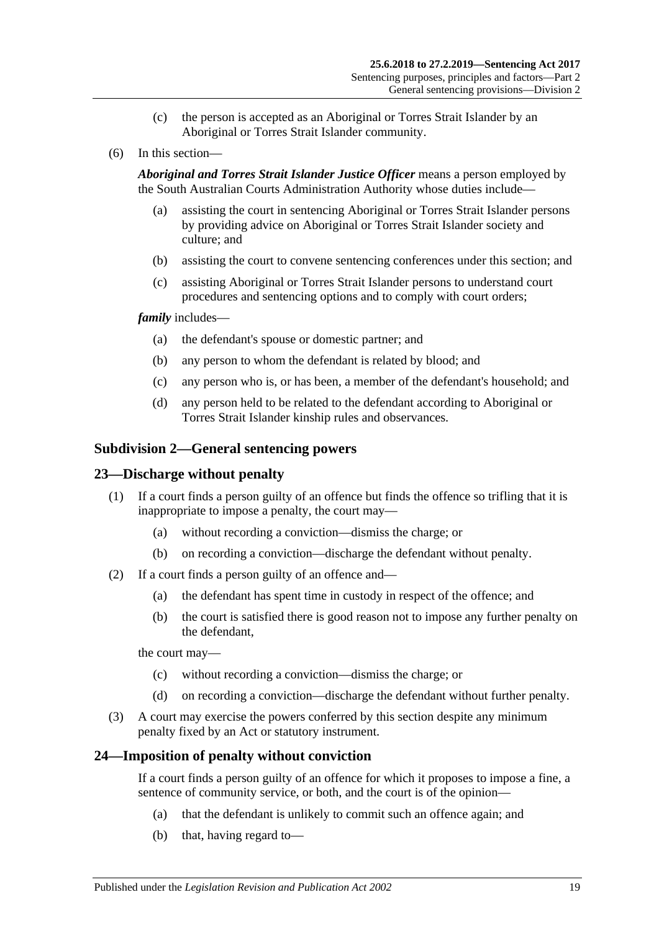- (c) the person is accepted as an Aboriginal or Torres Strait Islander by an Aboriginal or Torres Strait Islander community.
- (6) In this section—

*Aboriginal and Torres Strait Islander Justice Officer* means a person employed by the South Australian Courts Administration Authority whose duties include—

- (a) assisting the court in sentencing Aboriginal or Torres Strait Islander persons by providing advice on Aboriginal or Torres Strait Islander society and culture; and
- (b) assisting the court to convene sentencing conferences under this section; and
- (c) assisting Aboriginal or Torres Strait Islander persons to understand court procedures and sentencing options and to comply with court orders;

#### *family* includes—

- (a) the defendant's spouse or domestic partner; and
- (b) any person to whom the defendant is related by blood; and
- (c) any person who is, or has been, a member of the defendant's household; and
- (d) any person held to be related to the defendant according to Aboriginal or Torres Strait Islander kinship rules and observances.

#### <span id="page-18-0"></span>**Subdivision 2—General sentencing powers**

#### <span id="page-18-1"></span>**23—Discharge without penalty**

- (1) If a court finds a person guilty of an offence but finds the offence so trifling that it is inappropriate to impose a penalty, the court may—
	- (a) without recording a conviction—dismiss the charge; or
	- (b) on recording a conviction—discharge the defendant without penalty.
- (2) If a court finds a person guilty of an offence and—
	- (a) the defendant has spent time in custody in respect of the offence; and
	- (b) the court is satisfied there is good reason not to impose any further penalty on the defendant,

the court may—

- (c) without recording a conviction—dismiss the charge; or
- (d) on recording a conviction—discharge the defendant without further penalty.
- (3) A court may exercise the powers conferred by this section despite any minimum penalty fixed by an Act or statutory instrument.

#### <span id="page-18-2"></span>**24—Imposition of penalty without conviction**

If a court finds a person guilty of an offence for which it proposes to impose a fine, a sentence of community service, or both, and the court is of the opinion—

- (a) that the defendant is unlikely to commit such an offence again; and
- (b) that, having regard to—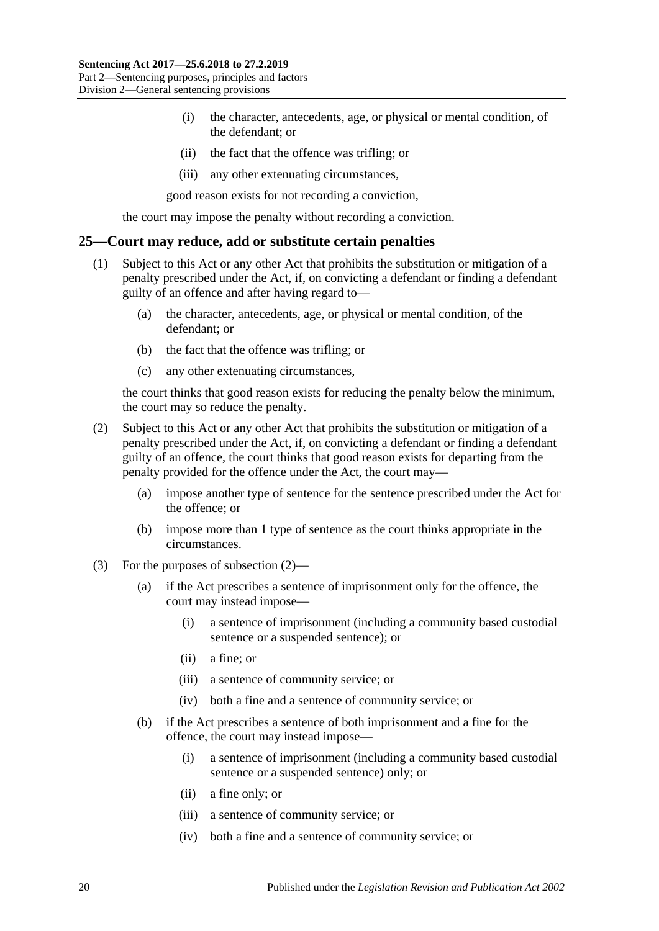- (i) the character, antecedents, age, or physical or mental condition, of the defendant; or
- (ii) the fact that the offence was trifling; or
- (iii) any other extenuating circumstances,

good reason exists for not recording a conviction,

the court may impose the penalty without recording a conviction.

#### <span id="page-19-0"></span>**25—Court may reduce, add or substitute certain penalties**

- (1) Subject to this Act or any other Act that prohibits the substitution or mitigation of a penalty prescribed under the Act, if, on convicting a defendant or finding a defendant guilty of an offence and after having regard to—
	- (a) the character, antecedents, age, or physical or mental condition, of the defendant; or
	- (b) the fact that the offence was trifling; or
	- (c) any other extenuating circumstances,

the court thinks that good reason exists for reducing the penalty below the minimum, the court may so reduce the penalty.

- <span id="page-19-1"></span>(2) Subject to this Act or any other Act that prohibits the substitution or mitigation of a penalty prescribed under the Act, if, on convicting a defendant or finding a defendant guilty of an offence, the court thinks that good reason exists for departing from the penalty provided for the offence under the Act, the court may—
	- (a) impose another type of sentence for the sentence prescribed under the Act for the offence; or
	- (b) impose more than 1 type of sentence as the court thinks appropriate in the circumstances.
- (3) For the purposes of [subsection](#page-19-1) (2)—
	- (a) if the Act prescribes a sentence of imprisonment only for the offence, the court may instead impose—
		- (i) a sentence of imprisonment (including a community based custodial sentence or a suspended sentence); or
		- (ii) a fine; or
		- (iii) a sentence of community service; or
		- (iv) both a fine and a sentence of community service; or
	- (b) if the Act prescribes a sentence of both imprisonment and a fine for the offence, the court may instead impose—
		- (i) a sentence of imprisonment (including a community based custodial sentence or a suspended sentence) only; or
		- (ii) a fine only; or
		- (iii) a sentence of community service; or
		- (iv) both a fine and a sentence of community service; or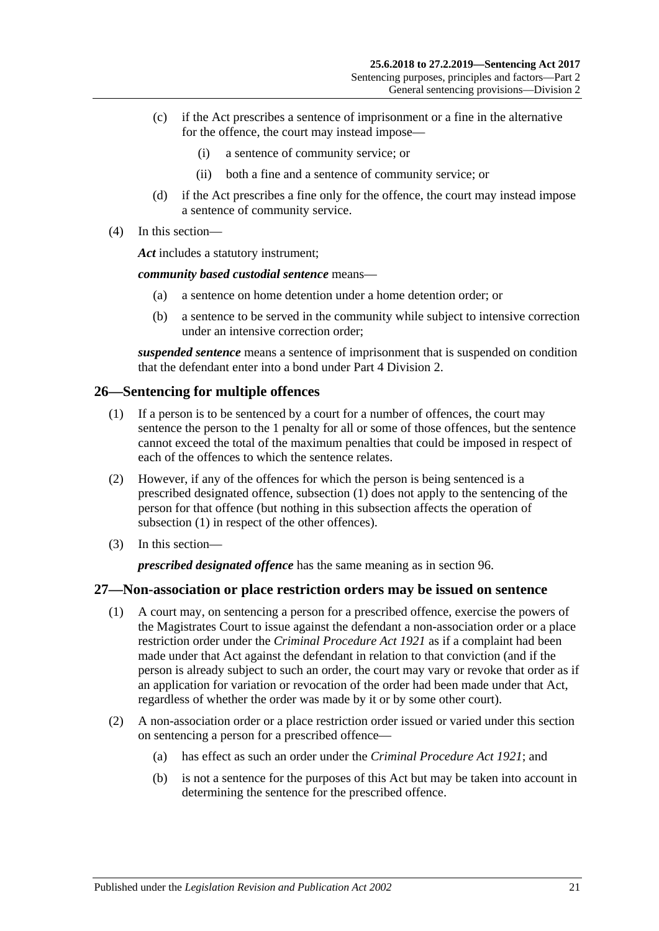- (c) if the Act prescribes a sentence of imprisonment or a fine in the alternative for the offence, the court may instead impose—
	- (i) a sentence of community service; or
	- (ii) both a fine and a sentence of community service; or
- (d) if the Act prescribes a fine only for the offence, the court may instead impose a sentence of community service.
- (4) In this section—

*Act* includes a statutory instrument;

*community based custodial sentence* means—

- (a) a sentence on home detention under a home detention order; or
- (b) a sentence to be served in the community while subject to intensive correction under an intensive correction order;

*suspended sentence* means a sentence of imprisonment that is suspended on condition that the defendant enter into a bond under Part [4 Division](#page-74-0) 2.

## <span id="page-20-2"></span><span id="page-20-0"></span>**26—Sentencing for multiple offences**

- (1) If a person is to be sentenced by a court for a number of offences, the court may sentence the person to the 1 penalty for all or some of those offences, but the sentence cannot exceed the total of the maximum penalties that could be imposed in respect of each of the offences to which the sentence relates.
- (2) However, if any of the offences for which the person is being sentenced is a prescribed designated offence, [subsection](#page-20-2) (1) does not apply to the sentencing of the person for that offence (but nothing in this subsection affects the operation of [subsection](#page-20-2) (1) in respect of the other offences).
- (3) In this section—

*prescribed designated offence* has the same meaning as in [section](#page-74-1) 96.

## <span id="page-20-1"></span>**27—Non-association or place restriction orders may be issued on sentence**

- (1) A court may, on sentencing a person for a prescribed offence, exercise the powers of the Magistrates Court to issue against the defendant a non-association order or a place restriction order under the *[Criminal Procedure Act](http://www.legislation.sa.gov.au/index.aspx?action=legref&type=act&legtitle=Criminal%20Procedure%20Act%201921) 1921* as if a complaint had been made under that Act against the defendant in relation to that conviction (and if the person is already subject to such an order, the court may vary or revoke that order as if an application for variation or revocation of the order had been made under that Act, regardless of whether the order was made by it or by some other court).
- (2) A non-association order or a place restriction order issued or varied under this section on sentencing a person for a prescribed offence—
	- (a) has effect as such an order under the *[Criminal Procedure Act](http://www.legislation.sa.gov.au/index.aspx?action=legref&type=act&legtitle=Criminal%20Procedure%20Act%201921) 1921*; and
	- (b) is not a sentence for the purposes of this Act but may be taken into account in determining the sentence for the prescribed offence.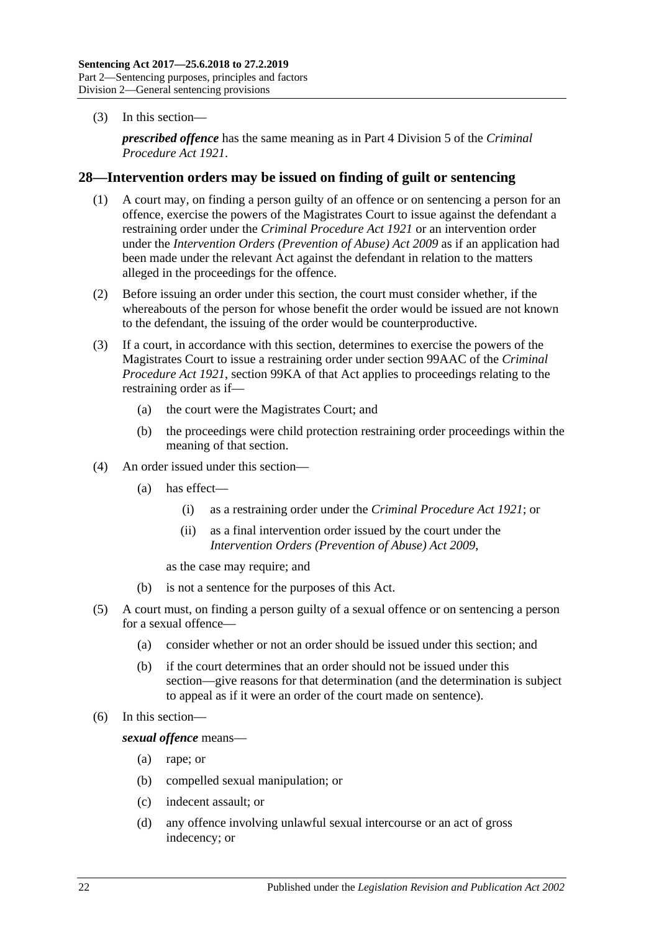(3) In this section—

*prescribed offence* has the same meaning as in Part 4 Division 5 of the *[Criminal](http://www.legislation.sa.gov.au/index.aspx?action=legref&type=act&legtitle=Criminal%20Procedure%20Act%201921)  [Procedure Act](http://www.legislation.sa.gov.au/index.aspx?action=legref&type=act&legtitle=Criminal%20Procedure%20Act%201921) 1921*.

#### <span id="page-21-0"></span>**28—Intervention orders may be issued on finding of guilt or sentencing**

- (1) A court may, on finding a person guilty of an offence or on sentencing a person for an offence, exercise the powers of the Magistrates Court to issue against the defendant a restraining order under the *[Criminal Procedure](http://www.legislation.sa.gov.au/index.aspx?action=legref&type=act&legtitle=Criminal%20Procedure%20Act%201921) Act 1921* or an intervention order under the *[Intervention Orders \(Prevention of Abuse\) Act](http://www.legislation.sa.gov.au/index.aspx?action=legref&type=act&legtitle=Intervention%20Orders%20(Prevention%20of%20Abuse)%20Act%202009) 2009* as if an application had been made under the relevant Act against the defendant in relation to the matters alleged in the proceedings for the offence.
- (2) Before issuing an order under this section, the court must consider whether, if the whereabouts of the person for whose benefit the order would be issued are not known to the defendant, the issuing of the order would be counterproductive.
- (3) If a court, in accordance with this section, determines to exercise the powers of the Magistrates Court to issue a restraining order under section 99AAC of the *[Criminal](http://www.legislation.sa.gov.au/index.aspx?action=legref&type=act&legtitle=Criminal%20Procedure%20Act%201921)  [Procedure Act](http://www.legislation.sa.gov.au/index.aspx?action=legref&type=act&legtitle=Criminal%20Procedure%20Act%201921) 1921*, section 99KA of that Act applies to proceedings relating to the restraining order as if—
	- (a) the court were the Magistrates Court; and
	- (b) the proceedings were child protection restraining order proceedings within the meaning of that section.
- (4) An order issued under this section—
	- (a) has effect—
		- (i) as a restraining order under the *[Criminal Procedure Act](http://www.legislation.sa.gov.au/index.aspx?action=legref&type=act&legtitle=Criminal%20Procedure%20Act%201921) 1921*; or
		- (ii) as a final intervention order issued by the court under the *[Intervention Orders \(Prevention of Abuse\) Act](http://www.legislation.sa.gov.au/index.aspx?action=legref&type=act&legtitle=Intervention%20Orders%20(Prevention%20of%20Abuse)%20Act%202009) 2009*,

as the case may require; and

- (b) is not a sentence for the purposes of this Act.
- (5) A court must, on finding a person guilty of a sexual offence or on sentencing a person for a sexual offence—
	- (a) consider whether or not an order should be issued under this section; and
	- (b) if the court determines that an order should not be issued under this section—give reasons for that determination (and the determination is subject to appeal as if it were an order of the court made on sentence).
- (6) In this section—

*sexual offence* means—

- (a) rape; or
- (b) compelled sexual manipulation; or
- (c) indecent assault; or
- (d) any offence involving unlawful sexual intercourse or an act of gross indecency; or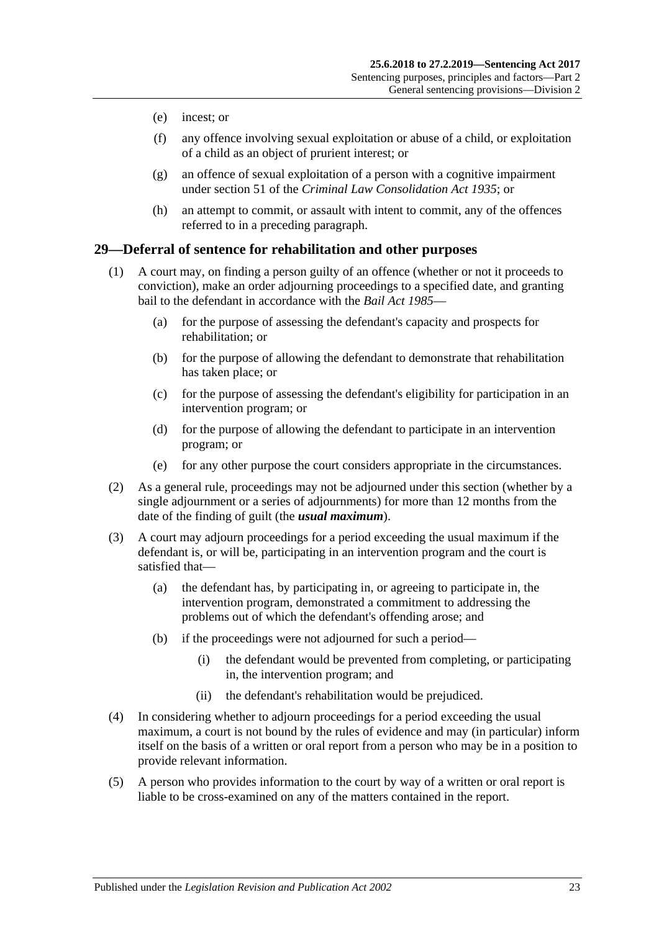- (e) incest; or
- (f) any offence involving sexual exploitation or abuse of a child, or exploitation of a child as an object of prurient interest; or
- (g) an offence of sexual exploitation of a person with a cognitive impairment under section 51 of the *[Criminal Law Consolidation Act](http://www.legislation.sa.gov.au/index.aspx?action=legref&type=act&legtitle=Criminal%20Law%20Consolidation%20Act%201935) 1935*; or
- (h) an attempt to commit, or assault with intent to commit, any of the offences referred to in a preceding paragraph.

#### <span id="page-22-0"></span>**29—Deferral of sentence for rehabilitation and other purposes**

- (1) A court may, on finding a person guilty of an offence (whether or not it proceeds to conviction), make an order adjourning proceedings to a specified date, and granting bail to the defendant in accordance with the *[Bail Act](http://www.legislation.sa.gov.au/index.aspx?action=legref&type=act&legtitle=Bail%20Act%201985) 1985*—
	- (a) for the purpose of assessing the defendant's capacity and prospects for rehabilitation; or
	- (b) for the purpose of allowing the defendant to demonstrate that rehabilitation has taken place; or
	- (c) for the purpose of assessing the defendant's eligibility for participation in an intervention program; or
	- (d) for the purpose of allowing the defendant to participate in an intervention program; or
	- (e) for any other purpose the court considers appropriate in the circumstances.
- (2) As a general rule, proceedings may not be adjourned under this section (whether by a single adjournment or a series of adjournments) for more than 12 months from the date of the finding of guilt (the *usual maximum*).
- (3) A court may adjourn proceedings for a period exceeding the usual maximum if the defendant is, or will be, participating in an intervention program and the court is satisfied that—
	- (a) the defendant has, by participating in, or agreeing to participate in, the intervention program, demonstrated a commitment to addressing the problems out of which the defendant's offending arose; and
	- (b) if the proceedings were not adjourned for such a period—
		- (i) the defendant would be prevented from completing, or participating in, the intervention program; and
		- (ii) the defendant's rehabilitation would be prejudiced.
- (4) In considering whether to adjourn proceedings for a period exceeding the usual maximum, a court is not bound by the rules of evidence and may (in particular) inform itself on the basis of a written or oral report from a person who may be in a position to provide relevant information.
- (5) A person who provides information to the court by way of a written or oral report is liable to be cross-examined on any of the matters contained in the report.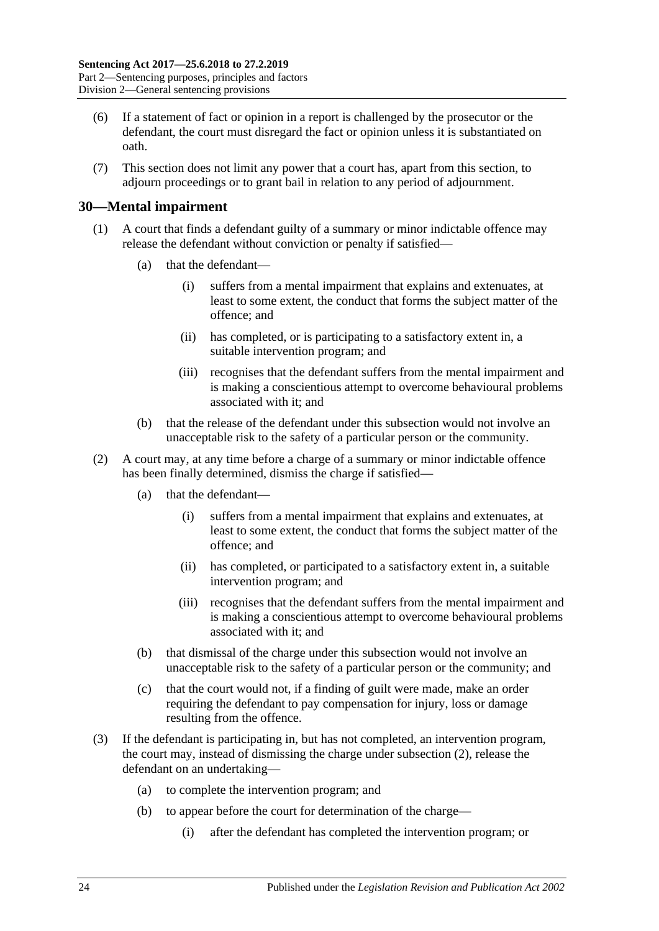- (6) If a statement of fact or opinion in a report is challenged by the prosecutor or the defendant, the court must disregard the fact or opinion unless it is substantiated on oath.
- (7) This section does not limit any power that a court has, apart from this section, to adjourn proceedings or to grant bail in relation to any period of adjournment.

#### <span id="page-23-0"></span>**30—Mental impairment**

- (1) A court that finds a defendant guilty of a summary or minor indictable offence may release the defendant without conviction or penalty if satisfied—
	- (a) that the defendant—
		- (i) suffers from a mental impairment that explains and extenuates, at least to some extent, the conduct that forms the subject matter of the offence; and
		- (ii) has completed, or is participating to a satisfactory extent in, a suitable intervention program; and
		- (iii) recognises that the defendant suffers from the mental impairment and is making a conscientious attempt to overcome behavioural problems associated with it; and
	- (b) that the release of the defendant under this subsection would not involve an unacceptable risk to the safety of a particular person or the community.
- <span id="page-23-1"></span>(2) A court may, at any time before a charge of a summary or minor indictable offence has been finally determined, dismiss the charge if satisfied—
	- (a) that the defendant—
		- (i) suffers from a mental impairment that explains and extenuates, at least to some extent, the conduct that forms the subject matter of the offence; and
		- (ii) has completed, or participated to a satisfactory extent in, a suitable intervention program; and
		- (iii) recognises that the defendant suffers from the mental impairment and is making a conscientious attempt to overcome behavioural problems associated with it; and
	- (b) that dismissal of the charge under this subsection would not involve an unacceptable risk to the safety of a particular person or the community; and
	- (c) that the court would not, if a finding of guilt were made, make an order requiring the defendant to pay compensation for injury, loss or damage resulting from the offence.
- <span id="page-23-2"></span>(3) If the defendant is participating in, but has not completed, an intervention program, the court may, instead of dismissing the charge under [subsection](#page-23-1) (2), release the defendant on an undertaking—
	- (a) to complete the intervention program; and
	- (b) to appear before the court for determination of the charge—
		- (i) after the defendant has completed the intervention program; or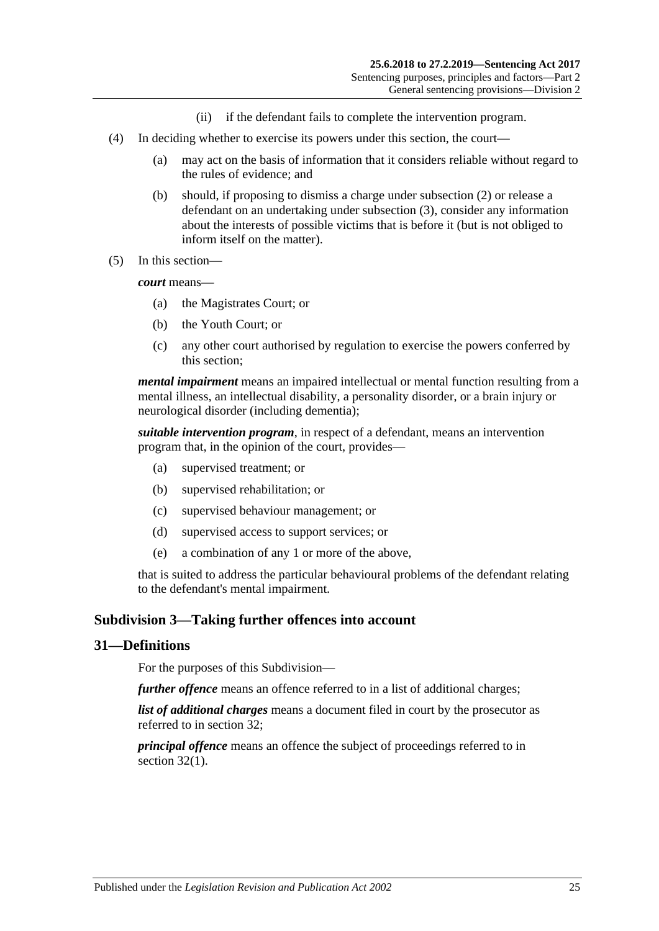- (ii) if the defendant fails to complete the intervention program.
- (4) In deciding whether to exercise its powers under this section, the court—
	- (a) may act on the basis of information that it considers reliable without regard to the rules of evidence; and
	- (b) should, if proposing to dismiss a charge under [subsection](#page-23-1) (2) or release a defendant on an undertaking under [subsection](#page-23-2) (3), consider any information about the interests of possible victims that is before it (but is not obliged to inform itself on the matter).
- (5) In this section—

*court* means—

- (a) the Magistrates Court; or
- (b) the Youth Court; or
- (c) any other court authorised by regulation to exercise the powers conferred by this section;

*mental impairment* means an impaired intellectual or mental function resulting from a mental illness, an intellectual disability, a personality disorder, or a brain injury or neurological disorder (including dementia);

*suitable intervention program*, in respect of a defendant, means an intervention program that, in the opinion of the court, provides—

- (a) supervised treatment; or
- (b) supervised rehabilitation; or
- (c) supervised behaviour management; or
- (d) supervised access to support services; or
- (e) a combination of any 1 or more of the above,

that is suited to address the particular behavioural problems of the defendant relating to the defendant's mental impairment.

## <span id="page-24-0"></span>**Subdivision 3—Taking further offences into account**

#### <span id="page-24-1"></span>**31—Definitions**

For the purposes of this Subdivision—

*further offence* means an offence referred to in a list of additional charges;

*list of additional charges* means a document filed in court by the prosecutor as referred to in [section](#page-25-0) 32;

*principal offence* means an offence the subject of proceedings referred to in [section](#page-25-2) 32(1).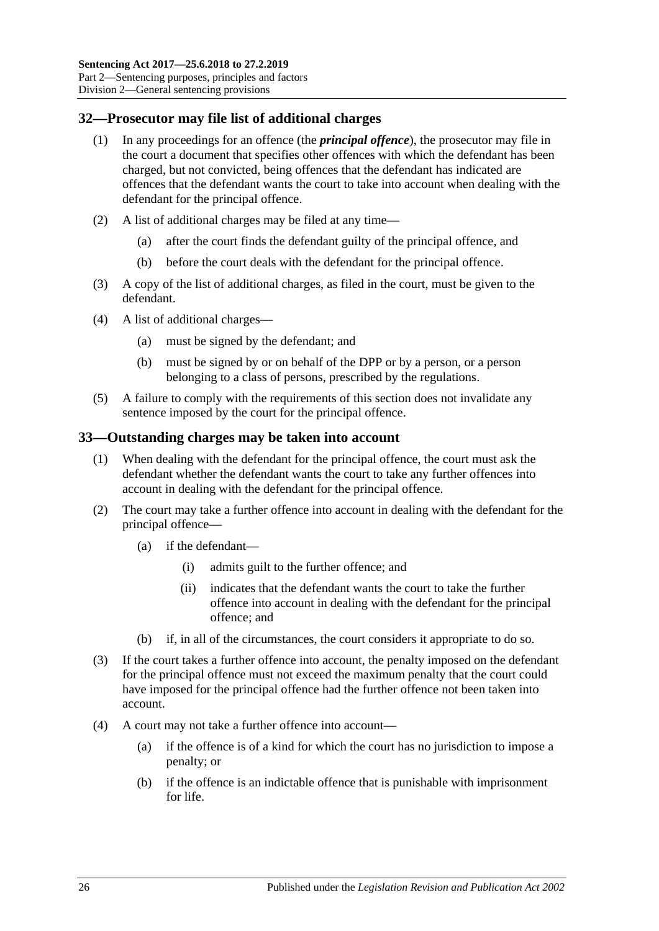## <span id="page-25-2"></span><span id="page-25-0"></span>**32—Prosecutor may file list of additional charges**

- (1) In any proceedings for an offence (the *principal offence*), the prosecutor may file in the court a document that specifies other offences with which the defendant has been charged, but not convicted, being offences that the defendant has indicated are offences that the defendant wants the court to take into account when dealing with the defendant for the principal offence.
- (2) A list of additional charges may be filed at any time—
	- (a) after the court finds the defendant guilty of the principal offence, and
	- (b) before the court deals with the defendant for the principal offence.
- (3) A copy of the list of additional charges, as filed in the court, must be given to the defendant.
- (4) A list of additional charges—
	- (a) must be signed by the defendant; and
	- (b) must be signed by or on behalf of the DPP or by a person, or a person belonging to a class of persons, prescribed by the regulations.
- (5) A failure to comply with the requirements of this section does not invalidate any sentence imposed by the court for the principal offence.

#### <span id="page-25-1"></span>**33—Outstanding charges may be taken into account**

- (1) When dealing with the defendant for the principal offence, the court must ask the defendant whether the defendant wants the court to take any further offences into account in dealing with the defendant for the principal offence.
- (2) The court may take a further offence into account in dealing with the defendant for the principal offence—
	- (a) if the defendant—
		- (i) admits guilt to the further offence; and
		- (ii) indicates that the defendant wants the court to take the further offence into account in dealing with the defendant for the principal offence; and
	- (b) if, in all of the circumstances, the court considers it appropriate to do so.
- (3) If the court takes a further offence into account, the penalty imposed on the defendant for the principal offence must not exceed the maximum penalty that the court could have imposed for the principal offence had the further offence not been taken into account.
- <span id="page-25-3"></span>(4) A court may not take a further offence into account—
	- (a) if the offence is of a kind for which the court has no jurisdiction to impose a penalty; or
	- (b) if the offence is an indictable offence that is punishable with imprisonment for life.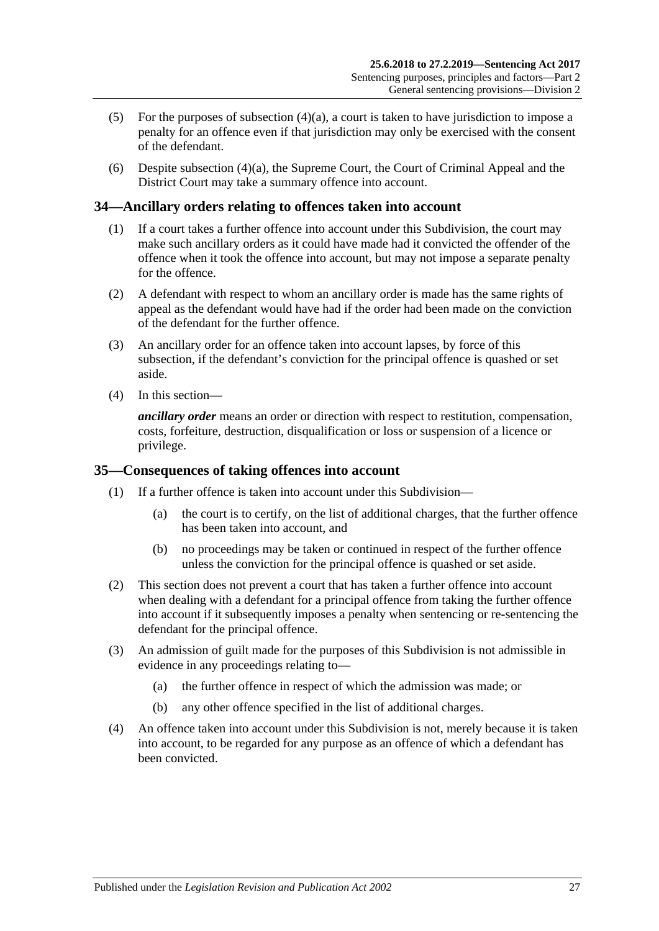- (5) For the purposes of [subsection](#page-25-3)  $(4)(a)$ , a court is taken to have jurisdiction to impose a penalty for an offence even if that jurisdiction may only be exercised with the consent of the defendant.
- (6) Despite [subsection](#page-25-3) (4)(a), the Supreme Court, the Court of Criminal Appeal and the District Court may take a summary offence into account.

## <span id="page-26-0"></span>**34—Ancillary orders relating to offences taken into account**

- (1) If a court takes a further offence into account under this Subdivision, the court may make such ancillary orders as it could have made had it convicted the offender of the offence when it took the offence into account, but may not impose a separate penalty for the offence.
- (2) A defendant with respect to whom an ancillary order is made has the same rights of appeal as the defendant would have had if the order had been made on the conviction of the defendant for the further offence.
- (3) An ancillary order for an offence taken into account lapses, by force of this subsection, if the defendant's conviction for the principal offence is quashed or set aside.
- (4) In this section—

*ancillary order* means an order or direction with respect to restitution, compensation, costs, forfeiture, destruction, disqualification or loss or suspension of a licence or privilege.

#### <span id="page-26-1"></span>**35—Consequences of taking offences into account**

- (1) If a further offence is taken into account under this Subdivision—
	- (a) the court is to certify, on the list of additional charges, that the further offence has been taken into account, and
	- (b) no proceedings may be taken or continued in respect of the further offence unless the conviction for the principal offence is quashed or set aside.
- (2) This section does not prevent a court that has taken a further offence into account when dealing with a defendant for a principal offence from taking the further offence into account if it subsequently imposes a penalty when sentencing or re-sentencing the defendant for the principal offence.
- (3) An admission of guilt made for the purposes of this Subdivision is not admissible in evidence in any proceedings relating to—
	- (a) the further offence in respect of which the admission was made; or
	- (b) any other offence specified in the list of additional charges.
- (4) An offence taken into account under this Subdivision is not, merely because it is taken into account, to be regarded for any purpose as an offence of which a defendant has been convicted.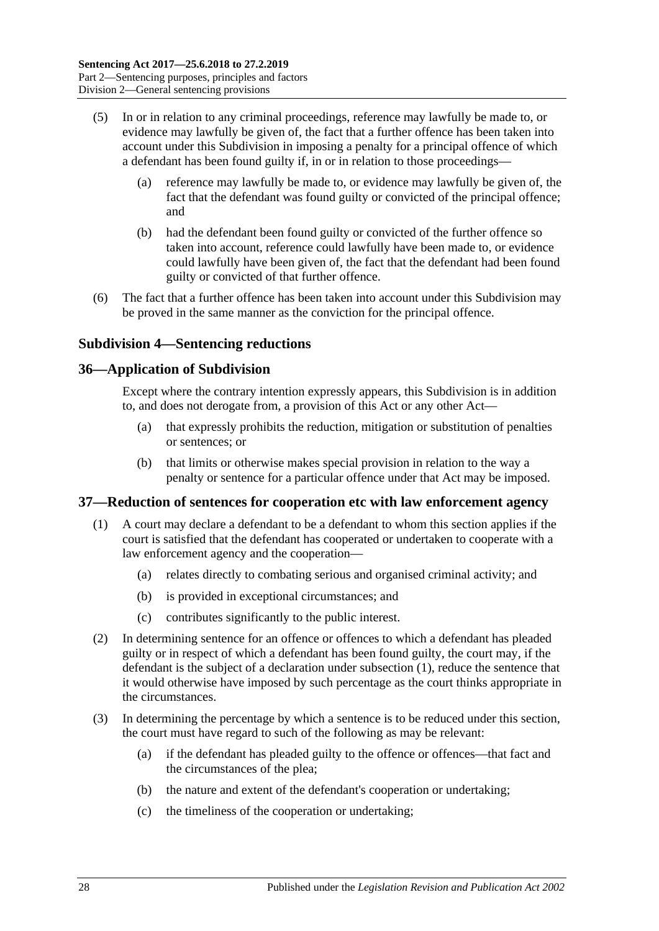- (5) In or in relation to any criminal proceedings, reference may lawfully be made to, or evidence may lawfully be given of, the fact that a further offence has been taken into account under this Subdivision in imposing a penalty for a principal offence of which a defendant has been found guilty if, in or in relation to those proceedings—
	- (a) reference may lawfully be made to, or evidence may lawfully be given of, the fact that the defendant was found guilty or convicted of the principal offence; and
	- (b) had the defendant been found guilty or convicted of the further offence so taken into account, reference could lawfully have been made to, or evidence could lawfully have been given of, the fact that the defendant had been found guilty or convicted of that further offence.
- (6) The fact that a further offence has been taken into account under this Subdivision may be proved in the same manner as the conviction for the principal offence.

## <span id="page-27-0"></span>**Subdivision 4—Sentencing reductions**

#### <span id="page-27-1"></span>**36—Application of Subdivision**

Except where the contrary intention expressly appears, this Subdivision is in addition to, and does not derogate from, a provision of this Act or any other Act—

- (a) that expressly prohibits the reduction, mitigation or substitution of penalties or sentences; or
- (b) that limits or otherwise makes special provision in relation to the way a penalty or sentence for a particular offence under that Act may be imposed.

#### <span id="page-27-3"></span><span id="page-27-2"></span>**37—Reduction of sentences for cooperation etc with law enforcement agency**

- (1) A court may declare a defendant to be a defendant to whom this section applies if the court is satisfied that the defendant has cooperated or undertaken to cooperate with a law enforcement agency and the cooperation—
	- (a) relates directly to combating serious and organised criminal activity; and
	- (b) is provided in exceptional circumstances; and
	- (c) contributes significantly to the public interest.
- (2) In determining sentence for an offence or offences to which a defendant has pleaded guilty or in respect of which a defendant has been found guilty, the court may, if the defendant is the subject of a declaration under [subsection](#page-27-3) (1), reduce the sentence that it would otherwise have imposed by such percentage as the court thinks appropriate in the circumstances.
- (3) In determining the percentage by which a sentence is to be reduced under this section, the court must have regard to such of the following as may be relevant:
	- (a) if the defendant has pleaded guilty to the offence or offences—that fact and the circumstances of the plea;
	- (b) the nature and extent of the defendant's cooperation or undertaking;
	- (c) the timeliness of the cooperation or undertaking;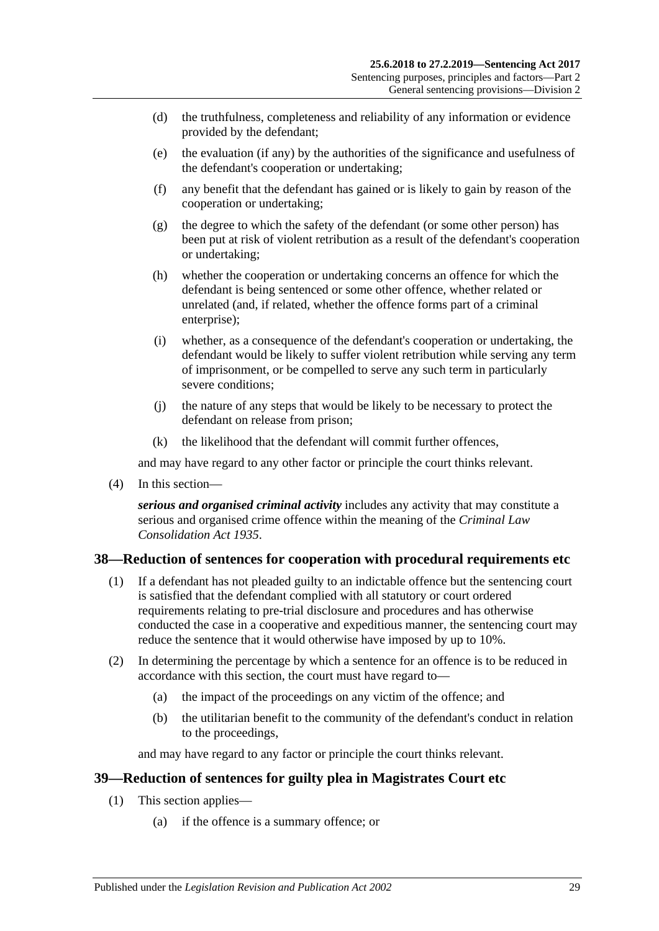- (d) the truthfulness, completeness and reliability of any information or evidence provided by the defendant;
- (e) the evaluation (if any) by the authorities of the significance and usefulness of the defendant's cooperation or undertaking;
- (f) any benefit that the defendant has gained or is likely to gain by reason of the cooperation or undertaking;
- (g) the degree to which the safety of the defendant (or some other person) has been put at risk of violent retribution as a result of the defendant's cooperation or undertaking;
- (h) whether the cooperation or undertaking concerns an offence for which the defendant is being sentenced or some other offence, whether related or unrelated (and, if related, whether the offence forms part of a criminal enterprise);
- (i) whether, as a consequence of the defendant's cooperation or undertaking, the defendant would be likely to suffer violent retribution while serving any term of imprisonment, or be compelled to serve any such term in particularly severe conditions;
- (j) the nature of any steps that would be likely to be necessary to protect the defendant on release from prison;
- (k) the likelihood that the defendant will commit further offences,

and may have regard to any other factor or principle the court thinks relevant.

(4) In this section—

*serious and organised criminal activity* includes any activity that may constitute a serious and organised crime offence within the meaning of the *[Criminal Law](http://www.legislation.sa.gov.au/index.aspx?action=legref&type=act&legtitle=Criminal%20Law%20Consolidation%20Act%201935)  [Consolidation Act](http://www.legislation.sa.gov.au/index.aspx?action=legref&type=act&legtitle=Criminal%20Law%20Consolidation%20Act%201935) 1935*.

## <span id="page-28-0"></span>**38—Reduction of sentences for cooperation with procedural requirements etc**

- (1) If a defendant has not pleaded guilty to an indictable offence but the sentencing court is satisfied that the defendant complied with all statutory or court ordered requirements relating to pre-trial disclosure and procedures and has otherwise conducted the case in a cooperative and expeditious manner, the sentencing court may reduce the sentence that it would otherwise have imposed by up to 10%.
- (2) In determining the percentage by which a sentence for an offence is to be reduced in accordance with this section, the court must have regard to—
	- (a) the impact of the proceedings on any victim of the offence; and
	- (b) the utilitarian benefit to the community of the defendant's conduct in relation to the proceedings,

and may have regard to any factor or principle the court thinks relevant.

#### <span id="page-28-2"></span><span id="page-28-1"></span>**39—Reduction of sentences for guilty plea in Magistrates Court etc**

- (1) This section applies—
	- (a) if the offence is a summary offence; or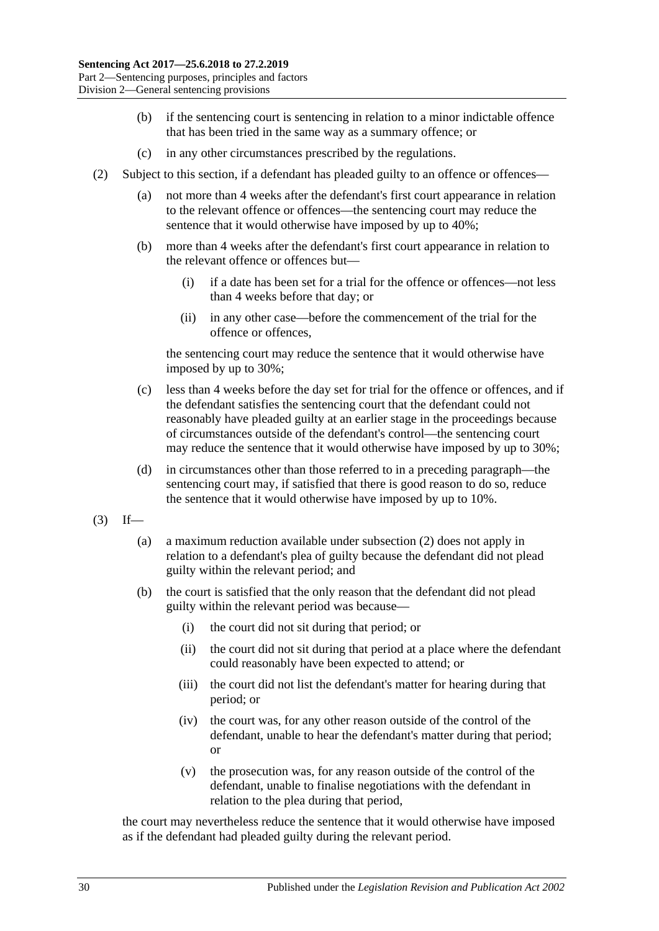- (b) if the sentencing court is sentencing in relation to a minor indictable offence that has been tried in the same way as a summary offence; or
- (c) in any other circumstances prescribed by the regulations.
- <span id="page-29-0"></span>(2) Subject to this section, if a defendant has pleaded guilty to an offence or offences—
	- (a) not more than 4 weeks after the defendant's first court appearance in relation to the relevant offence or offences—the sentencing court may reduce the sentence that it would otherwise have imposed by up to 40%;
	- (b) more than 4 weeks after the defendant's first court appearance in relation to the relevant offence or offences but—
		- (i) if a date has been set for a trial for the offence or offences—not less than 4 weeks before that day; or
		- (ii) in any other case—before the commencement of the trial for the offence or offences,

the sentencing court may reduce the sentence that it would otherwise have imposed by up to 30%;

- (c) less than 4 weeks before the day set for trial for the offence or offences, and if the defendant satisfies the sentencing court that the defendant could not reasonably have pleaded guilty at an earlier stage in the proceedings because of circumstances outside of the defendant's control—the sentencing court may reduce the sentence that it would otherwise have imposed by up to 30%;
- (d) in circumstances other than those referred to in a preceding paragraph—the sentencing court may, if satisfied that there is good reason to do so, reduce the sentence that it would otherwise have imposed by up to 10%.
- $(3)$  If—
	- (a) a maximum reduction available under [subsection](#page-29-0) (2) does not apply in relation to a defendant's plea of guilty because the defendant did not plead guilty within the relevant period; and
	- (b) the court is satisfied that the only reason that the defendant did not plead guilty within the relevant period was because—
		- (i) the court did not sit during that period; or
		- (ii) the court did not sit during that period at a place where the defendant could reasonably have been expected to attend; or
		- (iii) the court did not list the defendant's matter for hearing during that period; or
		- (iv) the court was, for any other reason outside of the control of the defendant, unable to hear the defendant's matter during that period; or
		- (v) the prosecution was, for any reason outside of the control of the defendant, unable to finalise negotiations with the defendant in relation to the plea during that period,

the court may nevertheless reduce the sentence that it would otherwise have imposed as if the defendant had pleaded guilty during the relevant period.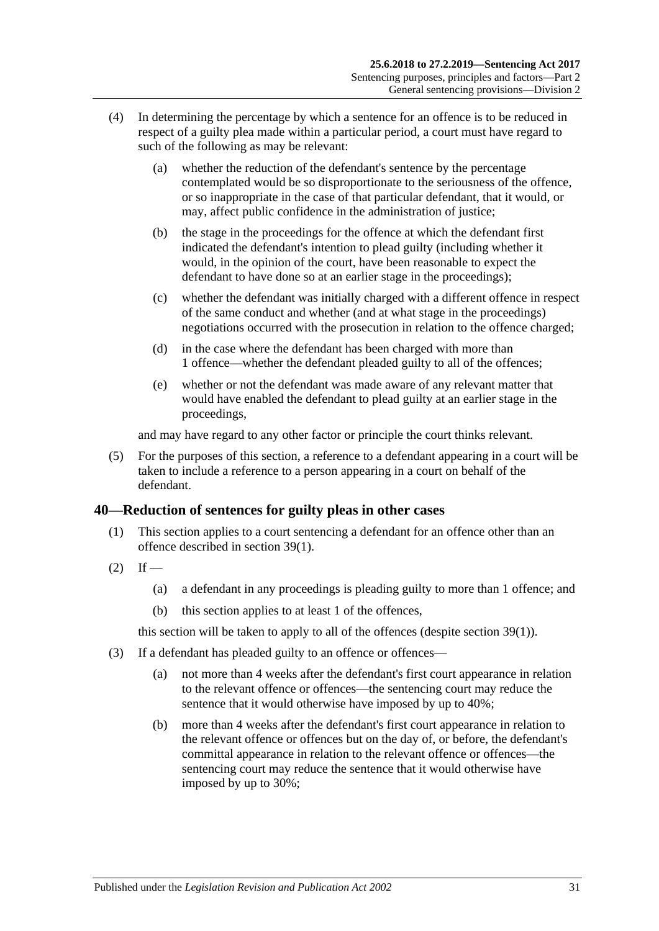- (4) In determining the percentage by which a sentence for an offence is to be reduced in respect of a guilty plea made within a particular period, a court must have regard to such of the following as may be relevant:
	- (a) whether the reduction of the defendant's sentence by the percentage contemplated would be so disproportionate to the seriousness of the offence, or so inappropriate in the case of that particular defendant, that it would, or may, affect public confidence in the administration of justice;
	- (b) the stage in the proceedings for the offence at which the defendant first indicated the defendant's intention to plead guilty (including whether it would, in the opinion of the court, have been reasonable to expect the defendant to have done so at an earlier stage in the proceedings);
	- (c) whether the defendant was initially charged with a different offence in respect of the same conduct and whether (and at what stage in the proceedings) negotiations occurred with the prosecution in relation to the offence charged;
	- (d) in the case where the defendant has been charged with more than 1 offence—whether the defendant pleaded guilty to all of the offences;
	- (e) whether or not the defendant was made aware of any relevant matter that would have enabled the defendant to plead guilty at an earlier stage in the proceedings,

and may have regard to any other factor or principle the court thinks relevant.

(5) For the purposes of this section, a reference to a defendant appearing in a court will be taken to include a reference to a person appearing in a court on behalf of the defendant.

## <span id="page-30-0"></span>**40—Reduction of sentences for guilty pleas in other cases**

- (1) This section applies to a court sentencing a defendant for an offence other than an offence described in [section](#page-28-2) 39(1).
- $(2)$  If
	- (a) a defendant in any proceedings is pleading guilty to more than 1 offence; and
	- (b) this section applies to at least 1 of the offences,

this section will be taken to apply to all of the offences (despite [section](#page-28-2) 39(1)).

- <span id="page-30-1"></span>(3) If a defendant has pleaded guilty to an offence or offences—
	- (a) not more than 4 weeks after the defendant's first court appearance in relation to the relevant offence or offences—the sentencing court may reduce the sentence that it would otherwise have imposed by up to 40%;
	- (b) more than 4 weeks after the defendant's first court appearance in relation to the relevant offence or offences but on the day of, or before, the defendant's committal appearance in relation to the relevant offence or offences—the sentencing court may reduce the sentence that it would otherwise have imposed by up to 30%;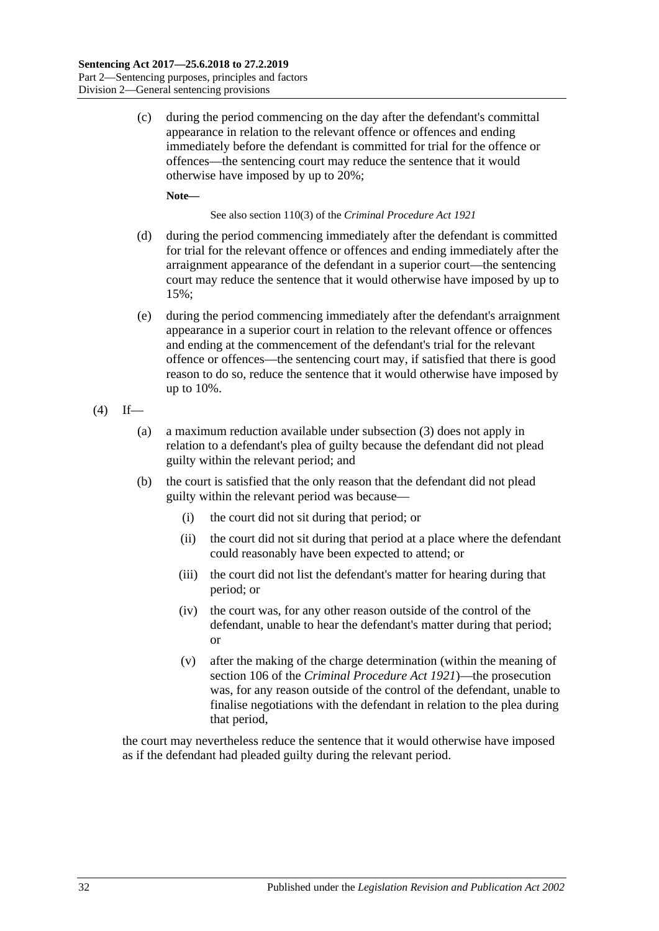(c) during the period commencing on the day after the defendant's committal appearance in relation to the relevant offence or offences and ending immediately before the defendant is committed for trial for the offence or offences—the sentencing court may reduce the sentence that it would otherwise have imposed by up to 20%;

**Note—**

See also section 110(3) of the *[Criminal Procedure Act](http://www.legislation.sa.gov.au/index.aspx?action=legref&type=act&legtitle=Criminal%20Procedure%20Act%201921) 1921*

- (d) during the period commencing immediately after the defendant is committed for trial for the relevant offence or offences and ending immediately after the arraignment appearance of the defendant in a superior court—the sentencing court may reduce the sentence that it would otherwise have imposed by up to 15%;
- (e) during the period commencing immediately after the defendant's arraignment appearance in a superior court in relation to the relevant offence or offences and ending at the commencement of the defendant's trial for the relevant offence or offences—the sentencing court may, if satisfied that there is good reason to do so, reduce the sentence that it would otherwise have imposed by up to 10%.

$$
(4) If
$$

- (a) a maximum reduction available under [subsection](#page-30-1) (3) does not apply in relation to a defendant's plea of guilty because the defendant did not plead guilty within the relevant period; and
- (b) the court is satisfied that the only reason that the defendant did not plead guilty within the relevant period was because—
	- (i) the court did not sit during that period; or
	- (ii) the court did not sit during that period at a place where the defendant could reasonably have been expected to attend; or
	- (iii) the court did not list the defendant's matter for hearing during that period; or
	- (iv) the court was, for any other reason outside of the control of the defendant, unable to hear the defendant's matter during that period; or
	- (v) after the making of the charge determination (within the meaning of section 106 of the *[Criminal Procedure Act](http://www.legislation.sa.gov.au/index.aspx?action=legref&type=act&legtitle=Criminal%20Procedure%20Act%201921) 1921*)—the prosecution was, for any reason outside of the control of the defendant, unable to finalise negotiations with the defendant in relation to the plea during that period,

the court may nevertheless reduce the sentence that it would otherwise have imposed as if the defendant had pleaded guilty during the relevant period.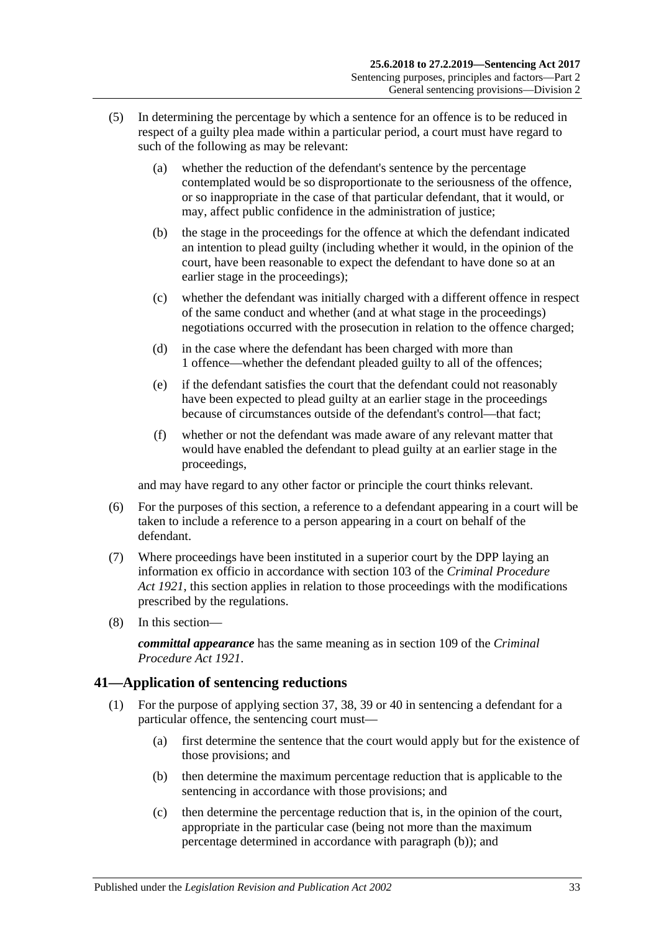- (5) In determining the percentage by which a sentence for an offence is to be reduced in respect of a guilty plea made within a particular period, a court must have regard to such of the following as may be relevant:
	- (a) whether the reduction of the defendant's sentence by the percentage contemplated would be so disproportionate to the seriousness of the offence, or so inappropriate in the case of that particular defendant, that it would, or may, affect public confidence in the administration of justice;
	- (b) the stage in the proceedings for the offence at which the defendant indicated an intention to plead guilty (including whether it would, in the opinion of the court, have been reasonable to expect the defendant to have done so at an earlier stage in the proceedings);
	- (c) whether the defendant was initially charged with a different offence in respect of the same conduct and whether (and at what stage in the proceedings) negotiations occurred with the prosecution in relation to the offence charged;
	- (d) in the case where the defendant has been charged with more than 1 offence—whether the defendant pleaded guilty to all of the offences;
	- (e) if the defendant satisfies the court that the defendant could not reasonably have been expected to plead guilty at an earlier stage in the proceedings because of circumstances outside of the defendant's control—that fact;
	- (f) whether or not the defendant was made aware of any relevant matter that would have enabled the defendant to plead guilty at an earlier stage in the proceedings,

and may have regard to any other factor or principle the court thinks relevant.

- (6) For the purposes of this section, a reference to a defendant appearing in a court will be taken to include a reference to a person appearing in a court on behalf of the defendant.
- (7) Where proceedings have been instituted in a superior court by the DPP laying an information ex officio in accordance with section 103 of the *[Criminal Procedure](http://www.legislation.sa.gov.au/index.aspx?action=legref&type=act&legtitle=Criminal%20Procedure%20Act%201921)  Act [1921](http://www.legislation.sa.gov.au/index.aspx?action=legref&type=act&legtitle=Criminal%20Procedure%20Act%201921)*, this section applies in relation to those proceedings with the modifications prescribed by the regulations.
- (8) In this section—

*committal appearance* has the same meaning as in section 109 of the *[Criminal](http://www.legislation.sa.gov.au/index.aspx?action=legref&type=act&legtitle=Criminal%20Procedure%20Act%201921)  [Procedure Act](http://www.legislation.sa.gov.au/index.aspx?action=legref&type=act&legtitle=Criminal%20Procedure%20Act%201921) 1921*.

## <span id="page-32-4"></span><span id="page-32-0"></span>**41—Application of sentencing reductions**

- <span id="page-32-3"></span><span id="page-32-2"></span><span id="page-32-1"></span>(1) For the purpose of applying [section](#page-27-2) 37, [38,](#page-28-0) [39](#page-28-1) or [40](#page-30-0) in sentencing a defendant for a particular offence, the sentencing court must—
	- (a) first determine the sentence that the court would apply but for the existence of those provisions; and
	- (b) then determine the maximum percentage reduction that is applicable to the sentencing in accordance with those provisions; and
	- (c) then determine the percentage reduction that is, in the opinion of the court, appropriate in the particular case (being not more than the maximum percentage determined in accordance with [paragraph](#page-32-1) (b)); and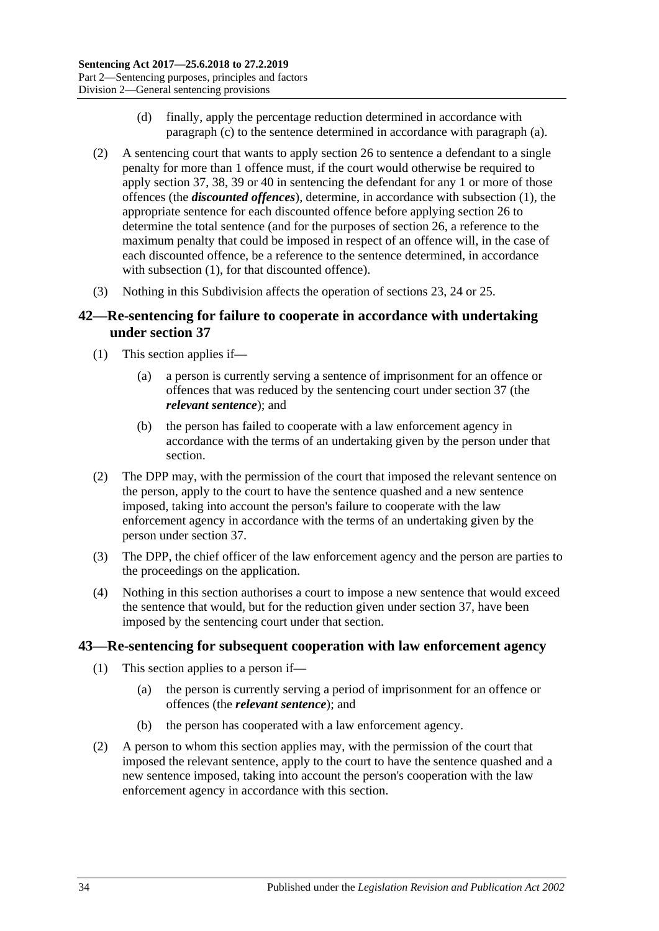- (d) finally, apply the percentage reduction determined in accordance with [paragraph](#page-32-2) (c) to the sentence determined in accordance with [paragraph](#page-32-3) (a).
- (2) A sentencing court that wants to apply [section](#page-20-0) 26 to sentence a defendant to a single penalty for more than 1 offence must, if the court would otherwise be required to apply [section](#page-27-2) 37, [38,](#page-28-0) [39](#page-28-1) or [40](#page-30-0) in sentencing the defendant for any 1 or more of those offences (the *discounted offences*), determine, in accordance with [subsection](#page-32-4) (1), the appropriate sentence for each discounted offence before applying [section](#page-20-0) 26 to determine the total sentence (and for the purposes of [section](#page-20-0) 26, a reference to the maximum penalty that could be imposed in respect of an offence will, in the case of each discounted offence, be a reference to the sentence determined, in accordance with [subsection](#page-32-4) (1), for that discounted offence).
- (3) Nothing in this Subdivision affects the operation of [sections 23,](#page-18-1) [24](#page-18-2) or [25.](#page-19-0)

## <span id="page-33-0"></span>**42—Re-sentencing for failure to cooperate in accordance with undertaking under [section](#page-27-2) 37**

- (1) This section applies if—
	- (a) a person is currently serving a sentence of imprisonment for an offence or offences that was reduced by the sentencing court under [section](#page-27-2) 37 (the *relevant sentence*); and
	- (b) the person has failed to cooperate with a law enforcement agency in accordance with the terms of an undertaking given by the person under that section.
- (2) The DPP may, with the permission of the court that imposed the relevant sentence on the person, apply to the court to have the sentence quashed and a new sentence imposed, taking into account the person's failure to cooperate with the law enforcement agency in accordance with the terms of an undertaking given by the person under [section](#page-27-2) 37.
- (3) The DPP, the chief officer of the law enforcement agency and the person are parties to the proceedings on the application.
- (4) Nothing in this section authorises a court to impose a new sentence that would exceed the sentence that would, but for the reduction given under [section](#page-27-2) 37, have been imposed by the sentencing court under that section.

#### <span id="page-33-1"></span>**43—Re-sentencing for subsequent cooperation with law enforcement agency**

- (1) This section applies to a person if—
	- (a) the person is currently serving a period of imprisonment for an offence or offences (the *relevant sentence*); and
	- (b) the person has cooperated with a law enforcement agency.
- (2) A person to whom this section applies may, with the permission of the court that imposed the relevant sentence, apply to the court to have the sentence quashed and a new sentence imposed, taking into account the person's cooperation with the law enforcement agency in accordance with this section.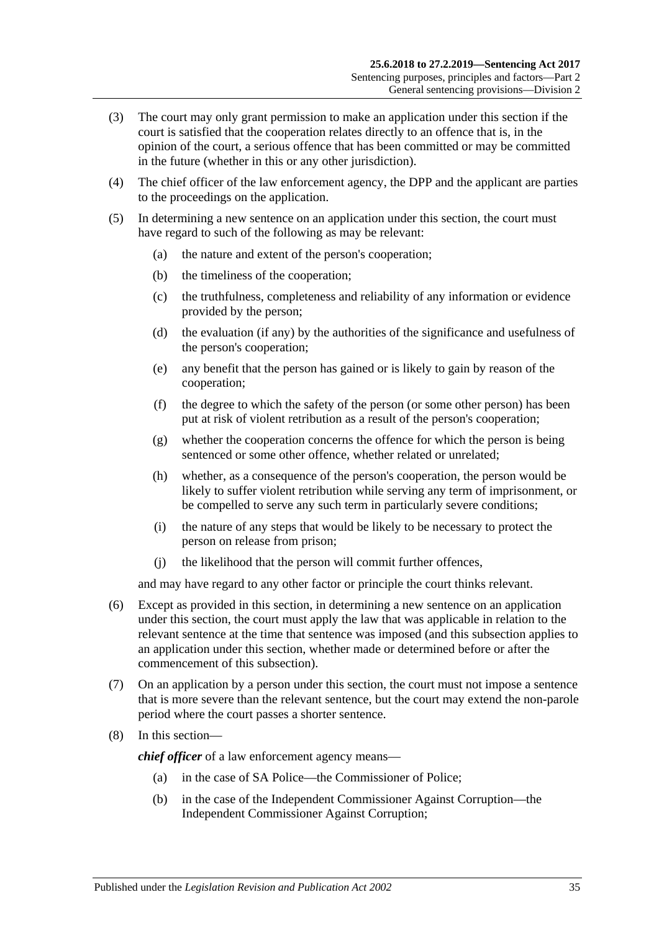- (3) The court may only grant permission to make an application under this section if the court is satisfied that the cooperation relates directly to an offence that is, in the opinion of the court, a serious offence that has been committed or may be committed in the future (whether in this or any other jurisdiction).
- (4) The chief officer of the law enforcement agency, the DPP and the applicant are parties to the proceedings on the application.
- (5) In determining a new sentence on an application under this section, the court must have regard to such of the following as may be relevant:
	- (a) the nature and extent of the person's cooperation;
	- (b) the timeliness of the cooperation;
	- (c) the truthfulness, completeness and reliability of any information or evidence provided by the person;
	- (d) the evaluation (if any) by the authorities of the significance and usefulness of the person's cooperation;
	- (e) any benefit that the person has gained or is likely to gain by reason of the cooperation;
	- (f) the degree to which the safety of the person (or some other person) has been put at risk of violent retribution as a result of the person's cooperation;
	- (g) whether the cooperation concerns the offence for which the person is being sentenced or some other offence, whether related or unrelated;
	- (h) whether, as a consequence of the person's cooperation, the person would be likely to suffer violent retribution while serving any term of imprisonment, or be compelled to serve any such term in particularly severe conditions;
	- (i) the nature of any steps that would be likely to be necessary to protect the person on release from prison;
	- (j) the likelihood that the person will commit further offences,

and may have regard to any other factor or principle the court thinks relevant.

- (6) Except as provided in this section, in determining a new sentence on an application under this section, the court must apply the law that was applicable in relation to the relevant sentence at the time that sentence was imposed (and this subsection applies to an application under this section, whether made or determined before or after the commencement of this subsection).
- (7) On an application by a person under this section, the court must not impose a sentence that is more severe than the relevant sentence, but the court may extend the non-parole period where the court passes a shorter sentence.
- (8) In this section—

*chief officer* of a law enforcement agency means—

- (a) in the case of SA Police—the Commissioner of Police;
- (b) in the case of the Independent Commissioner Against Corruption—the Independent Commissioner Against Corruption;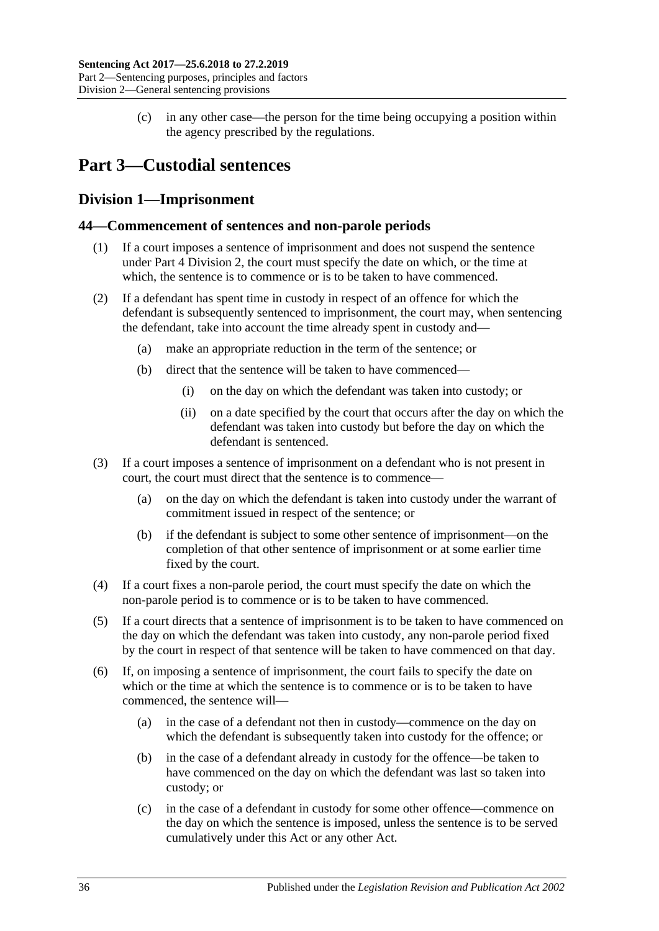(c) in any other case—the person for the time being occupying a position within the agency prescribed by the regulations.

# <span id="page-35-0"></span>**Part 3—Custodial sentences**

# <span id="page-35-1"></span>**Division 1—Imprisonment**

## <span id="page-35-2"></span>**44—Commencement of sentences and non-parole periods**

- (1) If a court imposes a sentence of imprisonment and does not suspend the sentence under Part [4 Division](#page-74-0) 2, the court must specify the date on which, or the time at which, the sentence is to commence or is to be taken to have commenced.
- (2) If a defendant has spent time in custody in respect of an offence for which the defendant is subsequently sentenced to imprisonment, the court may, when sentencing the defendant, take into account the time already spent in custody and—
	- (a) make an appropriate reduction in the term of the sentence; or
	- (b) direct that the sentence will be taken to have commenced—
		- (i) on the day on which the defendant was taken into custody; or
		- (ii) on a date specified by the court that occurs after the day on which the defendant was taken into custody but before the day on which the defendant is sentenced.
- (3) If a court imposes a sentence of imprisonment on a defendant who is not present in court, the court must direct that the sentence is to commence—
	- (a) on the day on which the defendant is taken into custody under the warrant of commitment issued in respect of the sentence; or
	- (b) if the defendant is subject to some other sentence of imprisonment—on the completion of that other sentence of imprisonment or at some earlier time fixed by the court.
- (4) If a court fixes a non-parole period, the court must specify the date on which the non-parole period is to commence or is to be taken to have commenced.
- (5) If a court directs that a sentence of imprisonment is to be taken to have commenced on the day on which the defendant was taken into custody, any non-parole period fixed by the court in respect of that sentence will be taken to have commenced on that day.
- (6) If, on imposing a sentence of imprisonment, the court fails to specify the date on which or the time at which the sentence is to commence or is to be taken to have commenced, the sentence will—
	- (a) in the case of a defendant not then in custody—commence on the day on which the defendant is subsequently taken into custody for the offence; or
	- (b) in the case of a defendant already in custody for the offence—be taken to have commenced on the day on which the defendant was last so taken into custody; or
	- (c) in the case of a defendant in custody for some other offence—commence on the day on which the sentence is imposed, unless the sentence is to be served cumulatively under this Act or any other Act.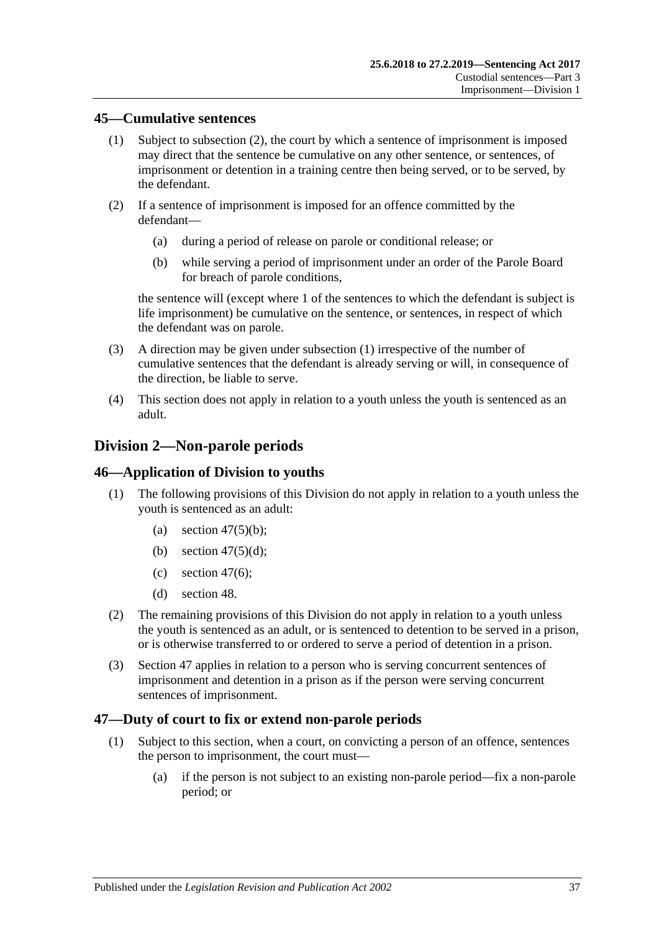### <span id="page-36-1"></span>**45—Cumulative sentences**

- (1) Subject to [subsection](#page-36-0) (2), the court by which a sentence of imprisonment is imposed may direct that the sentence be cumulative on any other sentence, or sentences, of imprisonment or detention in a training centre then being served, or to be served, by the defendant.
- <span id="page-36-0"></span>(2) If a sentence of imprisonment is imposed for an offence committed by the defendant—
	- (a) during a period of release on parole or conditional release; or
	- (b) while serving a period of imprisonment under an order of the Parole Board for breach of parole conditions,

the sentence will (except where 1 of the sentences to which the defendant is subject is life imprisonment) be cumulative on the sentence, or sentences, in respect of which the defendant was on parole.

- (3) A direction may be given under [subsection](#page-36-1) (1) irrespective of the number of cumulative sentences that the defendant is already serving or will, in consequence of the direction, be liable to serve.
- (4) This section does not apply in relation to a youth unless the youth is sentenced as an adult.

# **Division 2—Non-parole periods**

### **46—Application of Division to youths**

- (1) The following provisions of this Division do not apply in relation to a youth unless the youth is sentenced as an adult:
	- (a) section  $47(5)(b)$ ;
	- (b) section  $47(5)(d)$ ;
	- (c) [section](#page-38-0) 47 $(6)$ ;
	- (d) [section](#page-40-0) 48.
- (2) The remaining provisions of this Division do not apply in relation to a youth unless the youth is sentenced as an adult, or is sentenced to detention to be served in a prison, or is otherwise transferred to or ordered to serve a period of detention in a prison.
- (3) [Section](#page-36-2) 47 applies in relation to a person who is serving concurrent sentences of imprisonment and detention in a prison as if the person were serving concurrent sentences of imprisonment.

### <span id="page-36-2"></span>**47—Duty of court to fix or extend non-parole periods**

- <span id="page-36-3"></span>(1) Subject to this section, when a court, on convicting a person of an offence, sentences the person to imprisonment, the court must—
	- (a) if the person is not subject to an existing non-parole period—fix a non-parole period; or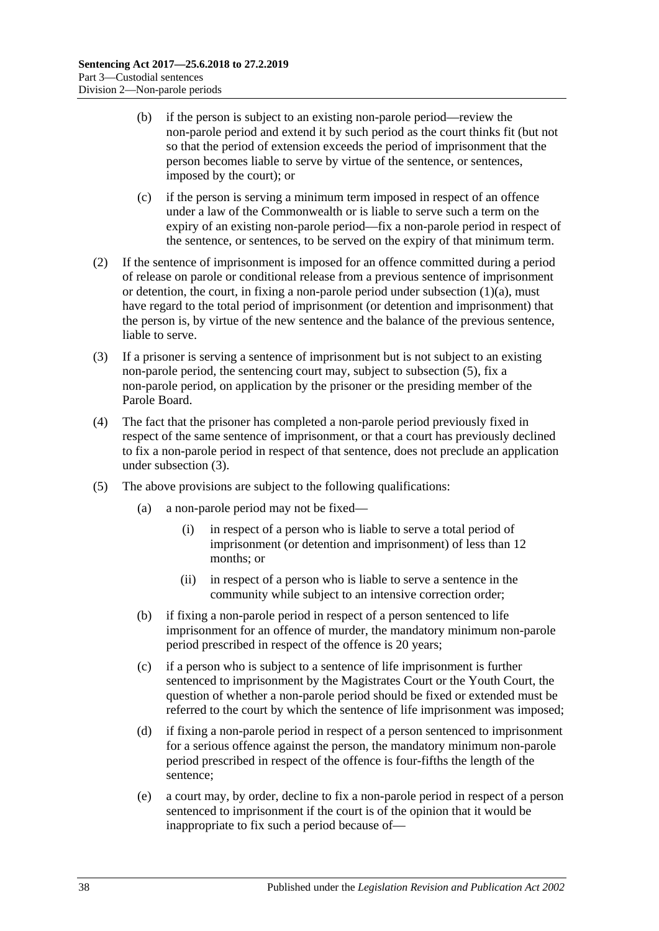- (b) if the person is subject to an existing non-parole period—review the non-parole period and extend it by such period as the court thinks fit (but not so that the period of extension exceeds the period of imprisonment that the person becomes liable to serve by virtue of the sentence, or sentences, imposed by the court); or
- (c) if the person is serving a minimum term imposed in respect of an offence under a law of the Commonwealth or is liable to serve such a term on the expiry of an existing non-parole period—fix a non-parole period in respect of the sentence, or sentences, to be served on the expiry of that minimum term.
- (2) If the sentence of imprisonment is imposed for an offence committed during a period of release on parole or conditional release from a previous sentence of imprisonment or detention, the court, in fixing a non-parole period under [subsection](#page-36-3)  $(1)(a)$ , must have regard to the total period of imprisonment (or detention and imprisonment) that the person is, by virtue of the new sentence and the balance of the previous sentence, liable to serve.
- <span id="page-37-3"></span>(3) If a prisoner is serving a sentence of imprisonment but is not subject to an existing non-parole period, the sentencing court may, subject to [subsection](#page-37-2) (5), fix a non-parole period, on application by the prisoner or the presiding member of the Parole Board.
- (4) The fact that the prisoner has completed a non-parole period previously fixed in respect of the same sentence of imprisonment, or that a court has previously declined to fix a non-parole period in respect of that sentence, does not preclude an application under [subsection](#page-37-3) (3).
- <span id="page-37-2"></span><span id="page-37-1"></span><span id="page-37-0"></span>(5) The above provisions are subject to the following qualifications:
	- (a) a non-parole period may not be fixed—
		- (i) in respect of a person who is liable to serve a total period of imprisonment (or detention and imprisonment) of less than 12 months; or
		- (ii) in respect of a person who is liable to serve a sentence in the community while subject to an intensive correction order;
	- (b) if fixing a non-parole period in respect of a person sentenced to life imprisonment for an offence of murder, the mandatory minimum non-parole period prescribed in respect of the offence is 20 years;
	- (c) if a person who is subject to a sentence of life imprisonment is further sentenced to imprisonment by the Magistrates Court or the Youth Court, the question of whether a non-parole period should be fixed or extended must be referred to the court by which the sentence of life imprisonment was imposed;
	- (d) if fixing a non-parole period in respect of a person sentenced to imprisonment for a serious offence against the person, the mandatory minimum non-parole period prescribed in respect of the offence is four-fifths the length of the sentence;
	- (e) a court may, by order, decline to fix a non-parole period in respect of a person sentenced to imprisonment if the court is of the opinion that it would be inappropriate to fix such a period because of—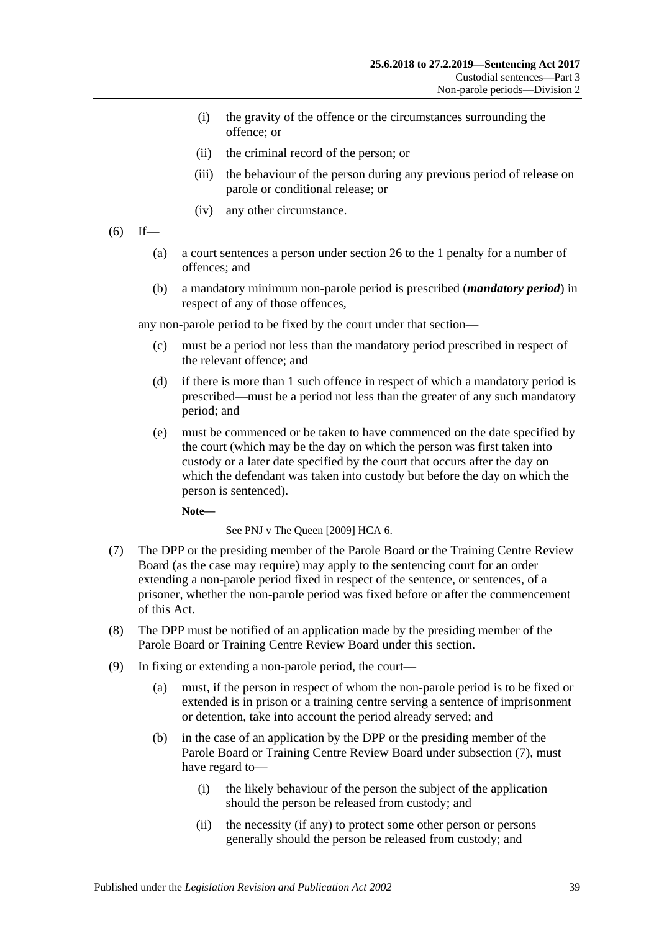- (i) the gravity of the offence or the circumstances surrounding the offence; or
- (ii) the criminal record of the person; or
- (iii) the behaviour of the person during any previous period of release on parole or conditional release; or
- (iv) any other circumstance.
- <span id="page-38-0"></span> $(6)$  If—
	- (a) a court sentences a person under [section](#page-20-0) 26 to the 1 penalty for a number of offences; and
	- (b) a mandatory minimum non-parole period is prescribed (*mandatory period*) in respect of any of those offences,

any non-parole period to be fixed by the court under that section—

- (c) must be a period not less than the mandatory period prescribed in respect of the relevant offence; and
- (d) if there is more than 1 such offence in respect of which a mandatory period is prescribed—must be a period not less than the greater of any such mandatory period; and
- (e) must be commenced or be taken to have commenced on the date specified by the court (which may be the day on which the person was first taken into custody or a later date specified by the court that occurs after the day on which the defendant was taken into custody but before the day on which the person is sentenced).

**Note—**

See PNJ v The Queen [2009] HCA 6.

- <span id="page-38-1"></span>(7) The DPP or the presiding member of the Parole Board or the Training Centre Review Board (as the case may require) may apply to the sentencing court for an order extending a non-parole period fixed in respect of the sentence, or sentences, of a prisoner, whether the non-parole period was fixed before or after the commencement of this Act.
- (8) The DPP must be notified of an application made by the presiding member of the Parole Board or Training Centre Review Board under this section.
- (9) In fixing or extending a non-parole period, the court—
	- (a) must, if the person in respect of whom the non-parole period is to be fixed or extended is in prison or a training centre serving a sentence of imprisonment or detention, take into account the period already served; and
	- (b) in the case of an application by the DPP or the presiding member of the Parole Board or Training Centre Review Board under [subsection](#page-38-1) (7), must have regard to—
		- (i) the likely behaviour of the person the subject of the application should the person be released from custody; and
		- (ii) the necessity (if any) to protect some other person or persons generally should the person be released from custody; and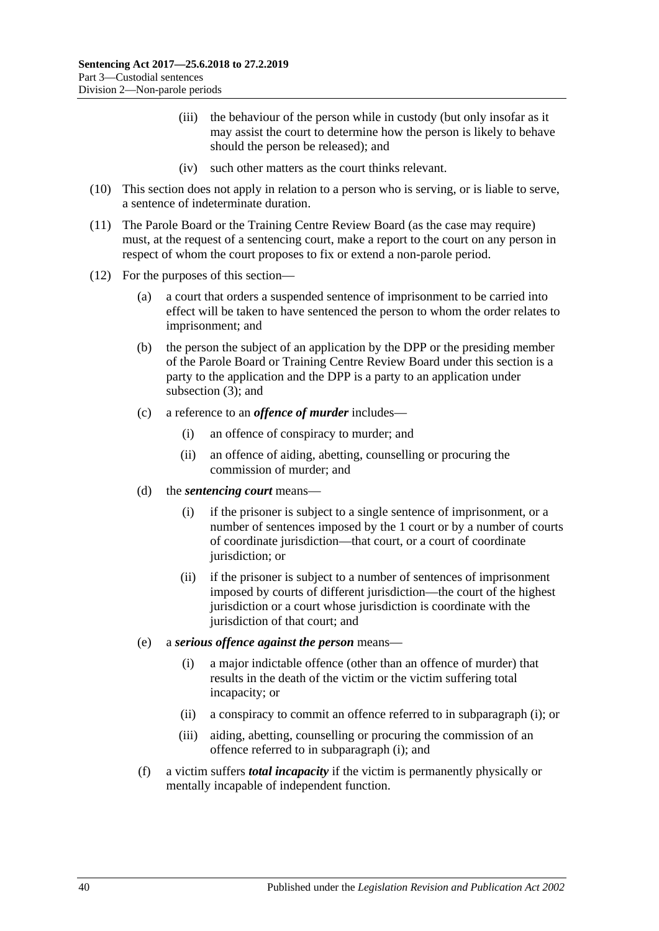- (iii) the behaviour of the person while in custody (but only insofar as it may assist the court to determine how the person is likely to behave should the person be released); and
- (iv) such other matters as the court thinks relevant.
- (10) This section does not apply in relation to a person who is serving, or is liable to serve, a sentence of indeterminate duration.
- (11) The Parole Board or the Training Centre Review Board (as the case may require) must, at the request of a sentencing court, make a report to the court on any person in respect of whom the court proposes to fix or extend a non-parole period.
- <span id="page-39-0"></span>(12) For the purposes of this section—
	- (a) a court that orders a suspended sentence of imprisonment to be carried into effect will be taken to have sentenced the person to whom the order relates to imprisonment; and
	- (b) the person the subject of an application by the DPP or the presiding member of the Parole Board or Training Centre Review Board under this section is a party to the application and the DPP is a party to an application under [subsection](#page-37-3) (3); and
	- (c) a reference to an *offence of murder* includes—
		- (i) an offence of conspiracy to murder; and
		- (ii) an offence of aiding, abetting, counselling or procuring the commission of murder; and
	- (d) the *sentencing court* means—
		- (i) if the prisoner is subject to a single sentence of imprisonment, or a number of sentences imposed by the 1 court or by a number of courts of coordinate jurisdiction—that court, or a court of coordinate jurisdiction; or
		- (ii) if the prisoner is subject to a number of sentences of imprisonment imposed by courts of different jurisdiction—the court of the highest jurisdiction or a court whose jurisdiction is coordinate with the jurisdiction of that court; and
	- (e) a *serious offence against the person* means—
		- (i) a major indictable offence (other than an offence of murder) that results in the death of the victim or the victim suffering total incapacity; or
		- (ii) a conspiracy to commit an offence referred to in [subparagraph](#page-39-0) (i); or
		- (iii) aiding, abetting, counselling or procuring the commission of an offence referred to in [subparagraph](#page-39-0) (i); and
	- (f) a victim suffers *total incapacity* if the victim is permanently physically or mentally incapable of independent function.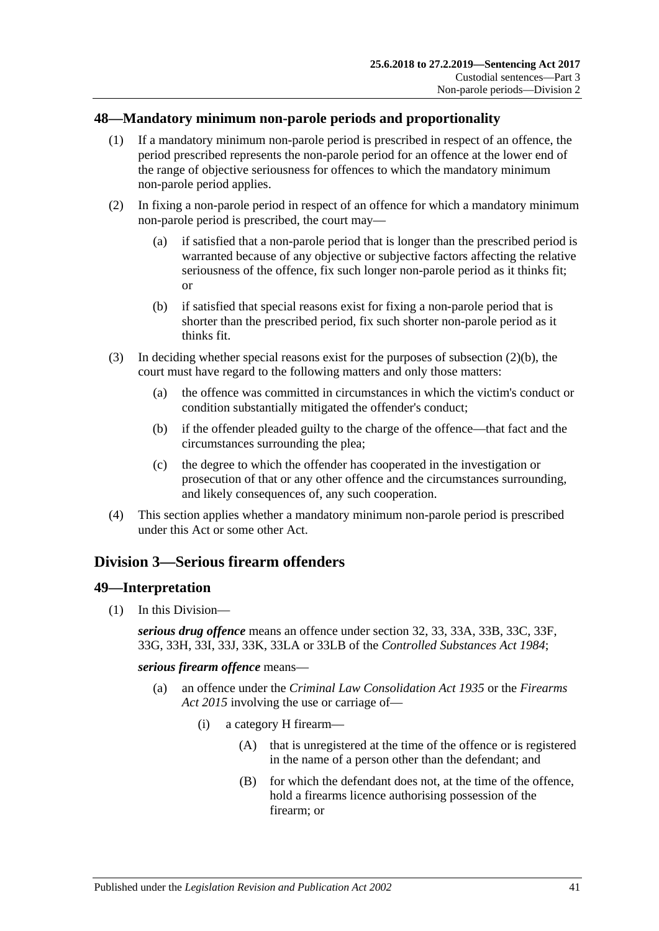# <span id="page-40-0"></span>**48—Mandatory minimum non-parole periods and proportionality**

- (1) If a mandatory minimum non-parole period is prescribed in respect of an offence, the period prescribed represents the non-parole period for an offence at the lower end of the range of objective seriousness for offences to which the mandatory minimum non-parole period applies.
- (2) In fixing a non-parole period in respect of an offence for which a mandatory minimum non-parole period is prescribed, the court may—
	- (a) if satisfied that a non-parole period that is longer than the prescribed period is warranted because of any objective or subjective factors affecting the relative seriousness of the offence, fix such longer non-parole period as it thinks fit; or
	- (b) if satisfied that special reasons exist for fixing a non-parole period that is shorter than the prescribed period, fix such shorter non-parole period as it thinks fit.
- <span id="page-40-1"></span>(3) In deciding whether special reasons exist for the purposes of [subsection](#page-40-1)  $(2)(b)$ , the court must have regard to the following matters and only those matters:
	- (a) the offence was committed in circumstances in which the victim's conduct or condition substantially mitigated the offender's conduct;
	- (b) if the offender pleaded guilty to the charge of the offence—that fact and the circumstances surrounding the plea;
	- (c) the degree to which the offender has cooperated in the investigation or prosecution of that or any other offence and the circumstances surrounding, and likely consequences of, any such cooperation.
- (4) This section applies whether a mandatory minimum non-parole period is prescribed under this Act or some other Act.

# <span id="page-40-2"></span>**Division 3—Serious firearm offenders**

# **49—Interpretation**

(1) In this Division—

*serious drug offence* means an offence under section 32, 33, 33A, 33B, 33C, 33F, 33G, 33H, 33I, 33J, 33K, 33LA or 33LB of the *[Controlled Substances Act](http://www.legislation.sa.gov.au/index.aspx?action=legref&type=act&legtitle=Controlled%20Substances%20Act%201984) 1984*;

*serious firearm offence* means—

- (a) an offence under the *[Criminal Law Consolidation Act](http://www.legislation.sa.gov.au/index.aspx?action=legref&type=act&legtitle=Criminal%20Law%20Consolidation%20Act%201935) 1935* or the *[Firearms](http://www.legislation.sa.gov.au/index.aspx?action=legref&type=act&legtitle=Firearms%20Act%202015)  Act [2015](http://www.legislation.sa.gov.au/index.aspx?action=legref&type=act&legtitle=Firearms%20Act%202015)* involving the use or carriage of—
	- (i) a category H firearm—
		- (A) that is unregistered at the time of the offence or is registered in the name of a person other than the defendant; and
		- (B) for which the defendant does not, at the time of the offence, hold a firearms licence authorising possession of the firearm; or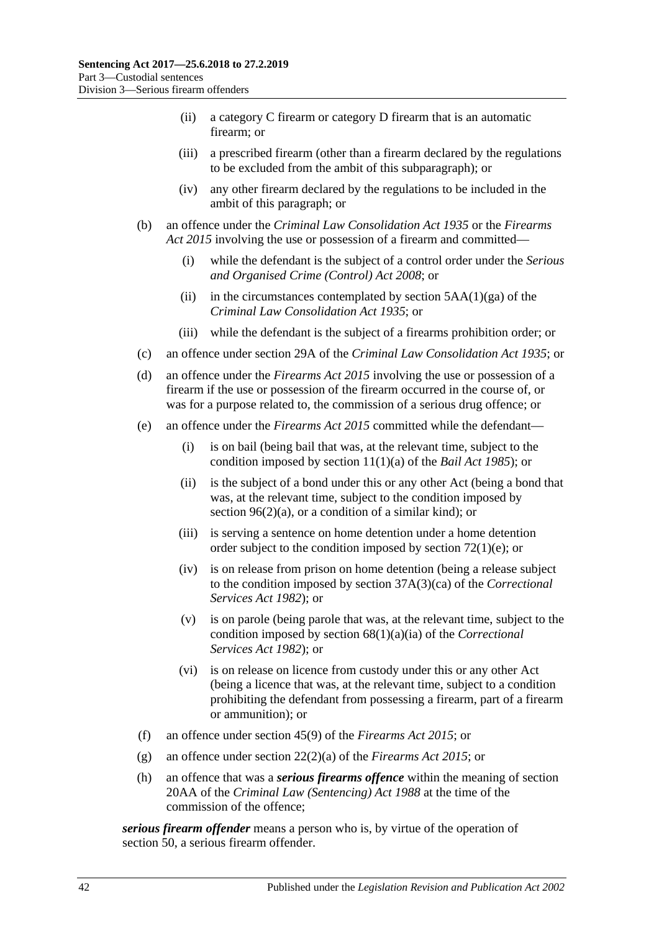- (ii) a category C firearm or category D firearm that is an automatic firearm; or
- (iii) a prescribed firearm (other than a firearm declared by the regulations to be excluded from the ambit of this subparagraph); or
- (iv) any other firearm declared by the regulations to be included in the ambit of this paragraph; or
- (b) an offence under the *[Criminal Law Consolidation Act](http://www.legislation.sa.gov.au/index.aspx?action=legref&type=act&legtitle=Criminal%20Law%20Consolidation%20Act%201935) 1935* or the *[Firearms](http://www.legislation.sa.gov.au/index.aspx?action=legref&type=act&legtitle=Firearms%20Act%202015)  Act [2015](http://www.legislation.sa.gov.au/index.aspx?action=legref&type=act&legtitle=Firearms%20Act%202015)* involving the use or possession of a firearm and committed—
	- (i) while the defendant is the subject of a control order under the *[Serious](http://www.legislation.sa.gov.au/index.aspx?action=legref&type=act&legtitle=Serious%20and%20Organised%20Crime%20(Control)%20Act%202008)  [and Organised Crime \(Control\) Act](http://www.legislation.sa.gov.au/index.aspx?action=legref&type=act&legtitle=Serious%20and%20Organised%20Crime%20(Control)%20Act%202008) 2008*; or
	- (ii) in the circumstances contemplated by section  $5AA(1)(ga)$  of the *[Criminal Law Consolidation Act](http://www.legislation.sa.gov.au/index.aspx?action=legref&type=act&legtitle=Criminal%20Law%20Consolidation%20Act%201935) 1935*; or
	- (iii) while the defendant is the subject of a firearms prohibition order; or
- (c) an offence under section 29A of the *[Criminal Law Consolidation Act](http://www.legislation.sa.gov.au/index.aspx?action=legref&type=act&legtitle=Criminal%20Law%20Consolidation%20Act%201935) 1935*; or
- (d) an offence under the *[Firearms Act](http://www.legislation.sa.gov.au/index.aspx?action=legref&type=act&legtitle=Firearms%20Act%202015) 2015* involving the use or possession of a firearm if the use or possession of the firearm occurred in the course of, or was for a purpose related to, the commission of a serious drug offence; or
- (e) an offence under the *[Firearms Act](http://www.legislation.sa.gov.au/index.aspx?action=legref&type=act&legtitle=Firearms%20Act%202015) 2015* committed while the defendant—
	- (i) is on bail (being bail that was, at the relevant time, subject to the condition imposed by section 11(1)(a) of the *[Bail Act](http://www.legislation.sa.gov.au/index.aspx?action=legref&type=act&legtitle=Bail%20Act%201985) 1985*); or
	- (ii) is the subject of a bond under this or any other Act (being a bond that was, at the relevant time, subject to the condition imposed by section  $96(2)(a)$ , or a condition of a similar kind); or
	- (iii) is serving a sentence on home detention under a home detention order subject to the condition imposed by section [72\(1\)\(e\);](#page-60-0) or
	- (iv) is on release from prison on home detention (being a release subject to the condition imposed by section 37A(3)(ca) of the *[Correctional](http://www.legislation.sa.gov.au/index.aspx?action=legref&type=act&legtitle=Correctional%20Services%20Act%201982)  [Services Act](http://www.legislation.sa.gov.au/index.aspx?action=legref&type=act&legtitle=Correctional%20Services%20Act%201982) 1982*); or
	- (v) is on parole (being parole that was, at the relevant time, subject to the condition imposed by section 68(1)(a)(ia) of the *[Correctional](http://www.legislation.sa.gov.au/index.aspx?action=legref&type=act&legtitle=Correctional%20Services%20Act%201982)  [Services Act](http://www.legislation.sa.gov.au/index.aspx?action=legref&type=act&legtitle=Correctional%20Services%20Act%201982) 1982*); or
	- (vi) is on release on licence from custody under this or any other Act (being a licence that was, at the relevant time, subject to a condition prohibiting the defendant from possessing a firearm, part of a firearm or ammunition); or
- (f) an offence under section 45(9) of the *[Firearms Act](http://www.legislation.sa.gov.au/index.aspx?action=legref&type=act&legtitle=Firearms%20Act%202015) 2015*; or
- (g) an offence under section 22(2)(a) of the *[Firearms Act](http://www.legislation.sa.gov.au/index.aspx?action=legref&type=act&legtitle=Firearms%20Act%202015) 2015*; or
- (h) an offence that was a *serious firearms offence* within the meaning of section 20AA of the *[Criminal Law \(Sentencing\) Act](http://www.legislation.sa.gov.au/index.aspx?action=legref&type=act&legtitle=Criminal%20Law%20(Sentencing)%20Act%201988) 1988* at the time of the commission of the offence;

*serious firearm offender* means a person who is, by virtue of the operation of [section](#page-42-0) 50, a serious firearm offender.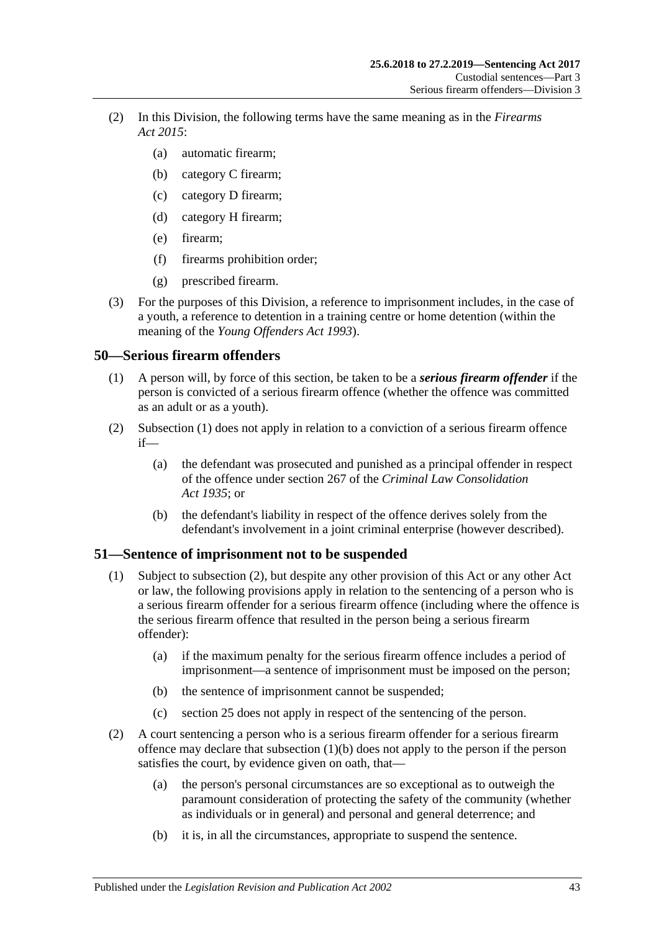- (2) In this Division, the following terms have the same meaning as in the *[Firearms](http://www.legislation.sa.gov.au/index.aspx?action=legref&type=act&legtitle=Firearms%20Act%202015)  Act [2015](http://www.legislation.sa.gov.au/index.aspx?action=legref&type=act&legtitle=Firearms%20Act%202015)*:
	- (a) automatic firearm;
	- (b) category C firearm;
	- (c) category D firearm;
	- (d) category H firearm;
	- (e) firearm;
	- (f) firearms prohibition order;
	- (g) prescribed firearm.
- (3) For the purposes of this Division, a reference to imprisonment includes, in the case of a youth, a reference to detention in a training centre or home detention (within the meaning of the *[Young Offenders Act](http://www.legislation.sa.gov.au/index.aspx?action=legref&type=act&legtitle=Young%20Offenders%20Act%201993) 1993*).

# <span id="page-42-1"></span><span id="page-42-0"></span>**50—Serious firearm offenders**

- (1) A person will, by force of this section, be taken to be a *serious firearm offender* if the person is convicted of a serious firearm offence (whether the offence was committed as an adult or as a youth).
- (2) [Subsection](#page-42-1) (1) does not apply in relation to a conviction of a serious firearm offence if—
	- (a) the defendant was prosecuted and punished as a principal offender in respect of the offence under section 267 of the *[Criminal Law Consolidation](http://www.legislation.sa.gov.au/index.aspx?action=legref&type=act&legtitle=Criminal%20Law%20Consolidation%20Act%201935)  Act [1935](http://www.legislation.sa.gov.au/index.aspx?action=legref&type=act&legtitle=Criminal%20Law%20Consolidation%20Act%201935)*; or
	- (b) the defendant's liability in respect of the offence derives solely from the defendant's involvement in a joint criminal enterprise (however described).

# **51—Sentence of imprisonment not to be suspended**

- (1) Subject to [subsection](#page-42-2) (2), but despite any other provision of this Act or any other Act or law, the following provisions apply in relation to the sentencing of a person who is a serious firearm offender for a serious firearm offence (including where the offence is the serious firearm offence that resulted in the person being a serious firearm offender):
	- (a) if the maximum penalty for the serious firearm offence includes a period of imprisonment—a sentence of imprisonment must be imposed on the person;
	- (b) the sentence of imprisonment cannot be suspended;
	- (c) [section](#page-19-0) 25 does not apply in respect of the sentencing of the person.
- <span id="page-42-3"></span><span id="page-42-2"></span>(2) A court sentencing a person who is a serious firearm offender for a serious firearm offence may declare that [subsection](#page-42-3) (1)(b) does not apply to the person if the person satisfies the court, by evidence given on oath, that—
	- (a) the person's personal circumstances are so exceptional as to outweigh the paramount consideration of protecting the safety of the community (whether as individuals or in general) and personal and general deterrence; and
	- (b) it is, in all the circumstances, appropriate to suspend the sentence.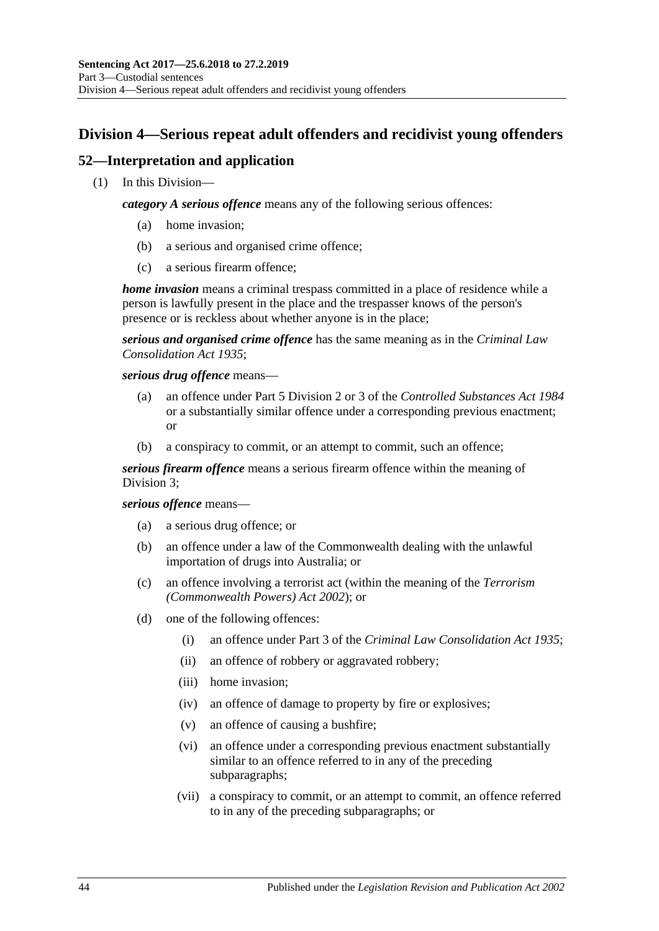# **Division 4—Serious repeat adult offenders and recidivist young offenders**

# **52—Interpretation and application**

(1) In this Division—

*category A serious offence* means any of the following serious offences:

- (a) home invasion;
- (b) a serious and organised crime offence;
- (c) a serious firearm offence;

*home invasion* means a criminal trespass committed in a place of residence while a person is lawfully present in the place and the trespasser knows of the person's presence or is reckless about whether anyone is in the place;

*serious and organised crime offence* has the same meaning as in the *[Criminal Law](http://www.legislation.sa.gov.au/index.aspx?action=legref&type=act&legtitle=Criminal%20Law%20Consolidation%20Act%201935)  [Consolidation Act](http://www.legislation.sa.gov.au/index.aspx?action=legref&type=act&legtitle=Criminal%20Law%20Consolidation%20Act%201935) 1935*;

*serious drug offence* means—

- (a) an offence under Part 5 Division 2 or 3 of the *[Controlled Substances Act](http://www.legislation.sa.gov.au/index.aspx?action=legref&type=act&legtitle=Controlled%20Substances%20Act%201984) 1984* or a substantially similar offence under a corresponding previous enactment; or
- (b) a conspiracy to commit, or an attempt to commit, such an offence;

*serious firearm offence* means a serious firearm offence within the meaning of [Division](#page-40-2) 3;

### *serious offence* means—

- (a) a serious drug offence; or
- (b) an offence under a law of the Commonwealth dealing with the unlawful importation of drugs into Australia; or
- (c) an offence involving a terrorist act (within the meaning of the *Terrorism (Commonwealth Powers) Act 2002*); or
- <span id="page-43-0"></span>(d) one of the following offences:
	- (i) an offence under Part 3 of the *[Criminal Law Consolidation Act](http://www.legislation.sa.gov.au/index.aspx?action=legref&type=act&legtitle=Criminal%20Law%20Consolidation%20Act%201935) 1935*;
	- (ii) an offence of robbery or aggravated robbery;
	- (iii) home invasion;
	- (iv) an offence of damage to property by fire or explosives;
	- (v) an offence of causing a bushfire;
	- (vi) an offence under a corresponding previous enactment substantially similar to an offence referred to in any of the preceding subparagraphs;
	- (vii) a conspiracy to commit, or an attempt to commit, an offence referred to in any of the preceding subparagraphs; or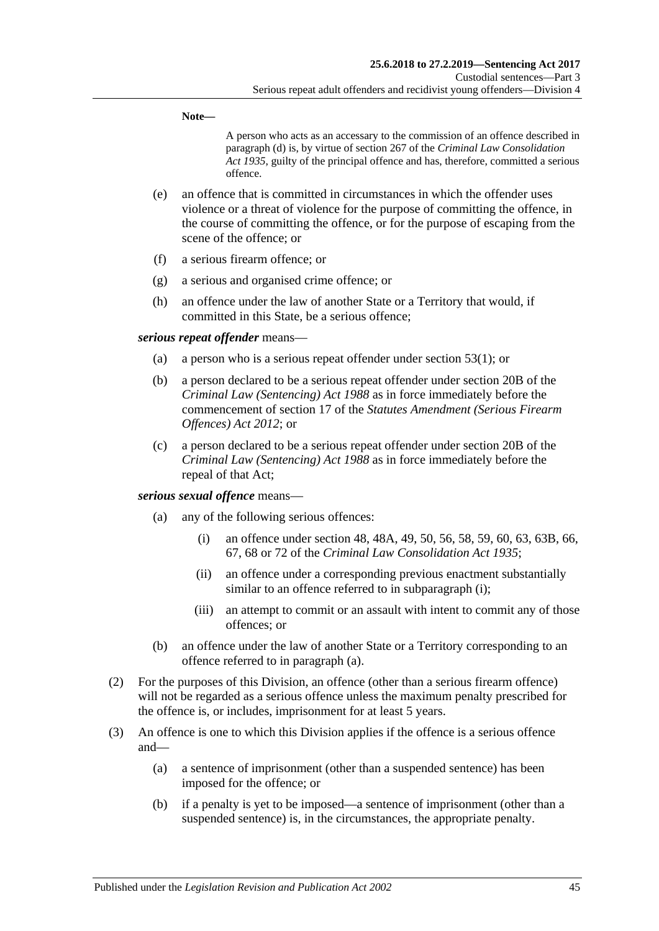**Note—**

A person who acts as an accessary to the commission of an offence described in [paragraph](#page-43-0) (d) is, by virtue of section 267 of the *[Criminal Law Consolidation](http://www.legislation.sa.gov.au/index.aspx?action=legref&type=act&legtitle=Criminal%20Law%20Consolidation%20Act%201935)  Act [1935](http://www.legislation.sa.gov.au/index.aspx?action=legref&type=act&legtitle=Criminal%20Law%20Consolidation%20Act%201935)*, guilty of the principal offence and has, therefore, committed a serious offence.

- (e) an offence that is committed in circumstances in which the offender uses violence or a threat of violence for the purpose of committing the offence, in the course of committing the offence, or for the purpose of escaping from the scene of the offence; or
- (f) a serious firearm offence; or
- (g) a serious and organised crime offence; or
- (h) an offence under the law of another State or a Territory that would, if committed in this State, be a serious offence;

#### *serious repeat offender* means—

- (a) a person who is a serious repeat offender under [section](#page-45-0) 53(1); or
- (b) a person declared to be a serious repeat offender under section 20B of the *[Criminal Law \(Sentencing\) Act](http://www.legislation.sa.gov.au/index.aspx?action=legref&type=act&legtitle=Criminal%20Law%20(Sentencing)%20Act%201988) 1988* as in force immediately before the commencement of section 17 of the *[Statutes Amendment \(Serious Firearm](http://www.legislation.sa.gov.au/index.aspx?action=legref&type=act&legtitle=Statutes%20Amendment%20(Serious%20Firearm%20Offences)%20Act%202012)  [Offences\) Act](http://www.legislation.sa.gov.au/index.aspx?action=legref&type=act&legtitle=Statutes%20Amendment%20(Serious%20Firearm%20Offences)%20Act%202012) 2012*; or
- (c) a person declared to be a serious repeat offender under section 20B of the *[Criminal Law \(Sentencing\) Act](http://www.legislation.sa.gov.au/index.aspx?action=legref&type=act&legtitle=Criminal%20Law%20(Sentencing)%20Act%201988) 1988* as in force immediately before the repeal of that Act;

#### <span id="page-44-1"></span><span id="page-44-0"></span>*serious sexual offence* means—

- (a) any of the following serious offences:
	- (i) an offence under section 48, 48A, 49, 50, 56, 58, 59, 60, 63, 63B, 66, 67, 68 or 72 of the *[Criminal Law Consolidation Act](http://www.legislation.sa.gov.au/index.aspx?action=legref&type=act&legtitle=Criminal%20Law%20Consolidation%20Act%201935) 1935*;
	- (ii) an offence under a corresponding previous enactment substantially similar to an offence referred to in [subparagraph](#page-44-0) (i);
	- (iii) an attempt to commit or an assault with intent to commit any of those offences; or
- (b) an offence under the law of another State or a Territory corresponding to an offence referred to in [paragraph](#page-44-1) (a).
- (2) For the purposes of this Division, an offence (other than a serious firearm offence) will not be regarded as a serious offence unless the maximum penalty prescribed for the offence is, or includes, imprisonment for at least 5 years.
- (3) An offence is one to which this Division applies if the offence is a serious offence and—
	- (a) a sentence of imprisonment (other than a suspended sentence) has been imposed for the offence; or
	- (b) if a penalty is yet to be imposed—a sentence of imprisonment (other than a suspended sentence) is, in the circumstances, the appropriate penalty.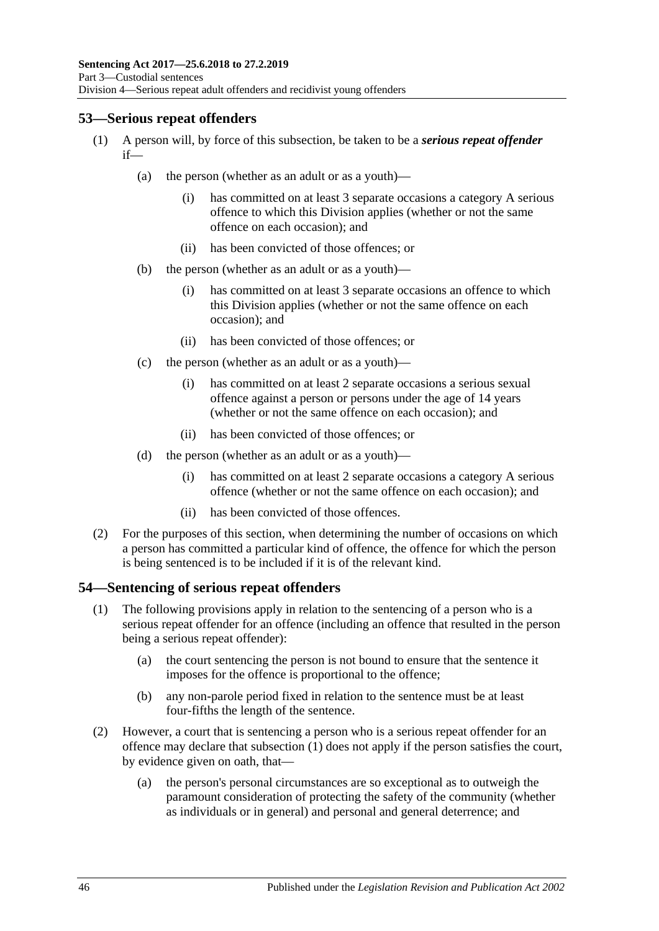# <span id="page-45-0"></span>**53—Serious repeat offenders**

- (1) A person will, by force of this subsection, be taken to be a *serious repeat offender* if—
	- (a) the person (whether as an adult or as a youth)—
		- (i) has committed on at least 3 separate occasions a category A serious offence to which this Division applies (whether or not the same offence on each occasion); and
		- (ii) has been convicted of those offences; or
	- (b) the person (whether as an adult or as a youth)—
		- (i) has committed on at least 3 separate occasions an offence to which this Division applies (whether or not the same offence on each occasion); and
		- (ii) has been convicted of those offences; or
	- (c) the person (whether as an adult or as a youth)—
		- (i) has committed on at least 2 separate occasions a serious sexual offence against a person or persons under the age of 14 years (whether or not the same offence on each occasion); and
		- (ii) has been convicted of those offences; or
	- (d) the person (whether as an adult or as a youth)—
		- (i) has committed on at least 2 separate occasions a category A serious offence (whether or not the same offence on each occasion); and
		- (ii) has been convicted of those offences.
- (2) For the purposes of this section, when determining the number of occasions on which a person has committed a particular kind of offence, the offence for which the person is being sentenced is to be included if it is of the relevant kind.

# <span id="page-45-1"></span>**54—Sentencing of serious repeat offenders**

- (1) The following provisions apply in relation to the sentencing of a person who is a serious repeat offender for an offence (including an offence that resulted in the person being a serious repeat offender):
	- (a) the court sentencing the person is not bound to ensure that the sentence it imposes for the offence is proportional to the offence;
	- (b) any non-parole period fixed in relation to the sentence must be at least four-fifths the length of the sentence.
- (2) However, a court that is sentencing a person who is a serious repeat offender for an offence may declare that [subsection](#page-45-1) (1) does not apply if the person satisfies the court, by evidence given on oath, that—
	- (a) the person's personal circumstances are so exceptional as to outweigh the paramount consideration of protecting the safety of the community (whether as individuals or in general) and personal and general deterrence; and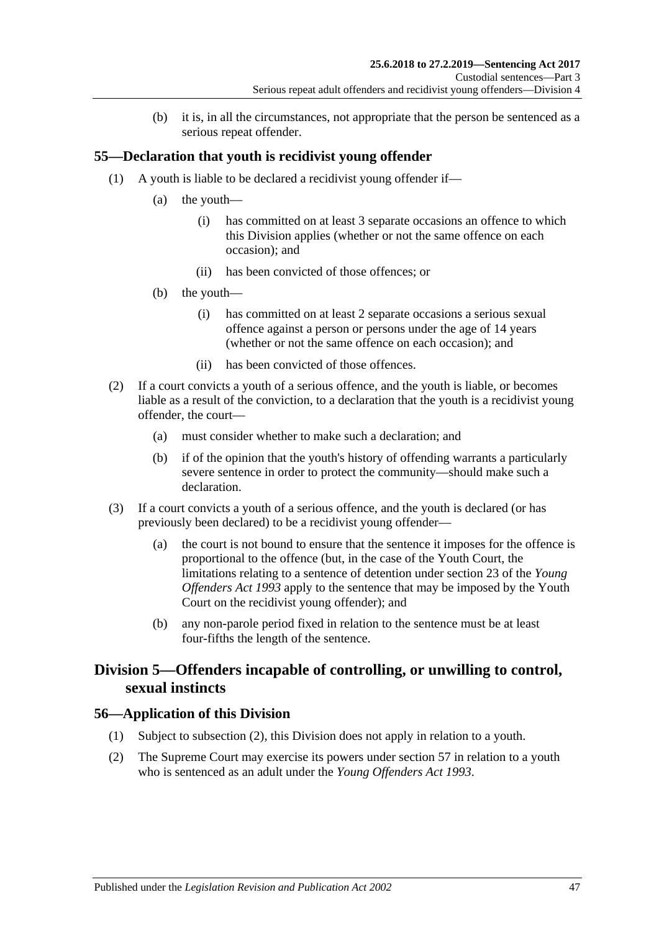(b) it is, in all the circumstances, not appropriate that the person be sentenced as a serious repeat offender.

# **55—Declaration that youth is recidivist young offender**

- (1) A youth is liable to be declared a recidivist young offender if—
	- (a) the youth—
		- (i) has committed on at least 3 separate occasions an offence to which this Division applies (whether or not the same offence on each occasion); and
		- (ii) has been convicted of those offences; or
	- (b) the youth—
		- (i) has committed on at least 2 separate occasions a serious sexual offence against a person or persons under the age of 14 years (whether or not the same offence on each occasion); and
		- (ii) has been convicted of those offences.
- (2) If a court convicts a youth of a serious offence, and the youth is liable, or becomes liable as a result of the conviction, to a declaration that the youth is a recidivist young offender, the court—
	- (a) must consider whether to make such a declaration; and
	- (b) if of the opinion that the youth's history of offending warrants a particularly severe sentence in order to protect the community—should make such a declaration.
- (3) If a court convicts a youth of a serious offence, and the youth is declared (or has previously been declared) to be a recidivist young offender—
	- (a) the court is not bound to ensure that the sentence it imposes for the offence is proportional to the offence (but, in the case of the Youth Court, the limitations relating to a sentence of detention under section 23 of the *[Young](http://www.legislation.sa.gov.au/index.aspx?action=legref&type=act&legtitle=Young%20Offenders%20Act%201993)  [Offenders Act](http://www.legislation.sa.gov.au/index.aspx?action=legref&type=act&legtitle=Young%20Offenders%20Act%201993) 1993* apply to the sentence that may be imposed by the Youth Court on the recidivist young offender); and
	- (b) any non-parole period fixed in relation to the sentence must be at least four-fifths the length of the sentence.

# **Division 5—Offenders incapable of controlling, or unwilling to control, sexual instincts**

# **56—Application of this Division**

- (1) Subject to [subsection](#page-46-0) (2), this Division does not apply in relation to a youth.
- <span id="page-46-0"></span>(2) The Supreme Court may exercise its powers under [section](#page-47-0) 57 in relation to a youth who is sentenced as an adult under the *[Young Offenders Act](http://www.legislation.sa.gov.au/index.aspx?action=legref&type=act&legtitle=Young%20Offenders%20Act%201993) 1993*.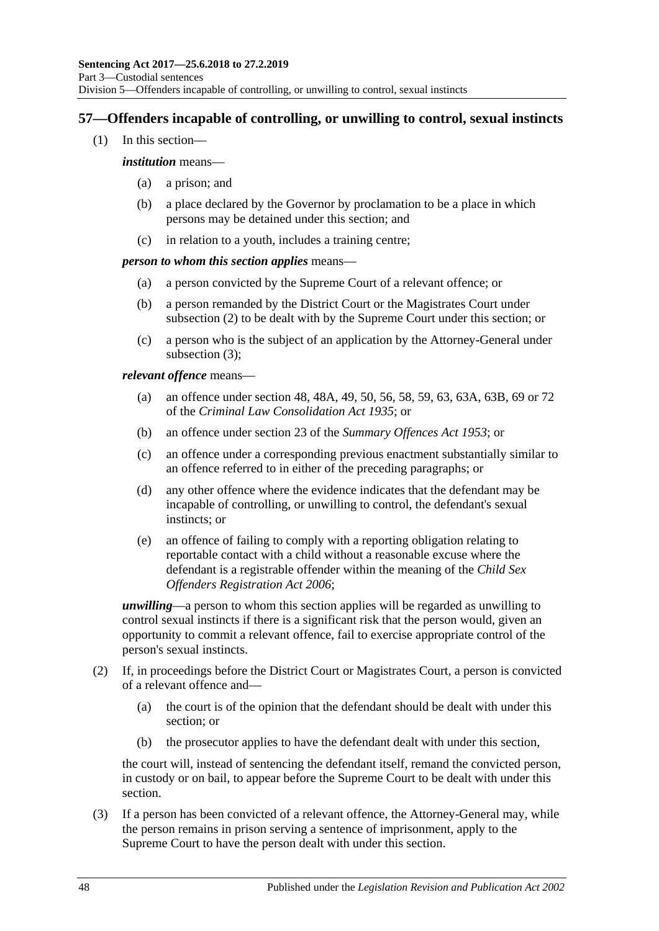# <span id="page-47-0"></span>**57—Offenders incapable of controlling, or unwilling to control, sexual instincts**

(1) In this section—

#### *institution* means—

- (a) a prison; and
- (b) a place declared by the Governor by proclamation to be a place in which persons may be detained under this section; and
- (c) in relation to a youth, includes a training centre;

### *person to whom this section applies* means—

- (a) a person convicted by the Supreme Court of a relevant offence; or
- (b) a person remanded by the District Court or the Magistrates Court under [subsection](#page-47-1) (2) to be dealt with by the Supreme Court under this section; or
- (c) a person who is the subject of an application by the Attorney-General under [subsection](#page-47-2) (3);

*relevant offence* means—

- (a) an offence under section 48, 48A, 49, 50, 56, 58, 59, 63, 63A, 63B, 69 or 72 of the *[Criminal Law Consolidation Act](http://www.legislation.sa.gov.au/index.aspx?action=legref&type=act&legtitle=Criminal%20Law%20Consolidation%20Act%201935) 1935*; or
- (b) an offence under section 23 of the *[Summary Offences Act](http://www.legislation.sa.gov.au/index.aspx?action=legref&type=act&legtitle=Summary%20Offences%20Act%201953) 1953*; or
- (c) an offence under a corresponding previous enactment substantially similar to an offence referred to in either of the preceding paragraphs; or
- (d) any other offence where the evidence indicates that the defendant may be incapable of controlling, or unwilling to control, the defendant's sexual instincts; or
- (e) an offence of failing to comply with a reporting obligation relating to reportable contact with a child without a reasonable excuse where the defendant is a registrable offender within the meaning of the *[Child Sex](http://www.legislation.sa.gov.au/index.aspx?action=legref&type=act&legtitle=Child%20Sex%20Offenders%20Registration%20Act%202006)  [Offenders Registration Act](http://www.legislation.sa.gov.au/index.aspx?action=legref&type=act&legtitle=Child%20Sex%20Offenders%20Registration%20Act%202006) 2006*;

*unwilling*—a person to whom this section applies will be regarded as unwilling to control sexual instincts if there is a significant risk that the person would, given an opportunity to commit a relevant offence, fail to exercise appropriate control of the person's sexual instincts.

- <span id="page-47-1"></span>(2) If, in proceedings before the District Court or Magistrates Court, a person is convicted of a relevant offence and—
	- (a) the court is of the opinion that the defendant should be dealt with under this section; or
	- (b) the prosecutor applies to have the defendant dealt with under this section,

the court will, instead of sentencing the defendant itself, remand the convicted person, in custody or on bail, to appear before the Supreme Court to be dealt with under this section.

<span id="page-47-2"></span>(3) If a person has been convicted of a relevant offence, the Attorney-General may, while the person remains in prison serving a sentence of imprisonment, apply to the Supreme Court to have the person dealt with under this section.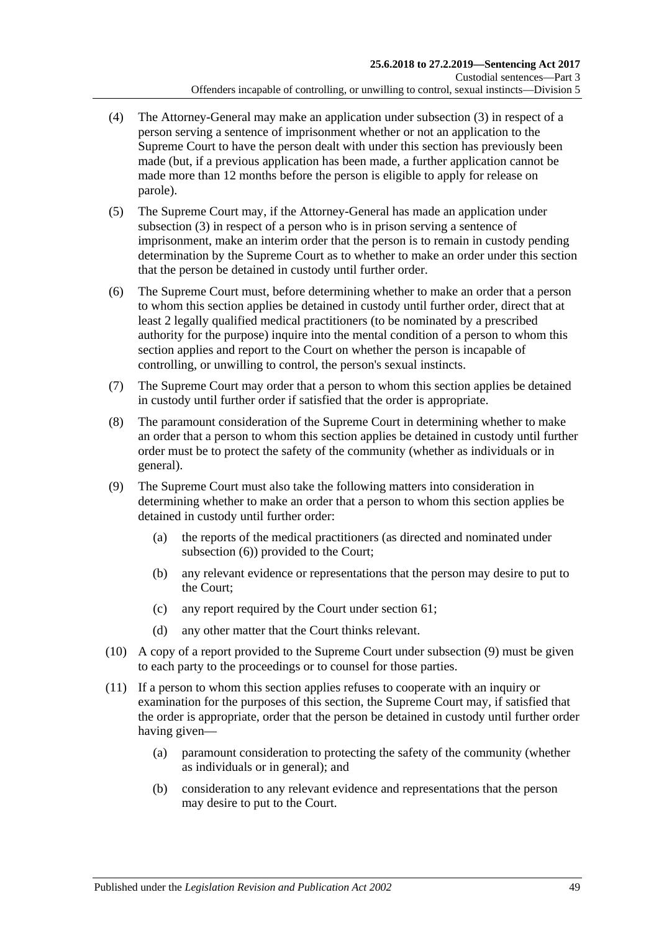- (4) The Attorney-General may make an application under [subsection](#page-47-2) (3) in respect of a person serving a sentence of imprisonment whether or not an application to the Supreme Court to have the person dealt with under this section has previously been made (but, if a previous application has been made, a further application cannot be made more than 12 months before the person is eligible to apply for release on parole).
- (5) The Supreme Court may, if the Attorney-General has made an application under [subsection](#page-47-2) (3) in respect of a person who is in prison serving a sentence of imprisonment, make an interim order that the person is to remain in custody pending determination by the Supreme Court as to whether to make an order under this section that the person be detained in custody until further order.
- <span id="page-48-0"></span>(6) The Supreme Court must, before determining whether to make an order that a person to whom this section applies be detained in custody until further order, direct that at least 2 legally qualified medical practitioners (to be nominated by a prescribed authority for the purpose) inquire into the mental condition of a person to whom this section applies and report to the Court on whether the person is incapable of controlling, or unwilling to control, the person's sexual instincts.
- (7) The Supreme Court may order that a person to whom this section applies be detained in custody until further order if satisfied that the order is appropriate.
- (8) The paramount consideration of the Supreme Court in determining whether to make an order that a person to whom this section applies be detained in custody until further order must be to protect the safety of the community (whether as individuals or in general).
- <span id="page-48-1"></span>(9) The Supreme Court must also take the following matters into consideration in determining whether to make an order that a person to whom this section applies be detained in custody until further order:
	- (a) the reports of the medical practitioners (as directed and nominated under [subsection](#page-48-0) (6)) provided to the Court;
	- (b) any relevant evidence or representations that the person may desire to put to the Court;
	- (c) any report required by the Court under [section](#page-54-0) 61;
	- (d) any other matter that the Court thinks relevant.
- (10) A copy of a report provided to the Supreme Court under [subsection](#page-48-1) (9) must be given to each party to the proceedings or to counsel for those parties.
- (11) If a person to whom this section applies refuses to cooperate with an inquiry or examination for the purposes of this section, the Supreme Court may, if satisfied that the order is appropriate, order that the person be detained in custody until further order having given—
	- (a) paramount consideration to protecting the safety of the community (whether as individuals or in general); and
	- (b) consideration to any relevant evidence and representations that the person may desire to put to the Court.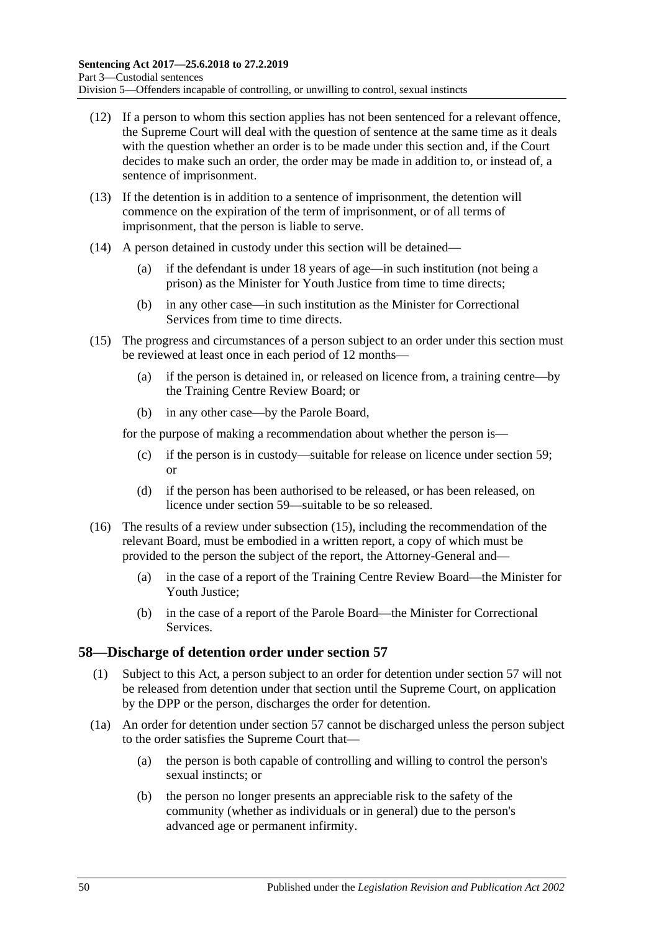- (12) If a person to whom this section applies has not been sentenced for a relevant offence, the Supreme Court will deal with the question of sentence at the same time as it deals with the question whether an order is to be made under this section and, if the Court decides to make such an order, the order may be made in addition to, or instead of, a sentence of imprisonment.
- (13) If the detention is in addition to a sentence of imprisonment, the detention will commence on the expiration of the term of imprisonment, or of all terms of imprisonment, that the person is liable to serve.
- (14) A person detained in custody under this section will be detained—
	- (a) if the defendant is under 18 years of age—in such institution (not being a prison) as the Minister for Youth Justice from time to time directs;
	- (b) in any other case—in such institution as the Minister for Correctional Services from time to time directs.
- <span id="page-49-0"></span>(15) The progress and circumstances of a person subject to an order under this section must be reviewed at least once in each period of 12 months—
	- (a) if the person is detained in, or released on licence from, a training centre—by the Training Centre Review Board; or
	- (b) in any other case—by the Parole Board,

for the purpose of making a recommendation about whether the person is—

- (c) if the person is in custody—suitable for release on licence under [section](#page-50-0) 59; or
- (d) if the person has been authorised to be released, or has been released, on licence under [section](#page-50-0) 59—suitable to be so released.
- (16) The results of a review under [subsection](#page-49-0) (15), including the recommendation of the relevant Board, must be embodied in a written report, a copy of which must be provided to the person the subject of the report, the Attorney-General and—
	- (a) in the case of a report of the Training Centre Review Board—the Minister for Youth Justice;
	- (b) in the case of a report of the Parole Board—the Minister for Correctional Services.

# **58—Discharge of detention order under [section](#page-47-0) 57**

- (1) Subject to this Act, a person subject to an order for detention under [section](#page-47-0) 57 will not be released from detention under that section until the Supreme Court, on application by the DPP or the person, discharges the order for detention.
- (1a) An order for detention under [section](#page-47-0) 57 cannot be discharged unless the person subject to the order satisfies the Supreme Court that—
	- (a) the person is both capable of controlling and willing to control the person's sexual instincts; or
	- (b) the person no longer presents an appreciable risk to the safety of the community (whether as individuals or in general) due to the person's advanced age or permanent infirmity.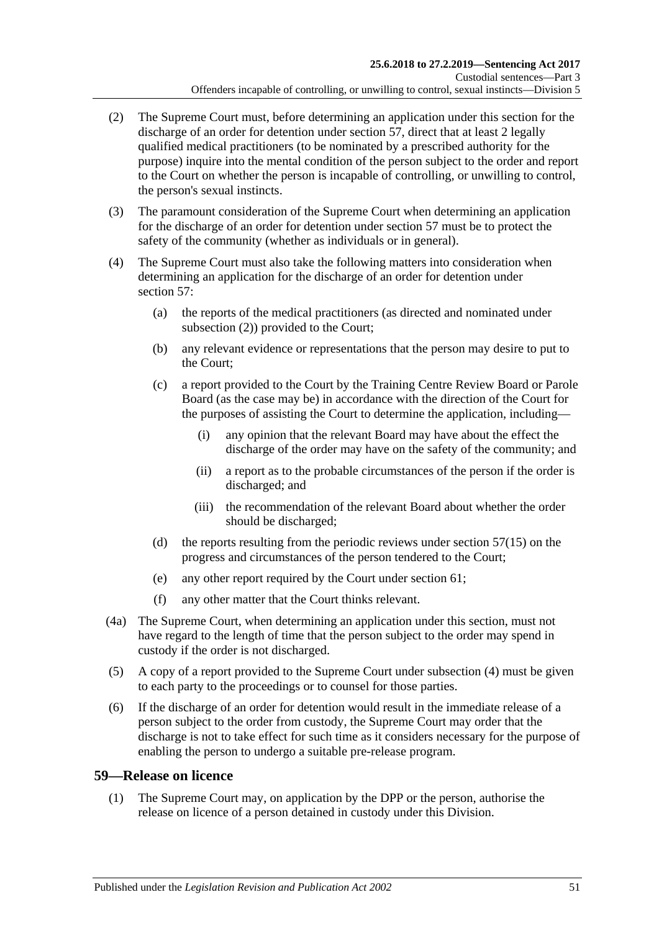- <span id="page-50-1"></span>(2) The Supreme Court must, before determining an application under this section for the discharge of an order for detention under [section](#page-47-0) 57, direct that at least 2 legally qualified medical practitioners (to be nominated by a prescribed authority for the purpose) inquire into the mental condition of the person subject to the order and report to the Court on whether the person is incapable of controlling, or unwilling to control, the person's sexual instincts.
- (3) The paramount consideration of the Supreme Court when determining an application for the discharge of an order for detention under [section](#page-47-0) 57 must be to protect the safety of the community (whether as individuals or in general).
- <span id="page-50-2"></span>(4) The Supreme Court must also take the following matters into consideration when determining an application for the discharge of an order for detention under [section](#page-47-0) 57:
	- (a) the reports of the medical practitioners (as directed and nominated under [subsection](#page-50-1) (2)) provided to the Court;
	- (b) any relevant evidence or representations that the person may desire to put to the Court;
	- (c) a report provided to the Court by the Training Centre Review Board or Parole Board (as the case may be) in accordance with the direction of the Court for the purposes of assisting the Court to determine the application, including—
		- (i) any opinion that the relevant Board may have about the effect the discharge of the order may have on the safety of the community; and
		- (ii) a report as to the probable circumstances of the person if the order is discharged; and
		- (iii) the recommendation of the relevant Board about whether the order should be discharged;
	- (d) the reports resulting from the periodic reviews under [section](#page-49-0)  $57(15)$  on the progress and circumstances of the person tendered to the Court;
	- (e) any other report required by the Court under [section](#page-54-0) 61;
	- (f) any other matter that the Court thinks relevant.
- (4a) The Supreme Court, when determining an application under this section, must not have regard to the length of time that the person subject to the order may spend in custody if the order is not discharged.
- (5) A copy of a report provided to the Supreme Court under [subsection](#page-50-2) (4) must be given to each party to the proceedings or to counsel for those parties.
- (6) If the discharge of an order for detention would result in the immediate release of a person subject to the order from custody, the Supreme Court may order that the discharge is not to take effect for such time as it considers necessary for the purpose of enabling the person to undergo a suitable pre-release program.

# <span id="page-50-3"></span><span id="page-50-0"></span>**59—Release on licence**

(1) The Supreme Court may, on application by the DPP or the person, authorise the release on licence of a person detained in custody under this Division.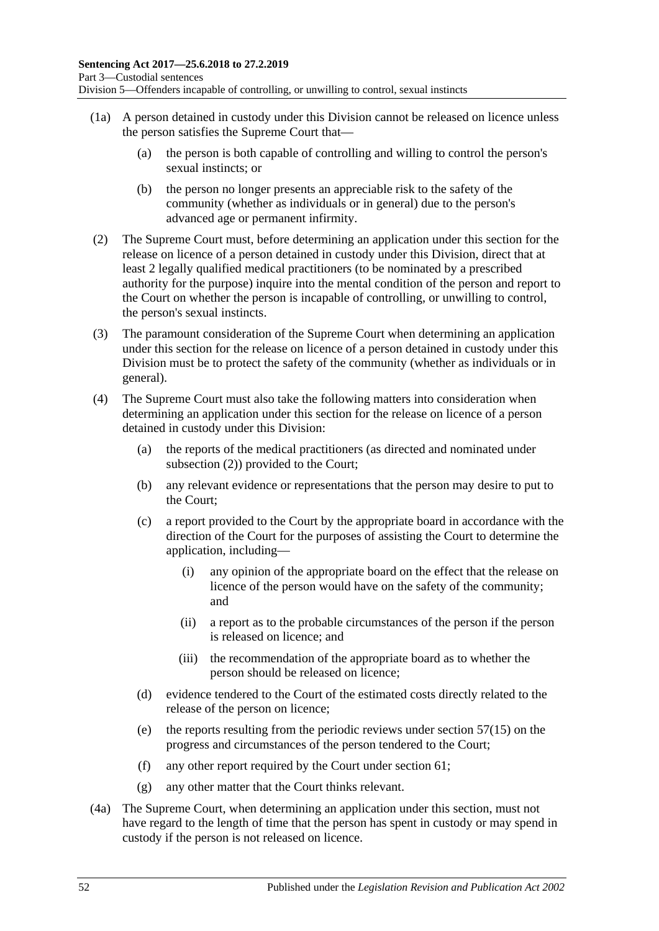- (1a) A person detained in custody under this Division cannot be released on licence unless the person satisfies the Supreme Court that—
	- (a) the person is both capable of controlling and willing to control the person's sexual instincts; or
	- (b) the person no longer presents an appreciable risk to the safety of the community (whether as individuals or in general) due to the person's advanced age or permanent infirmity.
- <span id="page-51-2"></span><span id="page-51-0"></span>(2) The Supreme Court must, before determining an application under this section for the release on licence of a person detained in custody under this Division, direct that at least 2 legally qualified medical practitioners (to be nominated by a prescribed authority for the purpose) inquire into the mental condition of the person and report to the Court on whether the person is incapable of controlling, or unwilling to control, the person's sexual instincts.
- (3) The paramount consideration of the Supreme Court when determining an application under this section for the release on licence of a person detained in custody under this Division must be to protect the safety of the community (whether as individuals or in general).
- <span id="page-51-1"></span>(4) The Supreme Court must also take the following matters into consideration when determining an application under this section for the release on licence of a person detained in custody under this Division:
	- (a) the reports of the medical practitioners (as directed and nominated under [subsection](#page-51-0) (2)) provided to the Court;
	- (b) any relevant evidence or representations that the person may desire to put to the Court;
	- (c) a report provided to the Court by the appropriate board in accordance with the direction of the Court for the purposes of assisting the Court to determine the application, including—
		- (i) any opinion of the appropriate board on the effect that the release on licence of the person would have on the safety of the community; and
		- (ii) a report as to the probable circumstances of the person if the person is released on licence; and
		- (iii) the recommendation of the appropriate board as to whether the person should be released on licence;
	- (d) evidence tendered to the Court of the estimated costs directly related to the release of the person on licence;
	- (e) the reports resulting from the periodic reviews under [section](#page-49-0)  $57(15)$  on the progress and circumstances of the person tendered to the Court;
	- (f) any other report required by the Court under [section](#page-54-0) 61;
	- (g) any other matter that the Court thinks relevant.
- (4a) The Supreme Court, when determining an application under this section, must not have regard to the length of time that the person has spent in custody or may spend in custody if the person is not released on licence.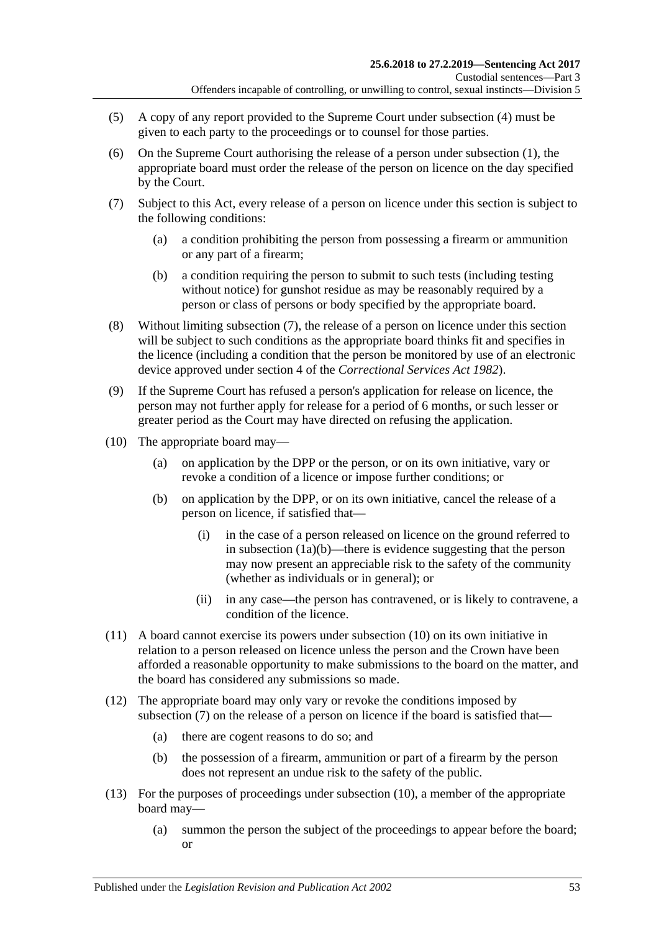- (5) A copy of any report provided to the Supreme Court under [subsection](#page-51-1) (4) must be given to each party to the proceedings or to counsel for those parties.
- (6) On the Supreme Court authorising the release of a person under [subsection](#page-50-3) (1), the appropriate board must order the release of the person on licence on the day specified by the Court.
- <span id="page-52-2"></span><span id="page-52-0"></span>(7) Subject to this Act, every release of a person on licence under this section is subject to the following conditions:
	- (a) a condition prohibiting the person from possessing a firearm or ammunition or any part of a firearm;
	- (b) a condition requiring the person to submit to such tests (including testing without notice) for gunshot residue as may be reasonably required by a person or class of persons or body specified by the appropriate board.
- (8) Without limiting [subsection](#page-52-0) (7), the release of a person on licence under this section will be subject to such conditions as the appropriate board thinks fit and specifies in the licence (including a condition that the person be monitored by use of an electronic device approved under section 4 of the *[Correctional Services Act](http://www.legislation.sa.gov.au/index.aspx?action=legref&type=act&legtitle=Correctional%20Services%20Act%201982) 1982*).
- (9) If the Supreme Court has refused a person's application for release on licence, the person may not further apply for release for a period of 6 months, or such lesser or greater period as the Court may have directed on refusing the application.
- <span id="page-52-1"></span>(10) The appropriate board may—
	- (a) on application by the DPP or the person, or on its own initiative, vary or revoke a condition of a licence or impose further conditions; or
	- (b) on application by the DPP, or on its own initiative, cancel the release of a person on licence, if satisfied that—
		- (i) in the case of a person released on licence on the ground referred to in [subsection](#page-51-2) (1a)(b)—there is evidence suggesting that the person may now present an appreciable risk to the safety of the community (whether as individuals or in general); or
		- (ii) in any case—the person has contravened, or is likely to contravene, a condition of the licence.
- (11) A board cannot exercise its powers under [subsection](#page-52-1) (10) on its own initiative in relation to a person released on licence unless the person and the Crown have been afforded a reasonable opportunity to make submissions to the board on the matter, and the board has considered any submissions so made.
- (12) The appropriate board may only vary or revoke the conditions imposed by [subsection](#page-52-0) (7) on the release of a person on licence if the board is satisfied that—
	- (a) there are cogent reasons to do so; and
	- (b) the possession of a firearm, ammunition or part of a firearm by the person does not represent an undue risk to the safety of the public.
- (13) For the purposes of proceedings under [subsection](#page-52-1) (10), a member of the appropriate board may—
	- (a) summon the person the subject of the proceedings to appear before the board; or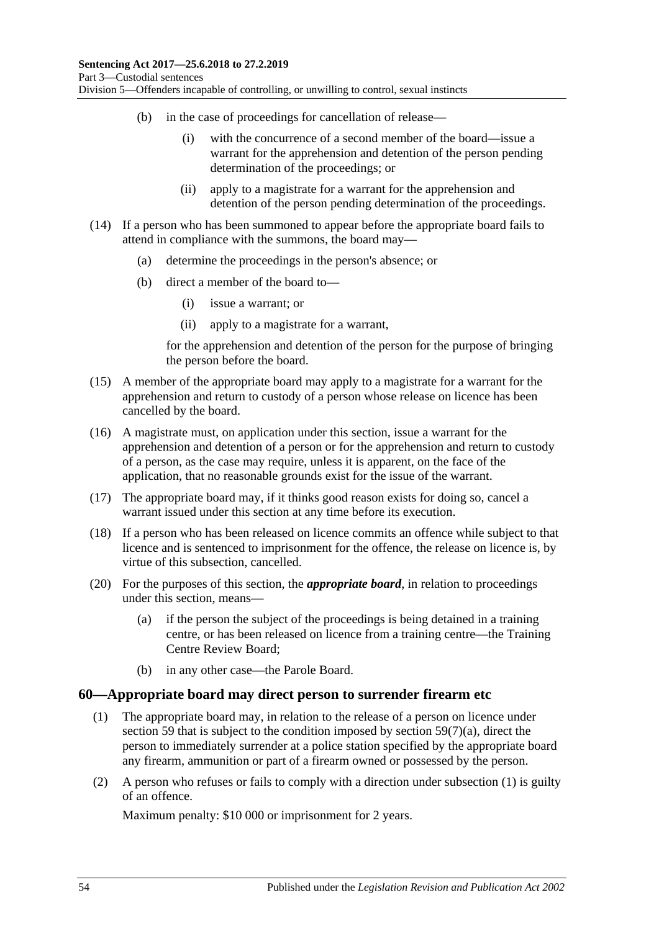- (b) in the case of proceedings for cancellation of release—
	- (i) with the concurrence of a second member of the board—issue a warrant for the apprehension and detention of the person pending determination of the proceedings; or
	- (ii) apply to a magistrate for a warrant for the apprehension and detention of the person pending determination of the proceedings.
- (14) If a person who has been summoned to appear before the appropriate board fails to attend in compliance with the summons, the board may—
	- (a) determine the proceedings in the person's absence; or
	- (b) direct a member of the board to—
		- (i) issue a warrant; or
		- (ii) apply to a magistrate for a warrant,

for the apprehension and detention of the person for the purpose of bringing the person before the board.

- (15) A member of the appropriate board may apply to a magistrate for a warrant for the apprehension and return to custody of a person whose release on licence has been cancelled by the board.
- (16) A magistrate must, on application under this section, issue a warrant for the apprehension and detention of a person or for the apprehension and return to custody of a person, as the case may require, unless it is apparent, on the face of the application, that no reasonable grounds exist for the issue of the warrant.
- (17) The appropriate board may, if it thinks good reason exists for doing so, cancel a warrant issued under this section at any time before its execution.
- (18) If a person who has been released on licence commits an offence while subject to that licence and is sentenced to imprisonment for the offence, the release on licence is, by virtue of this subsection, cancelled.
- (20) For the purposes of this section, the *appropriate board*, in relation to proceedings under this section, means—
	- (a) if the person the subject of the proceedings is being detained in a training centre, or has been released on licence from a training centre—the Training Centre Review Board;
	- (b) in any other case—the Parole Board.

### <span id="page-53-0"></span>**60—Appropriate board may direct person to surrender firearm etc**

- (1) The appropriate board may, in relation to the release of a person on licence under [section](#page-50-0) 59 that is subject to the condition imposed by section  $59(7)(a)$ , direct the person to immediately surrender at a police station specified by the appropriate board any firearm, ammunition or part of a firearm owned or possessed by the person.
- (2) A person who refuses or fails to comply with a direction under [subsection](#page-53-0) (1) is guilty of an offence.

Maximum penalty: \$10 000 or imprisonment for 2 years.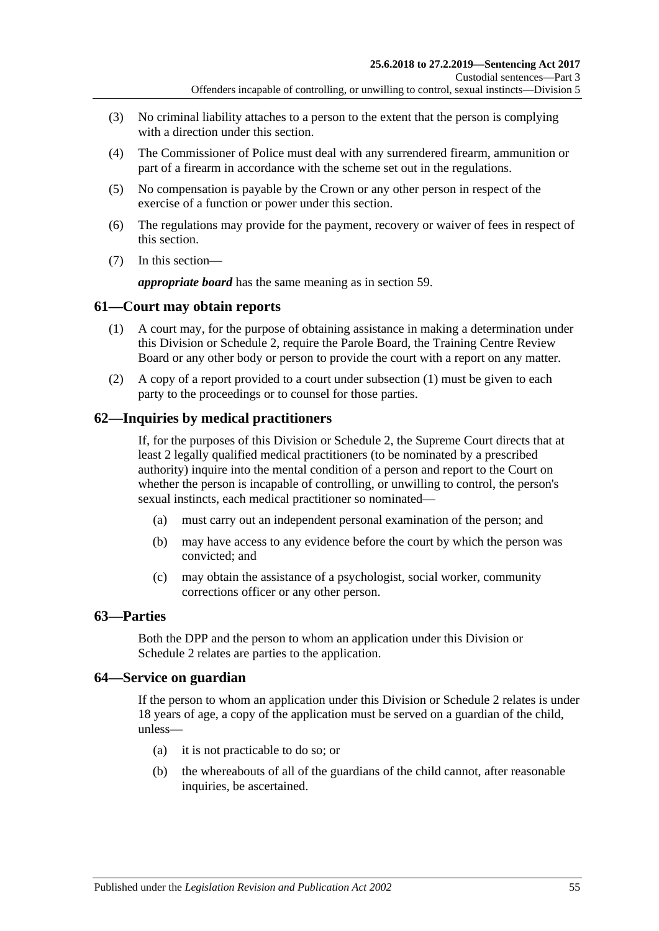- (3) No criminal liability attaches to a person to the extent that the person is complying with a direction under this section.
- (4) The Commissioner of Police must deal with any surrendered firearm, ammunition or part of a firearm in accordance with the scheme set out in the regulations.
- (5) No compensation is payable by the Crown or any other person in respect of the exercise of a function or power under this section.
- (6) The regulations may provide for the payment, recovery or waiver of fees in respect of this section.
- (7) In this section—

*appropriate board* has the same meaning as in [section](#page-50-0) 59.

# <span id="page-54-1"></span><span id="page-54-0"></span>**61—Court may obtain reports**

- (1) A court may, for the purpose of obtaining assistance in making a determination under this Division or [Schedule 2,](#page-97-0) require the Parole Board, the Training Centre Review Board or any other body or person to provide the court with a report on any matter.
- (2) A copy of a report provided to a court under [subsection](#page-54-1) (1) must be given to each party to the proceedings or to counsel for those parties.

# **62—Inquiries by medical practitioners**

If, for the purposes of this Division or [Schedule 2,](#page-97-0) the Supreme Court directs that at least 2 legally qualified medical practitioners (to be nominated by a prescribed authority) inquire into the mental condition of a person and report to the Court on whether the person is incapable of controlling, or unwilling to control, the person's sexual instincts, each medical practitioner so nominated—

- (a) must carry out an independent personal examination of the person; and
- (b) may have access to any evidence before the court by which the person was convicted; and
- (c) may obtain the assistance of a psychologist, social worker, community corrections officer or any other person.

# **63—Parties**

Both the DPP and the person to whom an application under this Division or [Schedule](#page-97-0) 2 relates are parties to the application.

# **64—Service on guardian**

If the person to whom an application under this Division or [Schedule 2](#page-97-0) relates is under 18 years of age, a copy of the application must be served on a guardian of the child, unless—

- (a) it is not practicable to do so; or
- (b) the whereabouts of all of the guardians of the child cannot, after reasonable inquiries, be ascertained.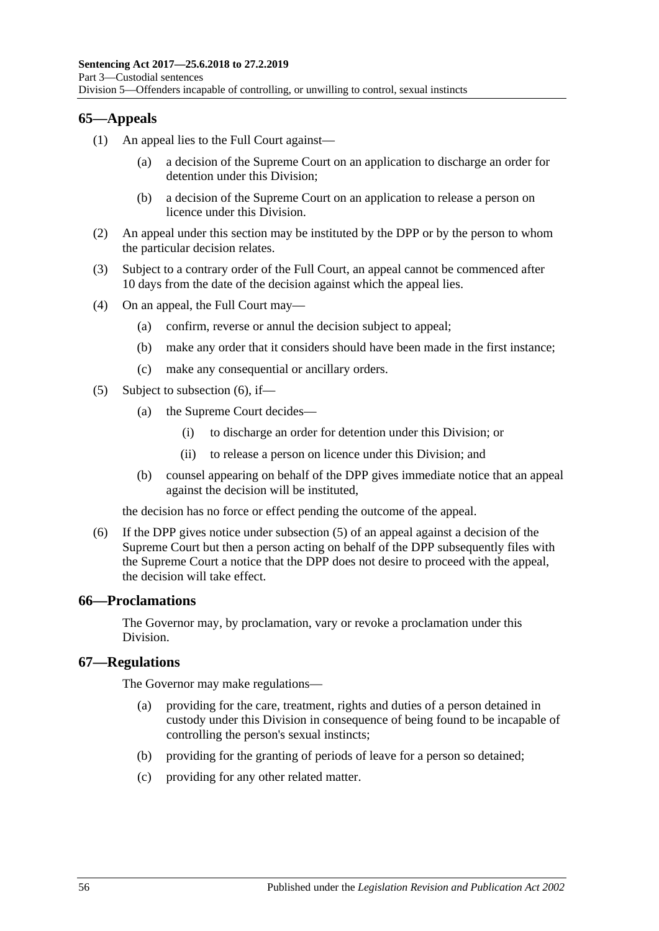# **65—Appeals**

- (1) An appeal lies to the Full Court against—
	- (a) a decision of the Supreme Court on an application to discharge an order for detention under this Division;
	- (b) a decision of the Supreme Court on an application to release a person on licence under this Division.
- (2) An appeal under this section may be instituted by the DPP or by the person to whom the particular decision relates.
- (3) Subject to a contrary order of the Full Court, an appeal cannot be commenced after 10 days from the date of the decision against which the appeal lies.
- (4) On an appeal, the Full Court may—
	- (a) confirm, reverse or annul the decision subject to appeal;
	- (b) make any order that it considers should have been made in the first instance;
	- (c) make any consequential or ancillary orders.
- <span id="page-55-1"></span>(5) Subject to [subsection](#page-55-0) (6), if—
	- (a) the Supreme Court decides—
		- (i) to discharge an order for detention under this Division; or
		- (ii) to release a person on licence under this Division; and
	- (b) counsel appearing on behalf of the DPP gives immediate notice that an appeal against the decision will be instituted,

the decision has no force or effect pending the outcome of the appeal.

<span id="page-55-0"></span>(6) If the DPP gives notice under [subsection](#page-55-1) (5) of an appeal against a decision of the Supreme Court but then a person acting on behalf of the DPP subsequently files with the Supreme Court a notice that the DPP does not desire to proceed with the appeal, the decision will take effect.

### **66—Proclamations**

The Governor may, by proclamation, vary or revoke a proclamation under this Division.

### **67—Regulations**

The Governor may make regulations—

- (a) providing for the care, treatment, rights and duties of a person detained in custody under this Division in consequence of being found to be incapable of controlling the person's sexual instincts;
- (b) providing for the granting of periods of leave for a person so detained;
- (c) providing for any other related matter.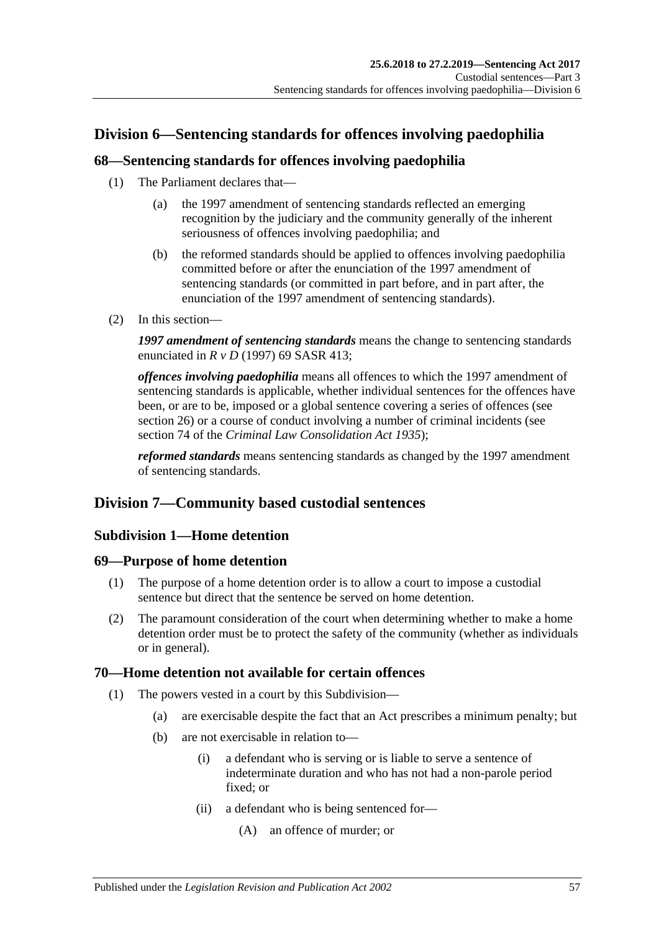# **Division 6—Sentencing standards for offences involving paedophilia**

# **68—Sentencing standards for offences involving paedophilia**

- (1) The Parliament declares that—
	- (a) the 1997 amendment of sentencing standards reflected an emerging recognition by the judiciary and the community generally of the inherent seriousness of offences involving paedophilia; and
	- (b) the reformed standards should be applied to offences involving paedophilia committed before or after the enunciation of the 1997 amendment of sentencing standards (or committed in part before, and in part after, the enunciation of the 1997 amendment of sentencing standards).
- (2) In this section—

*1997 amendment of sentencing standards* means the change to sentencing standards enunciated in *R v D* (1997) 69 SASR 413;

*offences involving paedophilia* means all offences to which the 1997 amendment of sentencing standards is applicable, whether individual sentences for the offences have been, or are to be, imposed or a global sentence covering a series of offences (see [section](#page-20-0) 26) or a course of conduct involving a number of criminal incidents (see section 74 of the *[Criminal Law Consolidation Act](http://www.legislation.sa.gov.au/index.aspx?action=legref&type=act&legtitle=Criminal%20Law%20Consolidation%20Act%201935) 1935*);

*reformed standards* means sentencing standards as changed by the 1997 amendment of sentencing standards.

# **Division 7—Community based custodial sentences**

# **Subdivision 1—Home detention**

### **69—Purpose of home detention**

- (1) The purpose of a home detention order is to allow a court to impose a custodial sentence but direct that the sentence be served on home detention.
- (2) The paramount consideration of the court when determining whether to make a home detention order must be to protect the safety of the community (whether as individuals or in general).

# **70—Home detention not available for certain offences**

- (1) The powers vested in a court by this Subdivision—
	- (a) are exercisable despite the fact that an Act prescribes a minimum penalty; but
	- (b) are not exercisable in relation to—
		- (i) a defendant who is serving or is liable to serve a sentence of indeterminate duration and who has not had a non-parole period fixed; or
		- (ii) a defendant who is being sentenced for—
			- (A) an offence of murder; or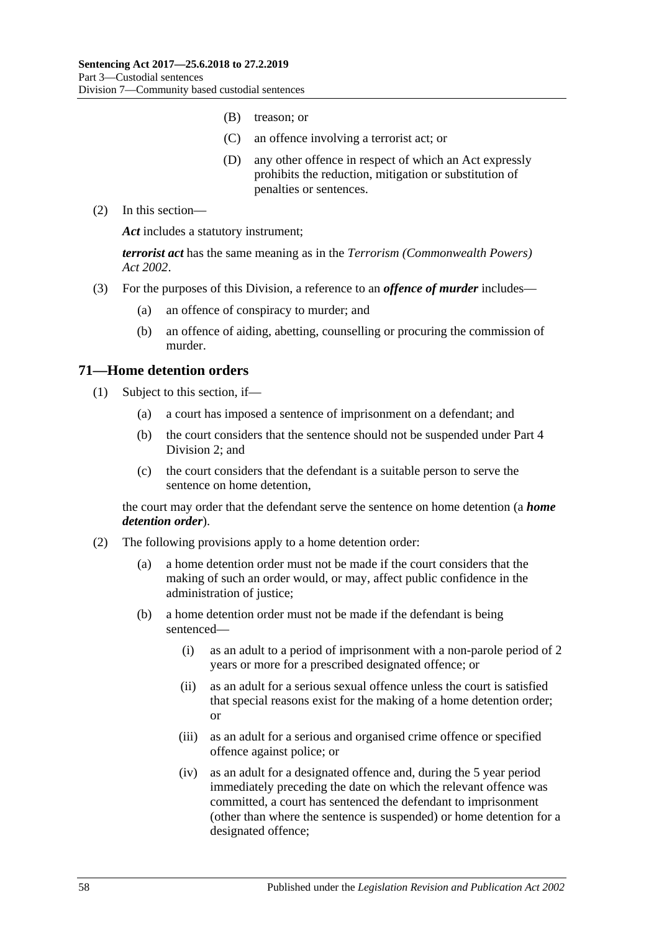- (B) treason; or
- (C) an offence involving a terrorist act; or
- (D) any other offence in respect of which an Act expressly prohibits the reduction, mitigation or substitution of penalties or sentences.
- (2) In this section—

*Act* includes a statutory instrument;

*terrorist act* has the same meaning as in the *[Terrorism \(Commonwealth Powers\)](http://www.legislation.sa.gov.au/index.aspx?action=legref&type=act&legtitle=Terrorism%20(Commonwealth%20Powers)%20Act%202002)  Act [2002](http://www.legislation.sa.gov.au/index.aspx?action=legref&type=act&legtitle=Terrorism%20(Commonwealth%20Powers)%20Act%202002)*.

- (3) For the purposes of this Division, a reference to an *offence of murder* includes—
	- (a) an offence of conspiracy to murder; and
	- (b) an offence of aiding, abetting, counselling or procuring the commission of murder.

### **71—Home detention orders**

- (1) Subject to this section, if—
	- (a) a court has imposed a sentence of imprisonment on a defendant; and
	- (b) the court considers that the sentence should not be suspended under [Part](#page-74-1) 4 [Division](#page-74-1) 2; and
	- (c) the court considers that the defendant is a suitable person to serve the sentence on home detention,

the court may order that the defendant serve the sentence on home detention (a *home detention order*).

- <span id="page-57-0"></span>(2) The following provisions apply to a home detention order:
	- (a) a home detention order must not be made if the court considers that the making of such an order would, or may, affect public confidence in the administration of justice;
	- (b) a home detention order must not be made if the defendant is being sentenced—
		- (i) as an adult to a period of imprisonment with a non-parole period of 2 years or more for a prescribed designated offence; or
		- (ii) as an adult for a serious sexual offence unless the court is satisfied that special reasons exist for the making of a home detention order; or
		- (iii) as an adult for a serious and organised crime offence or specified offence against police; or
		- (iv) as an adult for a designated offence and, during the 5 year period immediately preceding the date on which the relevant offence was committed, a court has sentenced the defendant to imprisonment (other than where the sentence is suspended) or home detention for a designated offence;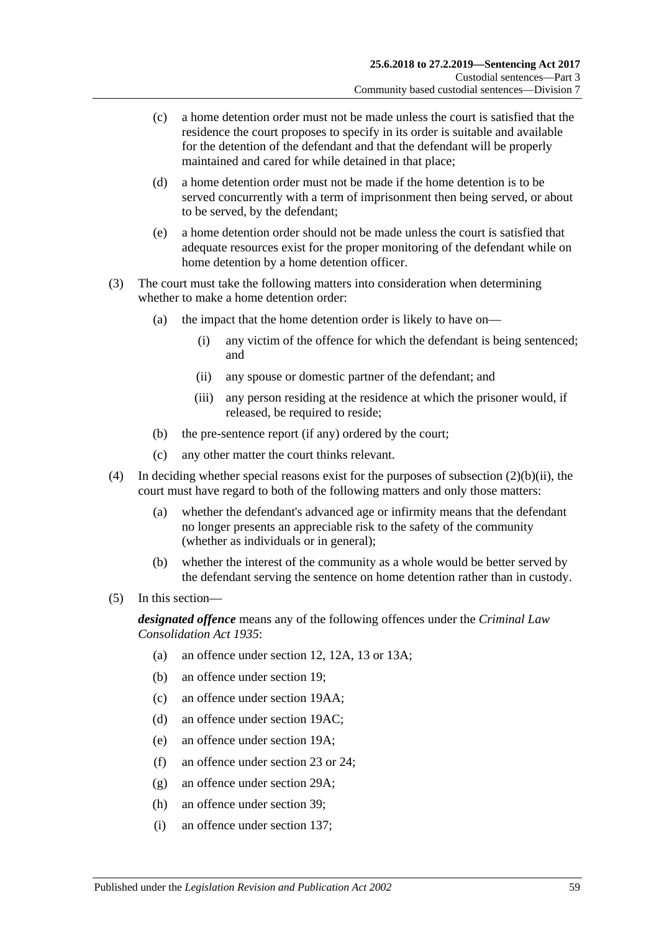- (c) a home detention order must not be made unless the court is satisfied that the residence the court proposes to specify in its order is suitable and available for the detention of the defendant and that the defendant will be properly maintained and cared for while detained in that place;
- (d) a home detention order must not be made if the home detention is to be served concurrently with a term of imprisonment then being served, or about to be served, by the defendant;
- (e) a home detention order should not be made unless the court is satisfied that adequate resources exist for the proper monitoring of the defendant while on home detention by a home detention officer.
- (3) The court must take the following matters into consideration when determining whether to make a home detention order:
	- (a) the impact that the home detention order is likely to have on—
		- (i) any victim of the offence for which the defendant is being sentenced; and
		- (ii) any spouse or domestic partner of the defendant; and
		- (iii) any person residing at the residence at which the prisoner would, if released, be required to reside;
	- (b) the pre-sentence report (if any) ordered by the court;
	- (c) any other matter the court thinks relevant.
- (4) In deciding whether special reasons exist for the purposes of [subsection](#page-57-0)  $(2)(b)(ii)$ , the court must have regard to both of the following matters and only those matters:
	- (a) whether the defendant's advanced age or infirmity means that the defendant no longer presents an appreciable risk to the safety of the community (whether as individuals or in general);
	- (b) whether the interest of the community as a whole would be better served by the defendant serving the sentence on home detention rather than in custody.
- (5) In this section—

*designated offence* means any of the following offences under the *[Criminal Law](http://www.legislation.sa.gov.au/index.aspx?action=legref&type=act&legtitle=Criminal%20Law%20Consolidation%20Act%201935)  [Consolidation Act](http://www.legislation.sa.gov.au/index.aspx?action=legref&type=act&legtitle=Criminal%20Law%20Consolidation%20Act%201935) 1935*:

- (a) an offence under section 12, 12A, 13 or 13A;
- (b) an offence under section 19;
- (c) an offence under section 19AA;
- (d) an offence under section 19AC;
- (e) an offence under section 19A;
- (f) an offence under section 23 or 24;
- (g) an offence under section 29A;
- (h) an offence under section 39;
- (i) an offence under section 137;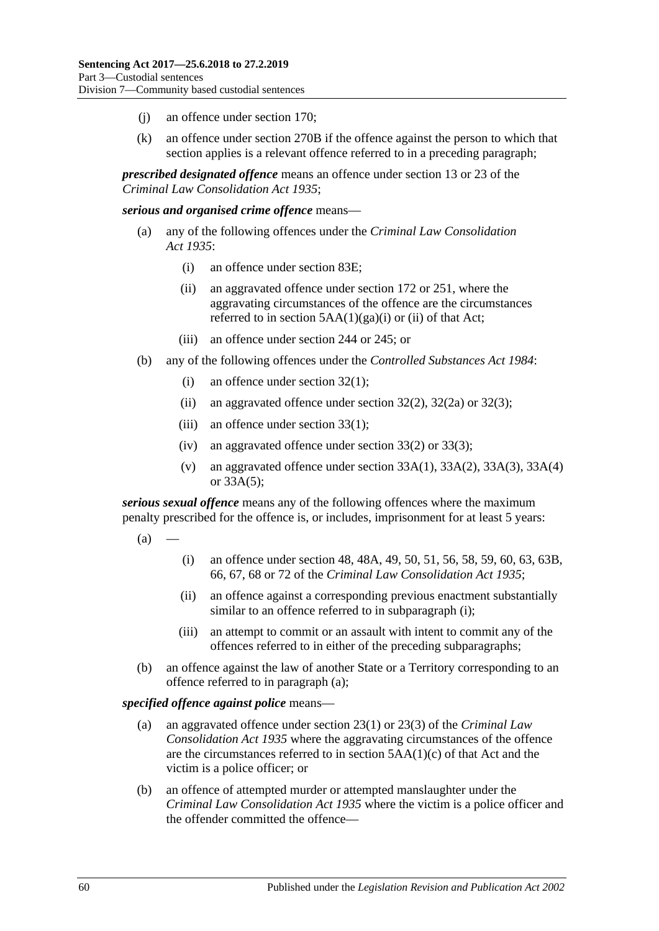- (j) an offence under section 170;
- (k) an offence under section 270B if the offence against the person to which that section applies is a relevant offence referred to in a preceding paragraph;

*prescribed designated offence* means an offence under section 13 or 23 of the *[Criminal Law Consolidation Act](http://www.legislation.sa.gov.au/index.aspx?action=legref&type=act&legtitle=Criminal%20Law%20Consolidation%20Act%201935) 1935*;

*serious and organised crime offence* means—

- (a) any of the following offences under the *[Criminal Law Consolidation](http://www.legislation.sa.gov.au/index.aspx?action=legref&type=act&legtitle=Criminal%20Law%20Consolidation%20Act%201935)  Act [1935](http://www.legislation.sa.gov.au/index.aspx?action=legref&type=act&legtitle=Criminal%20Law%20Consolidation%20Act%201935)*:
	- (i) an offence under section 83E;
	- (ii) an aggravated offence under section 172 or 251, where the aggravating circumstances of the offence are the circumstances referred to in section  $5AA(1)(ga)(i)$  or (ii) of that Act;
	- (iii) an offence under section 244 or 245; or
- (b) any of the following offences under the *[Controlled Substances Act](http://www.legislation.sa.gov.au/index.aspx?action=legref&type=act&legtitle=Controlled%20Substances%20Act%201984) 1984*:
	- (i) an offence under section 32(1);
	- (ii) an aggravated offence under section  $32(2)$ ,  $32(2a)$  or  $32(3)$ ;
	- (iii) an offence under section 33(1);
	- (iv) an aggravated offence under section  $33(2)$  or  $33(3)$ ;
	- (v) an aggravated offence under section 33A(1), 33A(2), 33A(3), 33A(4) or 33A(5);

<span id="page-59-1"></span>*serious sexual offence* means any of the following offences where the maximum penalty prescribed for the offence is, or includes, imprisonment for at least 5 years:

- <span id="page-59-0"></span> $(a)$
- (i) an offence under section 48, 48A, 49, 50, 51, 56, 58, 59, 60, 63, 63B, 66, 67, 68 or 72 of the *[Criminal Law Consolidation Act](http://www.legislation.sa.gov.au/index.aspx?action=legref&type=act&legtitle=Criminal%20Law%20Consolidation%20Act%201935) 1935*;
- (ii) an offence against a corresponding previous enactment substantially similar to an offence referred to in [subparagraph](#page-59-0) (i);
- (iii) an attempt to commit or an assault with intent to commit any of the offences referred to in either of the preceding subparagraphs;
- (b) an offence against the law of another State or a Territory corresponding to an offence referred to in [paragraph](#page-59-1) (a);

#### *specified offence against police* means—

- (a) an aggravated offence under section 23(1) or 23(3) of the *[Criminal Law](http://www.legislation.sa.gov.au/index.aspx?action=legref&type=act&legtitle=Criminal%20Law%20Consolidation%20Act%201935)  [Consolidation Act](http://www.legislation.sa.gov.au/index.aspx?action=legref&type=act&legtitle=Criminal%20Law%20Consolidation%20Act%201935) 1935* where the aggravating circumstances of the offence are the circumstances referred to in section 5AA(1)(c) of that Act and the victim is a police officer; or
- (b) an offence of attempted murder or attempted manslaughter under the *[Criminal Law Consolidation Act](http://www.legislation.sa.gov.au/index.aspx?action=legref&type=act&legtitle=Criminal%20Law%20Consolidation%20Act%201935) 1935* where the victim is a police officer and the offender committed the offence—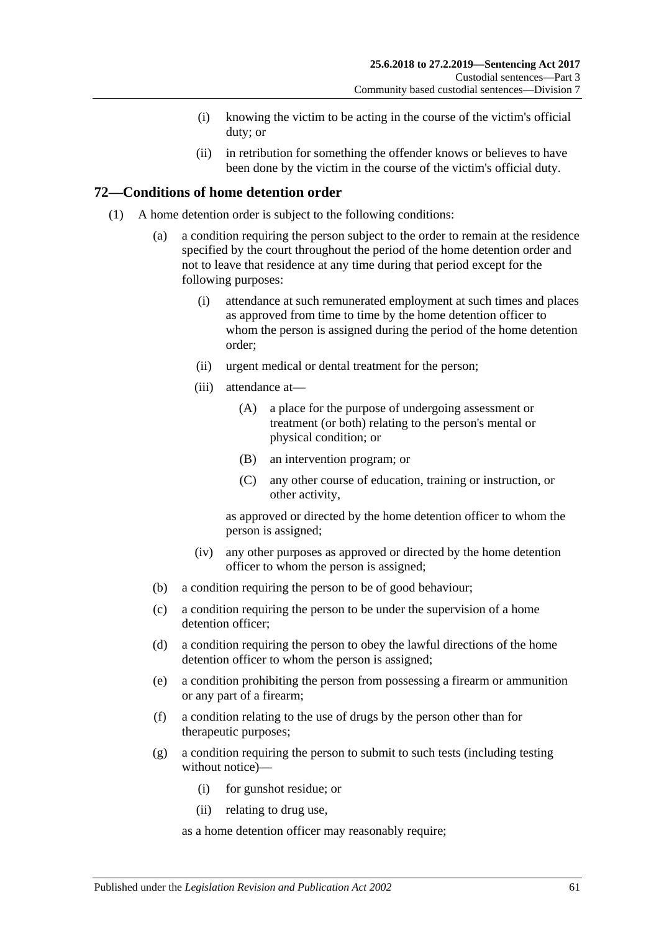- (i) knowing the victim to be acting in the course of the victim's official duty; or
- (ii) in retribution for something the offender knows or believes to have been done by the victim in the course of the victim's official duty.

### **72—Conditions of home detention order**

- (1) A home detention order is subject to the following conditions:
	- (a) a condition requiring the person subject to the order to remain at the residence specified by the court throughout the period of the home detention order and not to leave that residence at any time during that period except for the following purposes:
		- (i) attendance at such remunerated employment at such times and places as approved from time to time by the home detention officer to whom the person is assigned during the period of the home detention order;
		- (ii) urgent medical or dental treatment for the person;
		- (iii) attendance at—
			- (A) a place for the purpose of undergoing assessment or treatment (or both) relating to the person's mental or physical condition; or
			- (B) an intervention program; or
			- (C) any other course of education, training or instruction, or other activity,

as approved or directed by the home detention officer to whom the person is assigned;

- (iv) any other purposes as approved or directed by the home detention officer to whom the person is assigned;
- (b) a condition requiring the person to be of good behaviour;
- (c) a condition requiring the person to be under the supervision of a home detention officer:
- (d) a condition requiring the person to obey the lawful directions of the home detention officer to whom the person is assigned;
- <span id="page-60-0"></span>(e) a condition prohibiting the person from possessing a firearm or ammunition or any part of a firearm;
- (f) a condition relating to the use of drugs by the person other than for therapeutic purposes;
- <span id="page-60-1"></span>(g) a condition requiring the person to submit to such tests (including testing without notice)—
	- (i) for gunshot residue; or
	- (ii) relating to drug use,

as a home detention officer may reasonably require;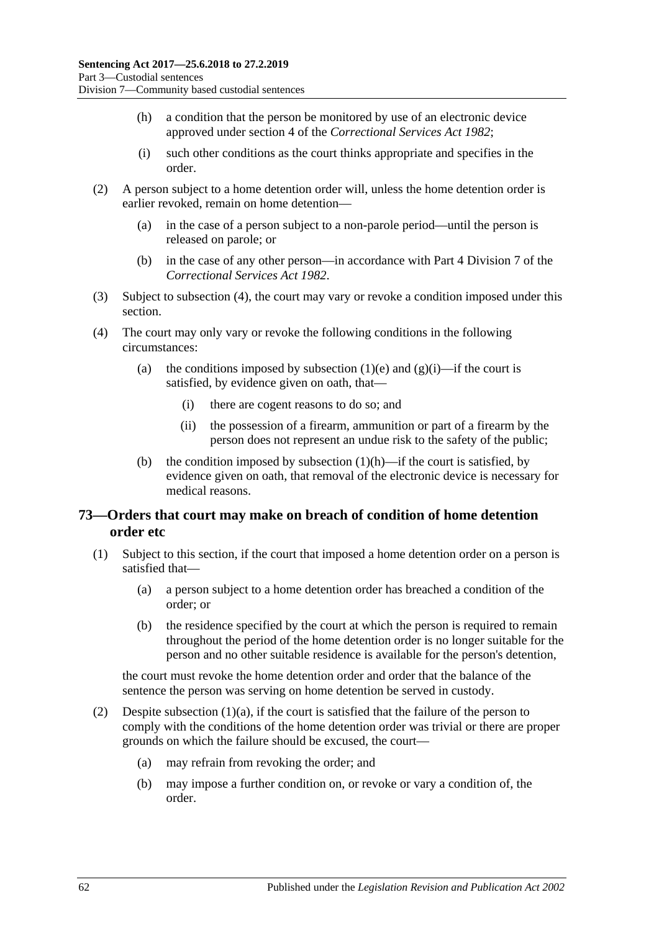- <span id="page-61-1"></span>(h) a condition that the person be monitored by use of an electronic device approved under section 4 of the *[Correctional Services Act](http://www.legislation.sa.gov.au/index.aspx?action=legref&type=act&legtitle=Correctional%20Services%20Act%201982) 1982*;
- (i) such other conditions as the court thinks appropriate and specifies in the order.
- (2) A person subject to a home detention order will, unless the home detention order is earlier revoked, remain on home detention—
	- (a) in the case of a person subject to a non-parole period—until the person is released on parole; or
	- (b) in the case of any other person—in accordance with Part 4 Division 7 of the *[Correctional Services Act](http://www.legislation.sa.gov.au/index.aspx?action=legref&type=act&legtitle=Correctional%20Services%20Act%201982) 1982*.
- (3) Subject to [subsection](#page-61-0) (4), the court may vary or revoke a condition imposed under this section.
- <span id="page-61-0"></span>(4) The court may only vary or revoke the following conditions in the following circumstances:
	- (a) the conditions imposed by [subsection](#page-60-0) (1)(e) and [\(g\)\(i\)—](#page-60-1)if the court is satisfied, by evidence given on oath, that—
		- (i) there are cogent reasons to do so; and
		- (ii) the possession of a firearm, ammunition or part of a firearm by the person does not represent an undue risk to the safety of the public;
	- (b) the condition imposed by [subsection](#page-61-1)  $(1)(h)$ —if the court is satisfied, by evidence given on oath, that removal of the electronic device is necessary for medical reasons.

# <span id="page-61-4"></span>**73—Orders that court may make on breach of condition of home detention order etc**

- <span id="page-61-3"></span><span id="page-61-2"></span>(1) Subject to this section, if the court that imposed a home detention order on a person is satisfied that—
	- (a) a person subject to a home detention order has breached a condition of the order; or
	- (b) the residence specified by the court at which the person is required to remain throughout the period of the home detention order is no longer suitable for the person and no other suitable residence is available for the person's detention,

the court must revoke the home detention order and order that the balance of the sentence the person was serving on home detention be served in custody.

- (2) Despite [subsection](#page-61-2) (1)(a), if the court is satisfied that the failure of the person to comply with the conditions of the home detention order was trivial or there are proper grounds on which the failure should be excused, the court—
	- (a) may refrain from revoking the order; and
	- (b) may impose a further condition on, or revoke or vary a condition of, the order.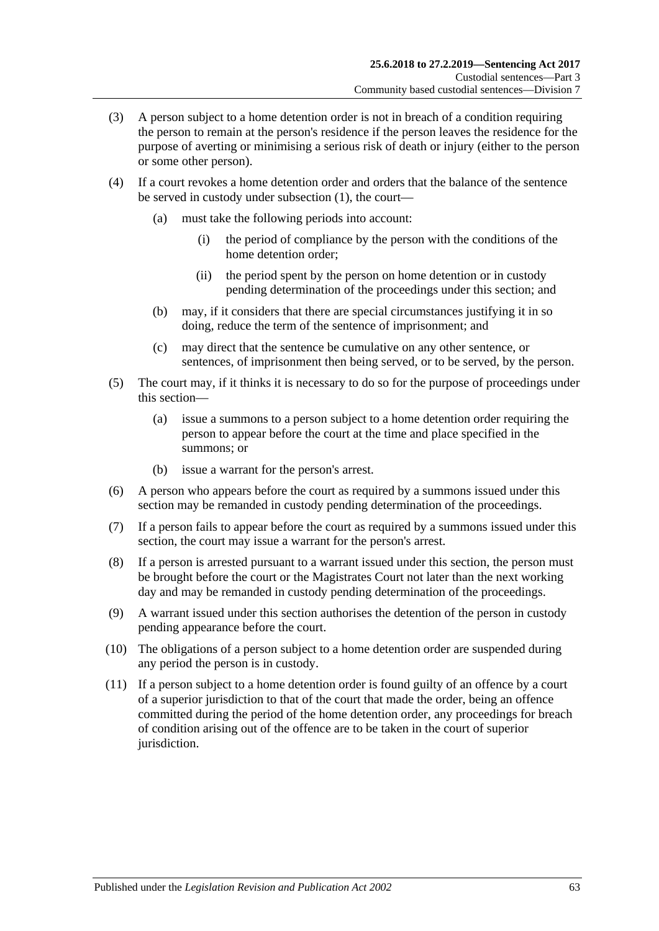- (3) A person subject to a home detention order is not in breach of a condition requiring the person to remain at the person's residence if the person leaves the residence for the purpose of averting or minimising a serious risk of death or injury (either to the person or some other person).
- (4) If a court revokes a home detention order and orders that the balance of the sentence be served in custody under [subsection](#page-61-3) (1), the court—
	- (a) must take the following periods into account:
		- (i) the period of compliance by the person with the conditions of the home detention order;
		- (ii) the period spent by the person on home detention or in custody pending determination of the proceedings under this section; and
	- (b) may, if it considers that there are special circumstances justifying it in so doing, reduce the term of the sentence of imprisonment; and
	- (c) may direct that the sentence be cumulative on any other sentence, or sentences, of imprisonment then being served, or to be served, by the person.
- (5) The court may, if it thinks it is necessary to do so for the purpose of proceedings under this section—
	- (a) issue a summons to a person subject to a home detention order requiring the person to appear before the court at the time and place specified in the summons; or
	- (b) issue a warrant for the person's arrest.
- (6) A person who appears before the court as required by a summons issued under this section may be remanded in custody pending determination of the proceedings.
- (7) If a person fails to appear before the court as required by a summons issued under this section, the court may issue a warrant for the person's arrest.
- <span id="page-62-0"></span>(8) If a person is arrested pursuant to a warrant issued under this section, the person must be brought before the court or the Magistrates Court not later than the next working day and may be remanded in custody pending determination of the proceedings.
- (9) A warrant issued under this section authorises the detention of the person in custody pending appearance before the court.
- <span id="page-62-1"></span>(10) The obligations of a person subject to a home detention order are suspended during any period the person is in custody.
- (11) If a person subject to a home detention order is found guilty of an offence by a court of a superior jurisdiction to that of the court that made the order, being an offence committed during the period of the home detention order, any proceedings for breach of condition arising out of the offence are to be taken in the court of superior jurisdiction.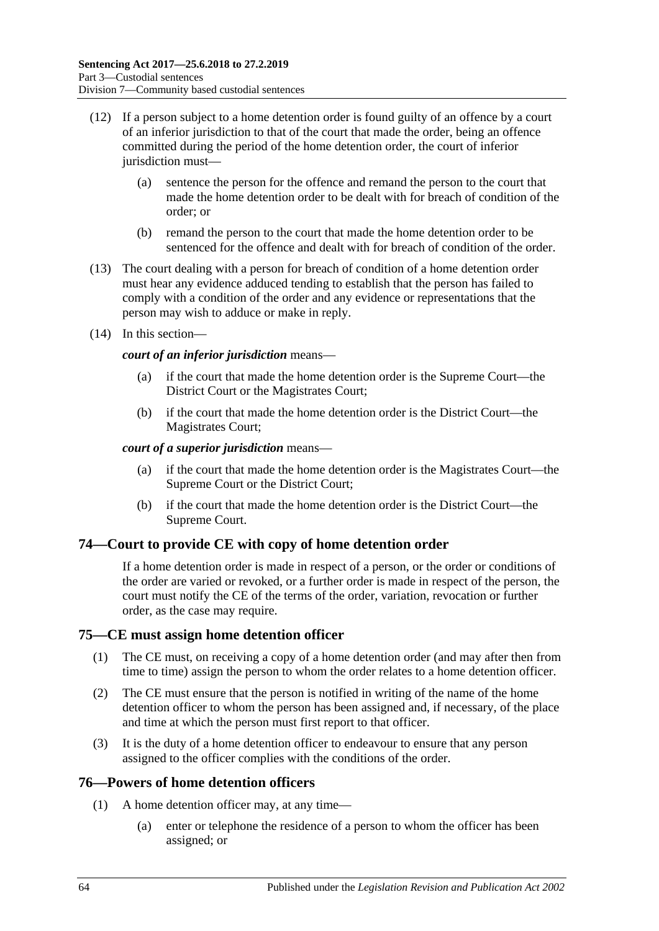- (12) If a person subject to a home detention order is found guilty of an offence by a court of an inferior jurisdiction to that of the court that made the order, being an offence committed during the period of the home detention order, the court of inferior jurisdiction must-
	- (a) sentence the person for the offence and remand the person to the court that made the home detention order to be dealt with for breach of condition of the order; or
	- (b) remand the person to the court that made the home detention order to be sentenced for the offence and dealt with for breach of condition of the order.
- (13) The court dealing with a person for breach of condition of a home detention order must hear any evidence adduced tending to establish that the person has failed to comply with a condition of the order and any evidence or representations that the person may wish to adduce or make in reply.
- (14) In this section—

### *court of an inferior jurisdiction* means—

- (a) if the court that made the home detention order is the Supreme Court—the District Court or the Magistrates Court;
- (b) if the court that made the home detention order is the District Court—the Magistrates Court;

### *court of a superior jurisdiction* means—

- (a) if the court that made the home detention order is the Magistrates Court—the Supreme Court or the District Court;
- (b) if the court that made the home detention order is the District Court—the Supreme Court.

# **74—Court to provide CE with copy of home detention order**

If a home detention order is made in respect of a person, or the order or conditions of the order are varied or revoked, or a further order is made in respect of the person, the court must notify the CE of the terms of the order, variation, revocation or further order, as the case may require.

# **75—CE must assign home detention officer**

- (1) The CE must, on receiving a copy of a home detention order (and may after then from time to time) assign the person to whom the order relates to a home detention officer.
- (2) The CE must ensure that the person is notified in writing of the name of the home detention officer to whom the person has been assigned and, if necessary, of the place and time at which the person must first report to that officer.
- (3) It is the duty of a home detention officer to endeavour to ensure that any person assigned to the officer complies with the conditions of the order.

# **76—Powers of home detention officers**

- (1) A home detention officer may, at any time—
	- (a) enter or telephone the residence of a person to whom the officer has been assigned; or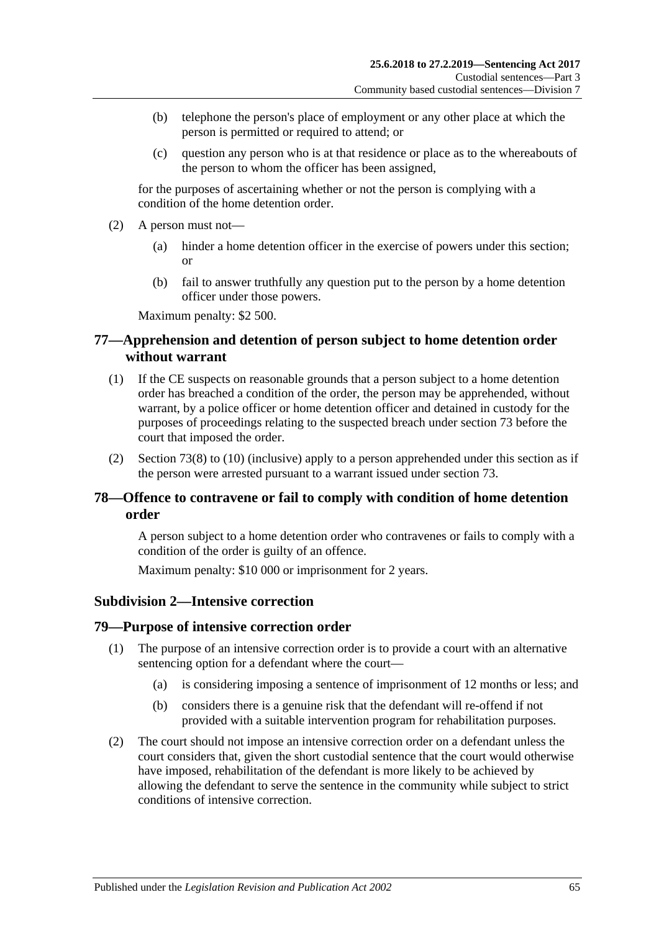- (b) telephone the person's place of employment or any other place at which the person is permitted or required to attend; or
- (c) question any person who is at that residence or place as to the whereabouts of the person to whom the officer has been assigned,

for the purposes of ascertaining whether or not the person is complying with a condition of the home detention order.

- (2) A person must not—
	- (a) hinder a home detention officer in the exercise of powers under this section; or
	- (b) fail to answer truthfully any question put to the person by a home detention officer under those powers.

Maximum penalty: \$2 500.

# **77—Apprehension and detention of person subject to home detention order without warrant**

- (1) If the CE suspects on reasonable grounds that a person subject to a home detention order has breached a condition of the order, the person may be apprehended, without warrant, by a police officer or home detention officer and detained in custody for the purposes of proceedings relating to the suspected breach under [section](#page-61-4) 73 before the court that imposed the order.
- (2) [Section](#page-62-0) 73(8) to [\(10\)](#page-62-1) (inclusive) apply to a person apprehended under this section as if the person were arrested pursuant to a warrant issued under [section](#page-61-4) 73.

# **78—Offence to contravene or fail to comply with condition of home detention order**

A person subject to a home detention order who contravenes or fails to comply with a condition of the order is guilty of an offence.

Maximum penalty: \$10 000 or imprisonment for 2 years.

### **Subdivision 2—Intensive correction**

### **79—Purpose of intensive correction order**

- (1) The purpose of an intensive correction order is to provide a court with an alternative sentencing option for a defendant where the court—
	- (a) is considering imposing a sentence of imprisonment of 12 months or less; and
	- (b) considers there is a genuine risk that the defendant will re-offend if not provided with a suitable intervention program for rehabilitation purposes.
- (2) The court should not impose an intensive correction order on a defendant unless the court considers that, given the short custodial sentence that the court would otherwise have imposed, rehabilitation of the defendant is more likely to be achieved by allowing the defendant to serve the sentence in the community while subject to strict conditions of intensive correction.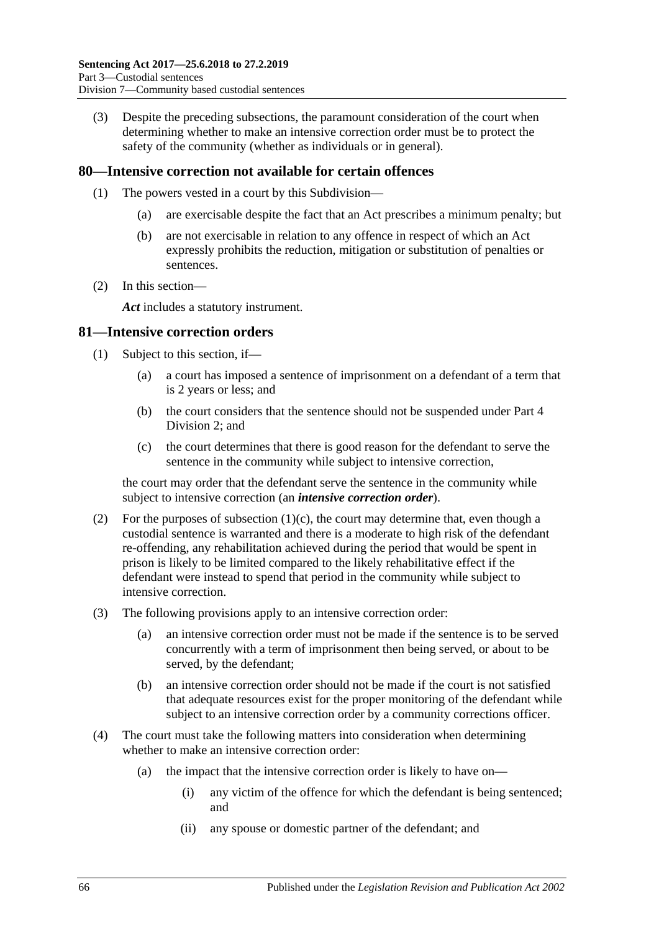(3) Despite the preceding subsections, the paramount consideration of the court when determining whether to make an intensive correction order must be to protect the safety of the community (whether as individuals or in general).

### **80—Intensive correction not available for certain offences**

- (1) The powers vested in a court by this Subdivision—
	- (a) are exercisable despite the fact that an Act prescribes a minimum penalty; but
	- (b) are not exercisable in relation to any offence in respect of which an Act expressly prohibits the reduction, mitigation or substitution of penalties or sentences.
- (2) In this section—

*Act* includes a statutory instrument.

### **81—Intensive correction orders**

- (1) Subject to this section, if—
	- (a) a court has imposed a sentence of imprisonment on a defendant of a term that is 2 years or less; and
	- (b) the court considers that the sentence should not be suspended under [Part](#page-74-1) 4 [Division](#page-74-1) 2; and
	- (c) the court determines that there is good reason for the defendant to serve the sentence in the community while subject to intensive correction,

<span id="page-65-0"></span>the court may order that the defendant serve the sentence in the community while subject to intensive correction (an *intensive correction order*).

- (2) For the purposes of [subsection](#page-65-0) (1)(c), the court may determine that, even though a custodial sentence is warranted and there is a moderate to high risk of the defendant re-offending, any rehabilitation achieved during the period that would be spent in prison is likely to be limited compared to the likely rehabilitative effect if the defendant were instead to spend that period in the community while subject to intensive correction.
- (3) The following provisions apply to an intensive correction order:
	- (a) an intensive correction order must not be made if the sentence is to be served concurrently with a term of imprisonment then being served, or about to be served, by the defendant;
	- (b) an intensive correction order should not be made if the court is not satisfied that adequate resources exist for the proper monitoring of the defendant while subject to an intensive correction order by a community corrections officer.
- (4) The court must take the following matters into consideration when determining whether to make an intensive correction order:
	- (a) the impact that the intensive correction order is likely to have on—
		- (i) any victim of the offence for which the defendant is being sentenced; and
		- (ii) any spouse or domestic partner of the defendant; and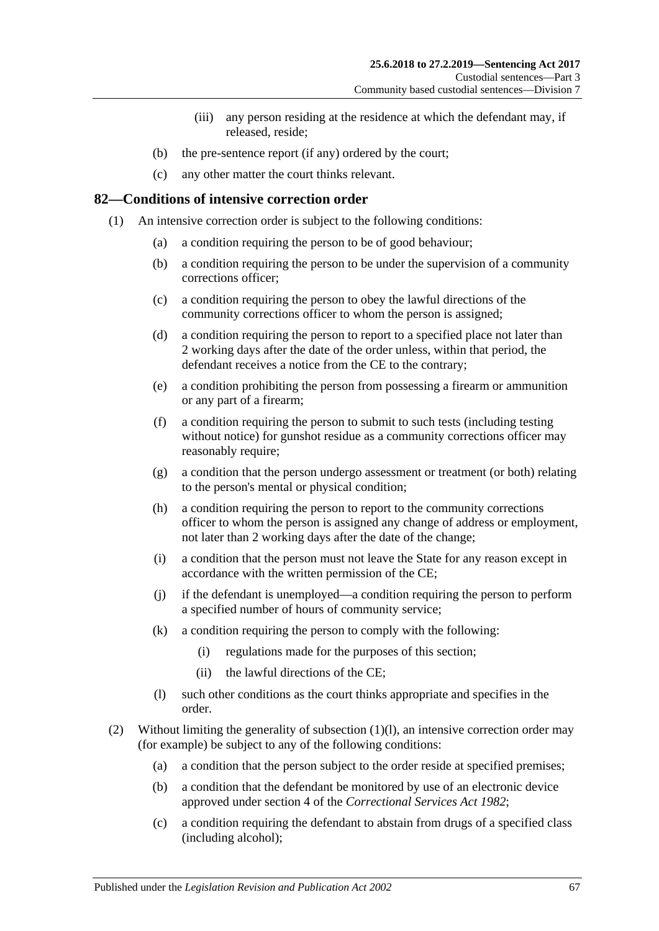- (iii) any person residing at the residence at which the defendant may, if released, reside;
- (b) the pre-sentence report (if any) ordered by the court;
- (c) any other matter the court thinks relevant.

### **82—Conditions of intensive correction order**

- <span id="page-66-3"></span><span id="page-66-2"></span>(1) An intensive correction order is subject to the following conditions:
	- (a) a condition requiring the person to be of good behaviour;
	- (b) a condition requiring the person to be under the supervision of a community corrections officer;
	- (c) a condition requiring the person to obey the lawful directions of the community corrections officer to whom the person is assigned;
	- (d) a condition requiring the person to report to a specified place not later than 2 working days after the date of the order unless, within that period, the defendant receives a notice from the CE to the contrary;
	- (e) a condition prohibiting the person from possessing a firearm or ammunition or any part of a firearm;
	- (f) a condition requiring the person to submit to such tests (including testing without notice) for gunshot residue as a community corrections officer may reasonably require;
	- (g) a condition that the person undergo assessment or treatment (or both) relating to the person's mental or physical condition;
	- (h) a condition requiring the person to report to the community corrections officer to whom the person is assigned any change of address or employment, not later than 2 working days after the date of the change;
	- (i) a condition that the person must not leave the State for any reason except in accordance with the written permission of the CE;
	- (j) if the defendant is unemployed—a condition requiring the person to perform a specified number of hours of community service;
	- (k) a condition requiring the person to comply with the following:
		- (i) regulations made for the purposes of this section;
		- (ii) the lawful directions of the CE;
	- (l) such other conditions as the court thinks appropriate and specifies in the order.
- <span id="page-66-1"></span><span id="page-66-0"></span>(2) Without limiting the generality of [subsection](#page-66-0) (1)(l), an intensive correction order may (for example) be subject to any of the following conditions:
	- (a) a condition that the person subject to the order reside at specified premises;
	- (b) a condition that the defendant be monitored by use of an electronic device approved under section 4 of the *[Correctional Services Act](http://www.legislation.sa.gov.au/index.aspx?action=legref&type=act&legtitle=Correctional%20Services%20Act%201982) 1982*;
	- (c) a condition requiring the defendant to abstain from drugs of a specified class (including alcohol);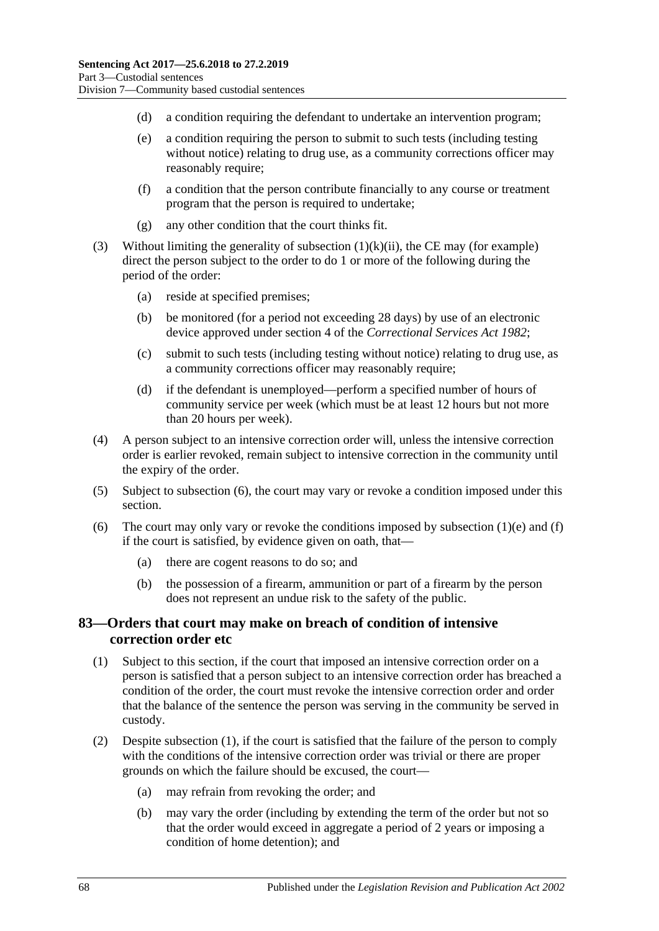- (d) a condition requiring the defendant to undertake an intervention program;
- (e) a condition requiring the person to submit to such tests (including testing without notice) relating to drug use, as a community corrections officer may reasonably require;
- (f) a condition that the person contribute financially to any course or treatment program that the person is required to undertake;
- (g) any other condition that the court thinks fit.
- (3) Without limiting the generality of [subsection](#page-66-1)  $(1)(k)(ii)$ , the CE may (for example) direct the person subject to the order to do 1 or more of the following during the period of the order:
	- (a) reside at specified premises;
	- (b) be monitored (for a period not exceeding 28 days) by use of an electronic device approved under section 4 of the *[Correctional Services Act](http://www.legislation.sa.gov.au/index.aspx?action=legref&type=act&legtitle=Correctional%20Services%20Act%201982) 1982*;
	- (c) submit to such tests (including testing without notice) relating to drug use, as a community corrections officer may reasonably require;
	- (d) if the defendant is unemployed—perform a specified number of hours of community service per week (which must be at least 12 hours but not more than 20 hours per week).
- (4) A person subject to an intensive correction order will, unless the intensive correction order is earlier revoked, remain subject to intensive correction in the community until the expiry of the order.
- (5) Subject to [subsection](#page-67-0) (6), the court may vary or revoke a condition imposed under this section.
- <span id="page-67-0"></span>(6) The court may only vary or revoke the conditions imposed by [subsection](#page-66-2)  $(1)(e)$  and  $(f)$ if the court is satisfied, by evidence given on oath, that—
	- (a) there are cogent reasons to do so; and
	- (b) the possession of a firearm, ammunition or part of a firearm by the person does not represent an undue risk to the safety of the public.

# **83—Orders that court may make on breach of condition of intensive correction order etc**

- <span id="page-67-1"></span>(1) Subject to this section, if the court that imposed an intensive correction order on a person is satisfied that a person subject to an intensive correction order has breached a condition of the order, the court must revoke the intensive correction order and order that the balance of the sentence the person was serving in the community be served in custody.
- (2) Despite [subsection](#page-67-1) (1), if the court is satisfied that the failure of the person to comply with the conditions of the intensive correction order was trivial or there are proper grounds on which the failure should be excused, the court—
	- (a) may refrain from revoking the order; and
	- (b) may vary the order (including by extending the term of the order but not so that the order would exceed in aggregate a period of 2 years or imposing a condition of home detention); and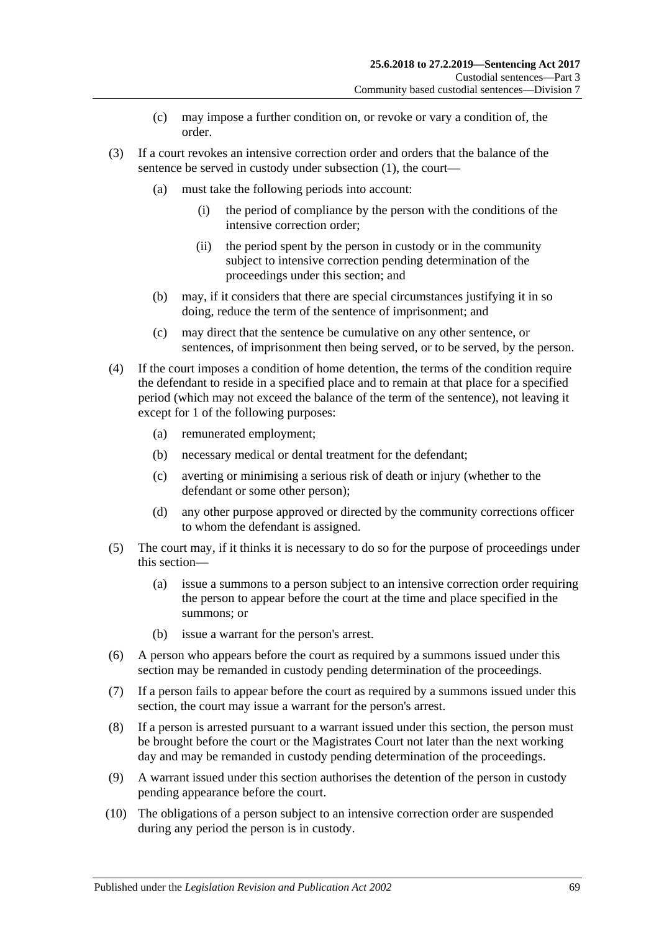- (c) may impose a further condition on, or revoke or vary a condition of, the order.
- (3) If a court revokes an intensive correction order and orders that the balance of the sentence be served in custody under [subsection](#page-67-1) (1), the court—
	- (a) must take the following periods into account:
		- (i) the period of compliance by the person with the conditions of the intensive correction order;
		- (ii) the period spent by the person in custody or in the community subject to intensive correction pending determination of the proceedings under this section; and
	- (b) may, if it considers that there are special circumstances justifying it in so doing, reduce the term of the sentence of imprisonment; and
	- (c) may direct that the sentence be cumulative on any other sentence, or sentences, of imprisonment then being served, or to be served, by the person.
- (4) If the court imposes a condition of home detention, the terms of the condition require the defendant to reside in a specified place and to remain at that place for a specified period (which may not exceed the balance of the term of the sentence), not leaving it except for 1 of the following purposes:
	- (a) remunerated employment;
	- (b) necessary medical or dental treatment for the defendant;
	- (c) averting or minimising a serious risk of death or injury (whether to the defendant or some other person);
	- (d) any other purpose approved or directed by the community corrections officer to whom the defendant is assigned.
- (5) The court may, if it thinks it is necessary to do so for the purpose of proceedings under this section—
	- (a) issue a summons to a person subject to an intensive correction order requiring the person to appear before the court at the time and place specified in the summons; or
	- (b) issue a warrant for the person's arrest.
- (6) A person who appears before the court as required by a summons issued under this section may be remanded in custody pending determination of the proceedings.
- (7) If a person fails to appear before the court as required by a summons issued under this section, the court may issue a warrant for the person's arrest.
- (8) If a person is arrested pursuant to a warrant issued under this section, the person must be brought before the court or the Magistrates Court not later than the next working day and may be remanded in custody pending determination of the proceedings.
- (9) A warrant issued under this section authorises the detention of the person in custody pending appearance before the court.
- (10) The obligations of a person subject to an intensive correction order are suspended during any period the person is in custody.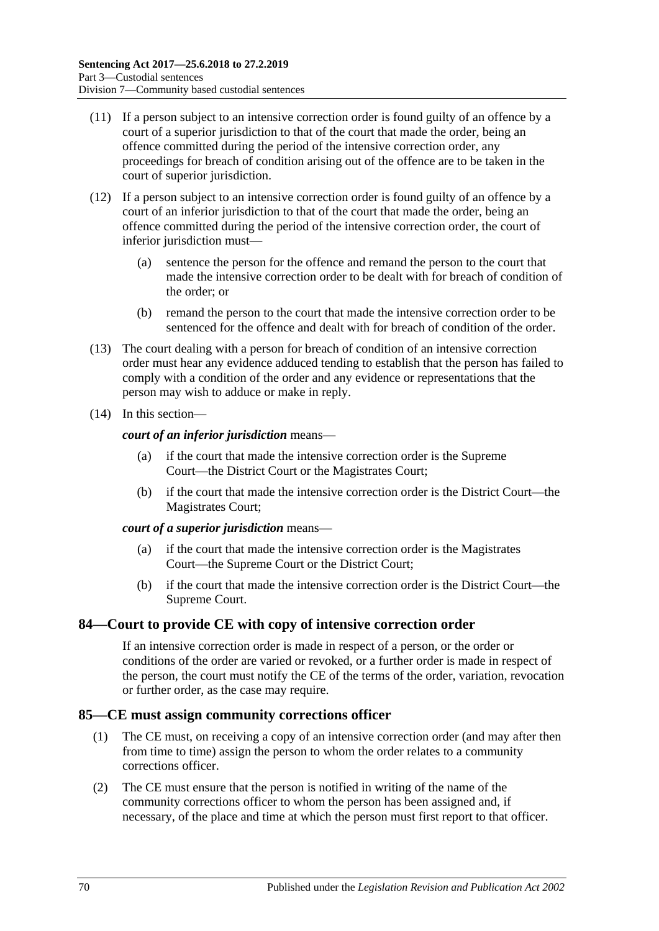- (11) If a person subject to an intensive correction order is found guilty of an offence by a court of a superior jurisdiction to that of the court that made the order, being an offence committed during the period of the intensive correction order, any proceedings for breach of condition arising out of the offence are to be taken in the court of superior jurisdiction.
- (12) If a person subject to an intensive correction order is found guilty of an offence by a court of an inferior jurisdiction to that of the court that made the order, being an offence committed during the period of the intensive correction order, the court of inferior jurisdiction must—
	- (a) sentence the person for the offence and remand the person to the court that made the intensive correction order to be dealt with for breach of condition of the order; or
	- (b) remand the person to the court that made the intensive correction order to be sentenced for the offence and dealt with for breach of condition of the order.
- (13) The court dealing with a person for breach of condition of an intensive correction order must hear any evidence adduced tending to establish that the person has failed to comply with a condition of the order and any evidence or representations that the person may wish to adduce or make in reply.
- (14) In this section—

*court of an inferior jurisdiction* means—

- (a) if the court that made the intensive correction order is the Supreme Court—the District Court or the Magistrates Court;
- (b) if the court that made the intensive correction order is the District Court—the Magistrates Court;

### *court of a superior jurisdiction* means—

- (a) if the court that made the intensive correction order is the Magistrates Court—the Supreme Court or the District Court;
- (b) if the court that made the intensive correction order is the District Court—the Supreme Court.

# **84—Court to provide CE with copy of intensive correction order**

If an intensive correction order is made in respect of a person, or the order or conditions of the order are varied or revoked, or a further order is made in respect of the person, the court must notify the CE of the terms of the order, variation, revocation or further order, as the case may require.

# **85—CE must assign community corrections officer**

- (1) The CE must, on receiving a copy of an intensive correction order (and may after then from time to time) assign the person to whom the order relates to a community corrections officer.
- (2) The CE must ensure that the person is notified in writing of the name of the community corrections officer to whom the person has been assigned and, if necessary, of the place and time at which the person must first report to that officer.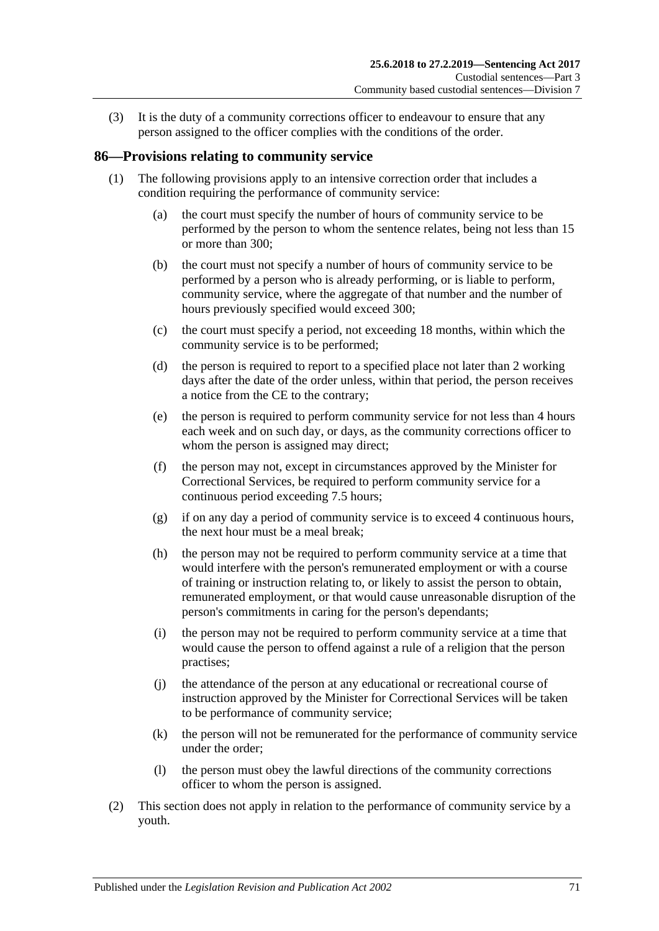(3) It is the duty of a community corrections officer to endeavour to ensure that any person assigned to the officer complies with the conditions of the order.

# **86—Provisions relating to community service**

- (1) The following provisions apply to an intensive correction order that includes a condition requiring the performance of community service:
	- (a) the court must specify the number of hours of community service to be performed by the person to whom the sentence relates, being not less than 15 or more than 300;
	- (b) the court must not specify a number of hours of community service to be performed by a person who is already performing, or is liable to perform, community service, where the aggregate of that number and the number of hours previously specified would exceed 300;
	- (c) the court must specify a period, not exceeding 18 months, within which the community service is to be performed;
	- (d) the person is required to report to a specified place not later than 2 working days after the date of the order unless, within that period, the person receives a notice from the CE to the contrary;
	- (e) the person is required to perform community service for not less than 4 hours each week and on such day, or days, as the community corrections officer to whom the person is assigned may direct;
	- (f) the person may not, except in circumstances approved by the Minister for Correctional Services, be required to perform community service for a continuous period exceeding 7.5 hours;
	- (g) if on any day a period of community service is to exceed 4 continuous hours, the next hour must be a meal break;
	- (h) the person may not be required to perform community service at a time that would interfere with the person's remunerated employment or with a course of training or instruction relating to, or likely to assist the person to obtain, remunerated employment, or that would cause unreasonable disruption of the person's commitments in caring for the person's dependants;
	- (i) the person may not be required to perform community service at a time that would cause the person to offend against a rule of a religion that the person practises;
	- (j) the attendance of the person at any educational or recreational course of instruction approved by the Minister for Correctional Services will be taken to be performance of community service;
	- (k) the person will not be remunerated for the performance of community service under the order;
	- (l) the person must obey the lawful directions of the community corrections officer to whom the person is assigned.
- (2) This section does not apply in relation to the performance of community service by a youth.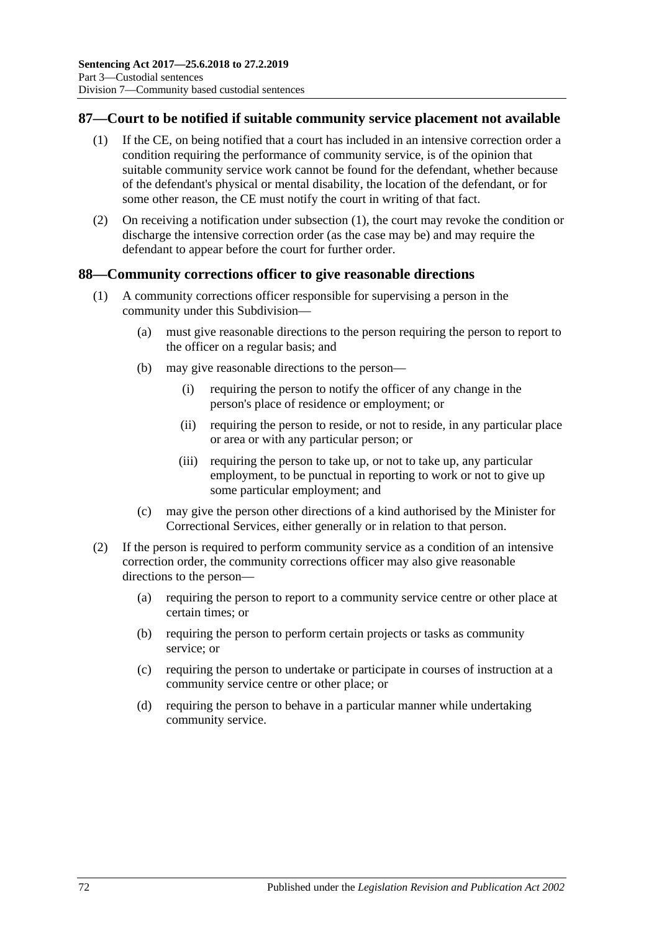# <span id="page-71-0"></span>**87—Court to be notified if suitable community service placement not available**

- (1) If the CE, on being notified that a court has included in an intensive correction order a condition requiring the performance of community service, is of the opinion that suitable community service work cannot be found for the defendant, whether because of the defendant's physical or mental disability, the location of the defendant, or for some other reason, the CE must notify the court in writing of that fact.
- (2) On receiving a notification under [subsection](#page-71-0) (1), the court may revoke the condition or discharge the intensive correction order (as the case may be) and may require the defendant to appear before the court for further order.

# **88—Community corrections officer to give reasonable directions**

- (1) A community corrections officer responsible for supervising a person in the community under this Subdivision—
	- (a) must give reasonable directions to the person requiring the person to report to the officer on a regular basis; and
	- (b) may give reasonable directions to the person—
		- (i) requiring the person to notify the officer of any change in the person's place of residence or employment; or
		- (ii) requiring the person to reside, or not to reside, in any particular place or area or with any particular person; or
		- (iii) requiring the person to take up, or not to take up, any particular employment, to be punctual in reporting to work or not to give up some particular employment; and
	- (c) may give the person other directions of a kind authorised by the Minister for Correctional Services, either generally or in relation to that person.
- (2) If the person is required to perform community service as a condition of an intensive correction order, the community corrections officer may also give reasonable directions to the person—
	- (a) requiring the person to report to a community service centre or other place at certain times; or
	- (b) requiring the person to perform certain projects or tasks as community service; or
	- (c) requiring the person to undertake or participate in courses of instruction at a community service centre or other place; or
	- (d) requiring the person to behave in a particular manner while undertaking community service.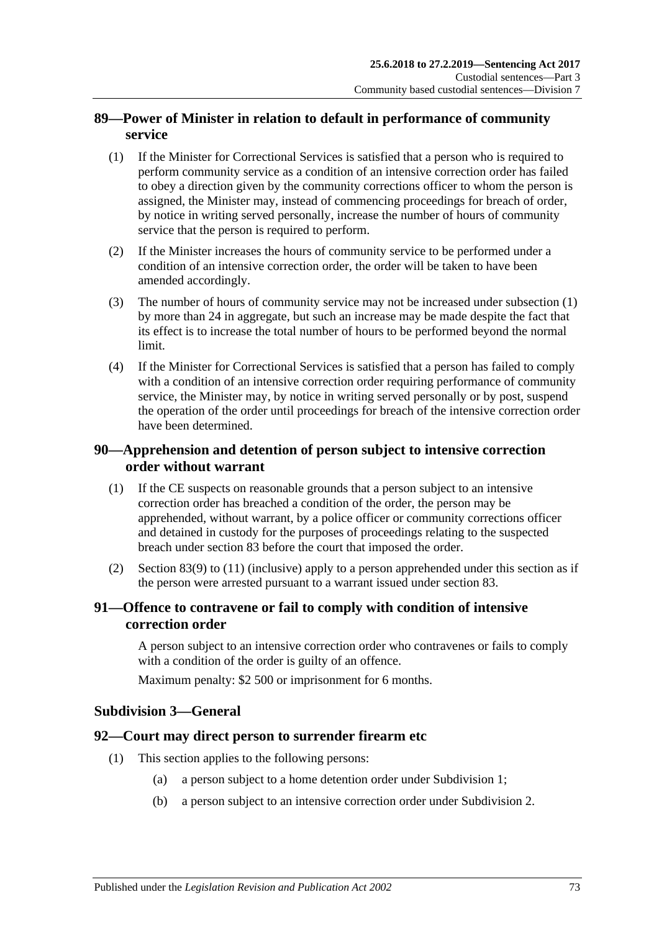## **89—Power of Minister in relation to default in performance of community service**

- <span id="page-72-0"></span>(1) If the Minister for Correctional Services is satisfied that a person who is required to perform community service as a condition of an intensive correction order has failed to obey a direction given by the community corrections officer to whom the person is assigned, the Minister may, instead of commencing proceedings for breach of order, by notice in writing served personally, increase the number of hours of community service that the person is required to perform.
- (2) If the Minister increases the hours of community service to be performed under a condition of an intensive correction order, the order will be taken to have been amended accordingly.
- (3) The number of hours of community service may not be increased under [subsection](#page-72-0) (1) by more than 24 in aggregate, but such an increase may be made despite the fact that its effect is to increase the total number of hours to be performed beyond the normal limit.
- (4) If the Minister for Correctional Services is satisfied that a person has failed to comply with a condition of an intensive correction order requiring performance of community service, the Minister may, by notice in writing served personally or by post, suspend the operation of the order until proceedings for breach of the intensive correction order have been determined.

## **90—Apprehension and detention of person subject to intensive correction order without warrant**

- (1) If the CE suspects on reasonable grounds that a person subject to an intensive correction order has breached a condition of the order, the person may be apprehended, without warrant, by a police officer or community corrections officer and detained in custody for the purposes of proceedings relating to the suspected breach under [section](#page-67-0) 83 before the court that imposed the order.
- (2) [Section](#page-68-0) 83(9) to [\(11\)](#page-69-0) (inclusive) apply to a person apprehended under this section as if the person were arrested pursuant to a warrant issued under [section](#page-67-0) 83.

## **91—Offence to contravene or fail to comply with condition of intensive correction order**

A person subject to an intensive correction order who contravenes or fails to comply with a condition of the order is guilty of an offence.

Maximum penalty: \$2 500 or imprisonment for 6 months.

### **Subdivision 3—General**

### **92—Court may direct person to surrender firearm etc**

- (1) This section applies to the following persons:
	- (a) a person subject to a home detention order under [Subdivision](#page-56-0) 1;
	- (b) a person subject to an intensive correction order under [Subdivision](#page-64-0) 2.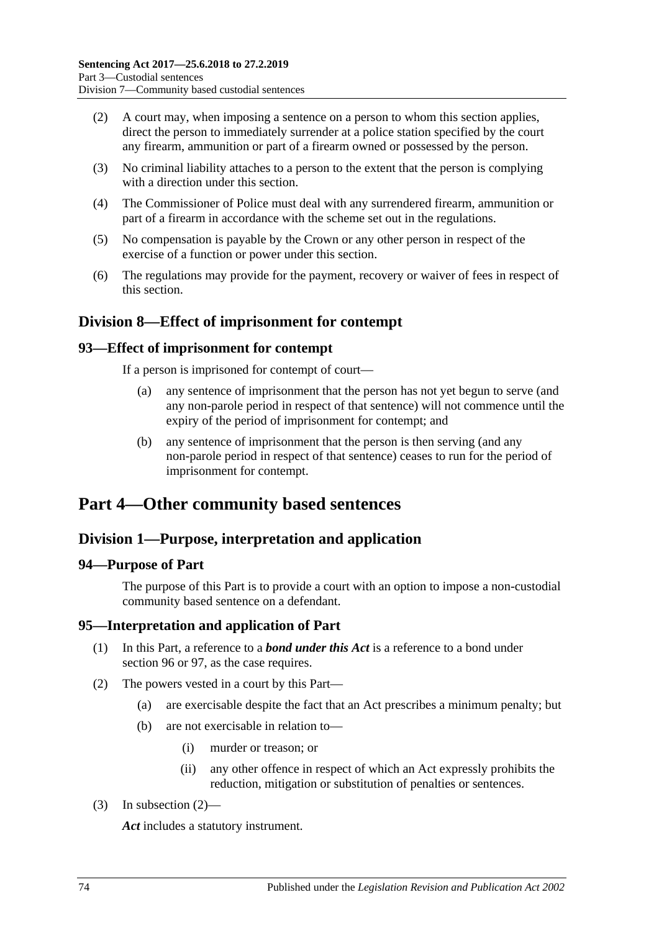- (2) A court may, when imposing a sentence on a person to whom this section applies, direct the person to immediately surrender at a police station specified by the court any firearm, ammunition or part of a firearm owned or possessed by the person.
- (3) No criminal liability attaches to a person to the extent that the person is complying with a direction under this section.
- (4) The Commissioner of Police must deal with any surrendered firearm, ammunition or part of a firearm in accordance with the scheme set out in the regulations.
- (5) No compensation is payable by the Crown or any other person in respect of the exercise of a function or power under this section.
- (6) The regulations may provide for the payment, recovery or waiver of fees in respect of this section.

## **Division 8—Effect of imprisonment for contempt**

### **93—Effect of imprisonment for contempt**

If a person is imprisoned for contempt of court—

- (a) any sentence of imprisonment that the person has not yet begun to serve (and any non-parole period in respect of that sentence) will not commence until the expiry of the period of imprisonment for contempt; and
- (b) any sentence of imprisonment that the person is then serving (and any non-parole period in respect of that sentence) ceases to run for the period of imprisonment for contempt.

## **Part 4—Other community based sentences**

## **Division 1—Purpose, interpretation and application**

### **94—Purpose of Part**

The purpose of this Part is to provide a court with an option to impose a non-custodial community based sentence on a defendant.

### **95—Interpretation and application of Part**

- (1) In this Part, a reference to a *bond under this Act* is a reference to a bond under [section](#page-74-0) 96 or [97,](#page-77-0) as the case requires.
- <span id="page-73-0"></span>(2) The powers vested in a court by this Part—
	- (a) are exercisable despite the fact that an Act prescribes a minimum penalty; but
	- (b) are not exercisable in relation to—
		- (i) murder or treason; or
		- (ii) any other offence in respect of which an Act expressly prohibits the reduction, mitigation or substitution of penalties or sentences.
- (3) In [subsection](#page-73-0) (2)—

*Act* includes a statutory instrument.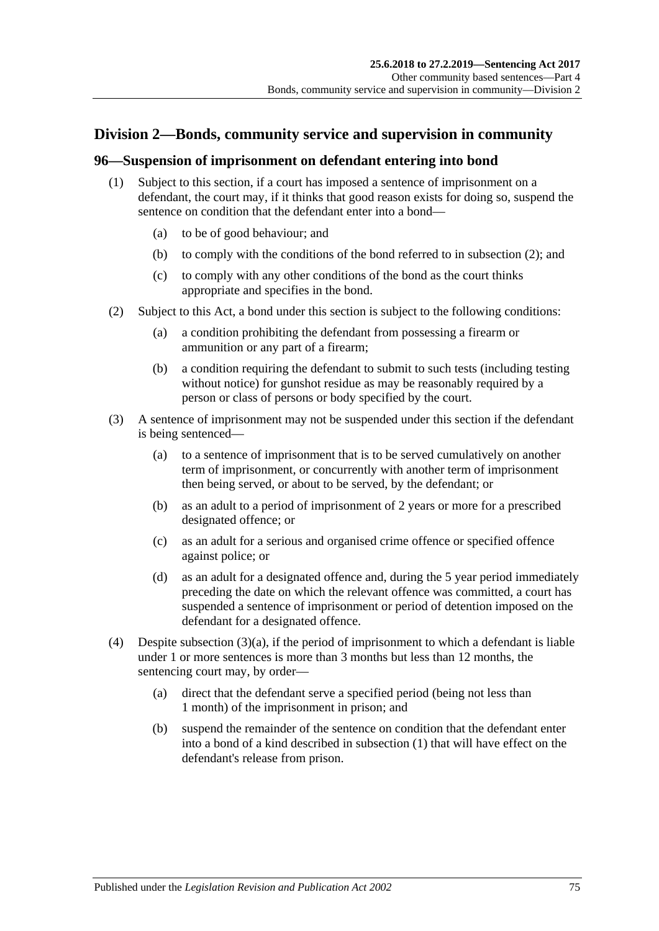## **Division 2—Bonds, community service and supervision in community**

### <span id="page-74-3"></span><span id="page-74-0"></span>**96—Suspension of imprisonment on defendant entering into bond**

- (1) Subject to this section, if a court has imposed a sentence of imprisonment on a defendant, the court may, if it thinks that good reason exists for doing so, suspend the sentence on condition that the defendant enter into a bond—
	- (a) to be of good behaviour; and
	- (b) to comply with the conditions of the bond referred to in [subsection](#page-74-1) (2); and
	- (c) to comply with any other conditions of the bond as the court thinks appropriate and specifies in the bond.
- <span id="page-74-8"></span><span id="page-74-1"></span>(2) Subject to this Act, a bond under this section is subject to the following conditions:
	- (a) a condition prohibiting the defendant from possessing a firearm or ammunition or any part of a firearm;
	- (b) a condition requiring the defendant to submit to such tests (including testing without notice) for gunshot residue as may be reasonably required by a person or class of persons or body specified by the court.
- <span id="page-74-4"></span><span id="page-74-2"></span>(3) A sentence of imprisonment may not be suspended under this section if the defendant is being sentenced—
	- (a) to a sentence of imprisonment that is to be served cumulatively on another term of imprisonment, or concurrently with another term of imprisonment then being served, or about to be served, by the defendant; or
	- (b) as an adult to a period of imprisonment of 2 years or more for a prescribed designated offence; or
	- (c) as an adult for a serious and organised crime offence or specified offence against police; or
	- (d) as an adult for a designated offence and, during the 5 year period immediately preceding the date on which the relevant offence was committed, a court has suspended a sentence of imprisonment or period of detention imposed on the defendant for a designated offence.
- <span id="page-74-7"></span><span id="page-74-6"></span><span id="page-74-5"></span>(4) Despite [subsection](#page-74-2)  $(3)(a)$ , if the period of imprisonment to which a defendant is liable under 1 or more sentences is more than 3 months but less than 12 months, the sentencing court may, by order—
	- (a) direct that the defendant serve a specified period (being not less than 1 month) of the imprisonment in prison; and
	- (b) suspend the remainder of the sentence on condition that the defendant enter into a bond of a kind described in [subsection](#page-74-3) (1) that will have effect on the defendant's release from prison.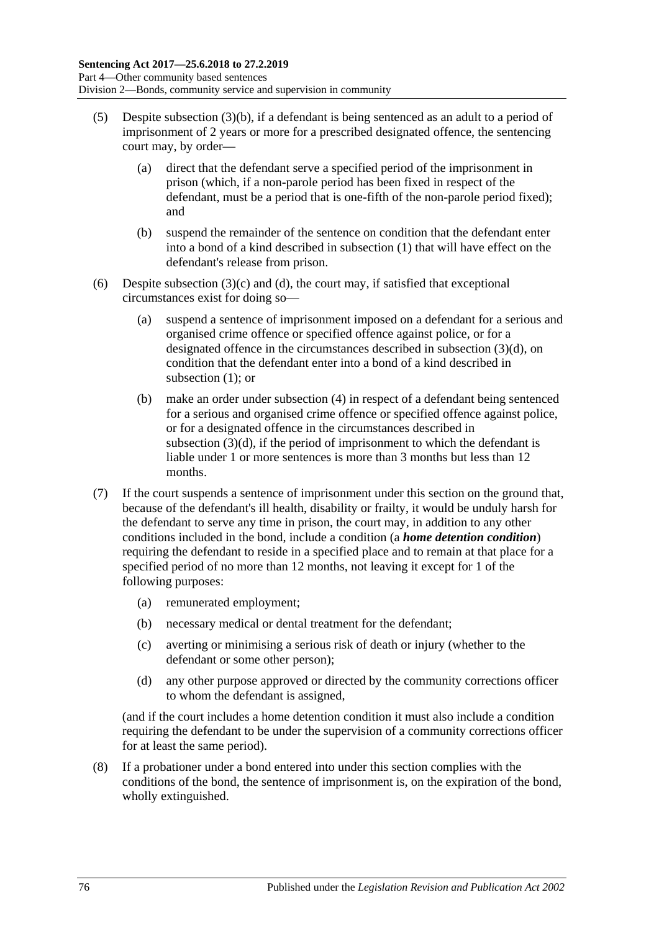- <span id="page-75-0"></span>(5) Despite [subsection](#page-74-4) (3)(b), if a defendant is being sentenced as an adult to a period of imprisonment of 2 years or more for a prescribed designated offence, the sentencing court may, by order—
	- (a) direct that the defendant serve a specified period of the imprisonment in prison (which, if a non-parole period has been fixed in respect of the defendant, must be a period that is one-fifth of the non-parole period fixed); and
	- (b) suspend the remainder of the sentence on condition that the defendant enter into a bond of a kind described in [subsection](#page-74-3) (1) that will have effect on the defendant's release from prison.
- (6) Despite [subsection](#page-74-5)  $(3)(c)$  and  $(d)$ , the court may, if satisfied that exceptional circumstances exist for doing so—
	- (a) suspend a sentence of imprisonment imposed on a defendant for a serious and organised crime offence or specified offence against police, or for a designated offence in the circumstances described in [subsection](#page-74-6) (3)(d), on condition that the defendant enter into a bond of a kind described in [subsection](#page-74-3) (1); or
	- (b) make an order under [subsection](#page-74-7) (4) in respect of a defendant being sentenced for a serious and organised crime offence or specified offence against police, or for a designated offence in the circumstances described in [subsection](#page-74-6)  $(3)(d)$ , if the period of imprisonment to which the defendant is liable under 1 or more sentences is more than 3 months but less than 12 months.
- (7) If the court suspends a sentence of imprisonment under this section on the ground that, because of the defendant's ill health, disability or frailty, it would be unduly harsh for the defendant to serve any time in prison, the court may, in addition to any other conditions included in the bond, include a condition (a *home detention condition*) requiring the defendant to reside in a specified place and to remain at that place for a specified period of no more than 12 months, not leaving it except for 1 of the following purposes:
	- (a) remunerated employment;
	- (b) necessary medical or dental treatment for the defendant;
	- (c) averting or minimising a serious risk of death or injury (whether to the defendant or some other person);
	- (d) any other purpose approved or directed by the community corrections officer to whom the defendant is assigned,

(and if the court includes a home detention condition it must also include a condition requiring the defendant to be under the supervision of a community corrections officer for at least the same period).

(8) If a probationer under a bond entered into under this section complies with the conditions of the bond, the sentence of imprisonment is, on the expiration of the bond, wholly extinguished.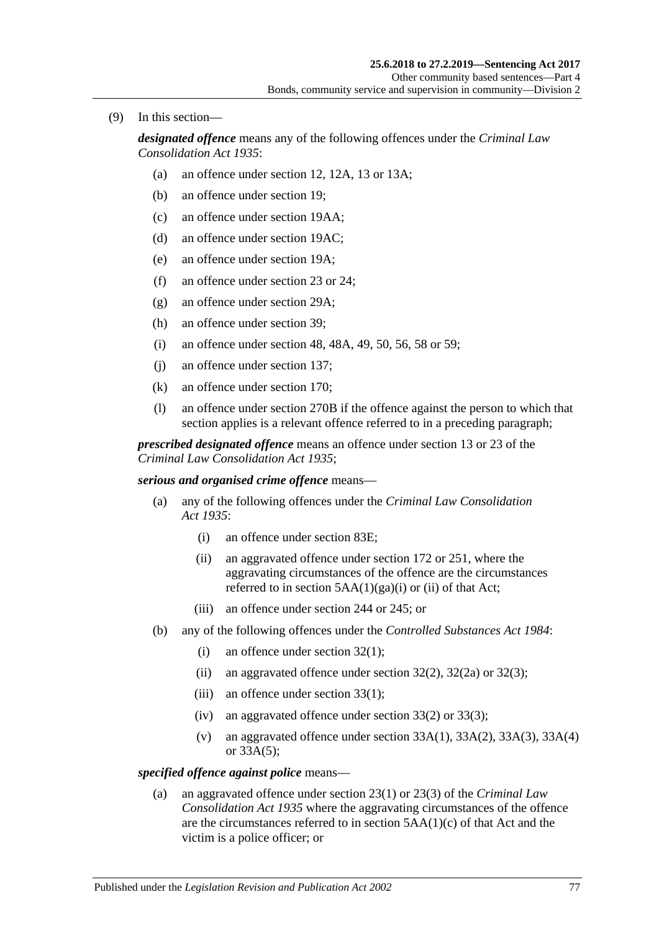(9) In this section—

*designated offence* means any of the following offences under the *[Criminal Law](http://www.legislation.sa.gov.au/index.aspx?action=legref&type=act&legtitle=Criminal%20Law%20Consolidation%20Act%201935)  [Consolidation Act](http://www.legislation.sa.gov.au/index.aspx?action=legref&type=act&legtitle=Criminal%20Law%20Consolidation%20Act%201935) 1935*:

- (a) an offence under section 12, 12A, 13 or 13A;
- (b) an offence under section 19;
- (c) an offence under section 19AA;
- (d) an offence under section 19AC;
- (e) an offence under section 19A;
- (f) an offence under section 23 or 24;
- (g) an offence under section 29A;
- (h) an offence under section 39;
- (i) an offence under section 48, 48A, 49, 50, 56, 58 or 59;
- (j) an offence under section 137;
- (k) an offence under section 170;
- (l) an offence under section 270B if the offence against the person to which that section applies is a relevant offence referred to in a preceding paragraph;

*prescribed designated offence* means an offence under section 13 or 23 of the *[Criminal Law Consolidation Act](http://www.legislation.sa.gov.au/index.aspx?action=legref&type=act&legtitle=Criminal%20Law%20Consolidation%20Act%201935) 1935*;

*serious and organised crime offence* means—

- (a) any of the following offences under the *[Criminal Law Consolidation](http://www.legislation.sa.gov.au/index.aspx?action=legref&type=act&legtitle=Criminal%20Law%20Consolidation%20Act%201935)  Act [1935](http://www.legislation.sa.gov.au/index.aspx?action=legref&type=act&legtitle=Criminal%20Law%20Consolidation%20Act%201935)*:
	- (i) an offence under section 83E;
	- (ii) an aggravated offence under section 172 or 251, where the aggravating circumstances of the offence are the circumstances referred to in section  $5AA(1)(ga)(i)$  or (ii) of that Act;
	- (iii) an offence under section 244 or 245; or
- (b) any of the following offences under the *[Controlled Substances Act](http://www.legislation.sa.gov.au/index.aspx?action=legref&type=act&legtitle=Controlled%20Substances%20Act%201984) 1984*:
	- (i) an offence under section 32(1);
	- (ii) an aggravated offence under section  $32(2)$ ,  $32(2a)$  or  $32(3)$ ;
	- (iii) an offence under section  $33(1)$ ;
	- (iv) an aggravated offence under section  $33(2)$  or  $33(3)$ ;
	- (v) an aggravated offence under section  $33A(1)$ ,  $33A(2)$ ,  $33A(3)$ ,  $33A(4)$ or 33A(5);

#### *specified offence against police* means—

(a) an aggravated offence under section 23(1) or 23(3) of the *[Criminal Law](http://www.legislation.sa.gov.au/index.aspx?action=legref&type=act&legtitle=Criminal%20Law%20Consolidation%20Act%201935)  [Consolidation Act](http://www.legislation.sa.gov.au/index.aspx?action=legref&type=act&legtitle=Criminal%20Law%20Consolidation%20Act%201935) 1935* where the aggravating circumstances of the offence are the circumstances referred to in section 5AA(1)(c) of that Act and the victim is a police officer; or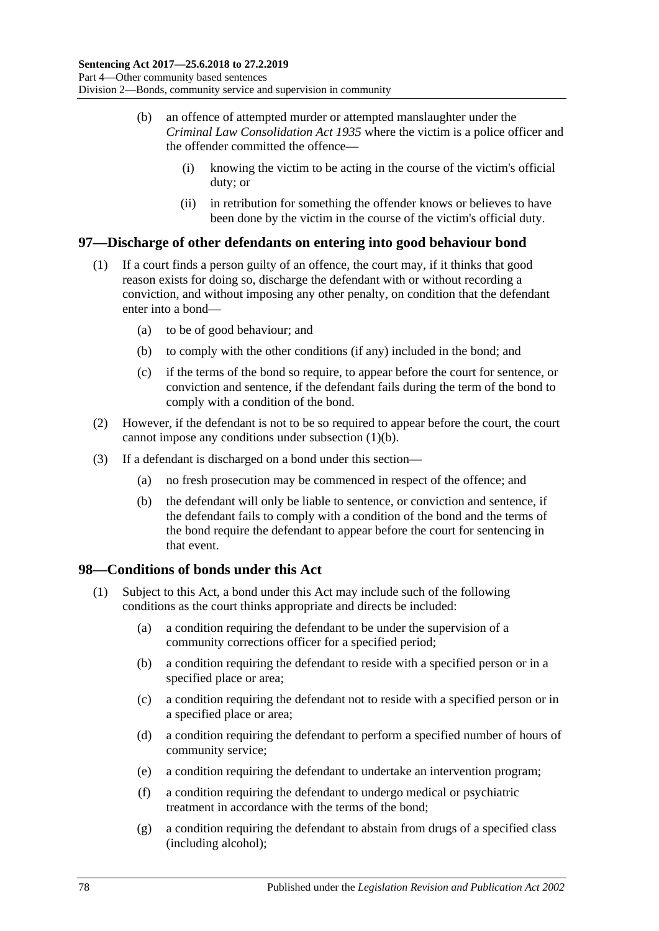- (b) an offence of attempted murder or attempted manslaughter under the *[Criminal Law Consolidation Act](http://www.legislation.sa.gov.au/index.aspx?action=legref&type=act&legtitle=Criminal%20Law%20Consolidation%20Act%201935) 1935* where the victim is a police officer and the offender committed the offence—
	- (i) knowing the victim to be acting in the course of the victim's official duty; or
	- (ii) in retribution for something the offender knows or believes to have been done by the victim in the course of the victim's official duty.

## <span id="page-77-0"></span>**97—Discharge of other defendants on entering into good behaviour bond**

- <span id="page-77-1"></span>(1) If a court finds a person guilty of an offence, the court may, if it thinks that good reason exists for doing so, discharge the defendant with or without recording a conviction, and without imposing any other penalty, on condition that the defendant enter into a bond—
	- (a) to be of good behaviour; and
	- (b) to comply with the other conditions (if any) included in the bond; and
	- (c) if the terms of the bond so require, to appear before the court for sentence, or conviction and sentence, if the defendant fails during the term of the bond to comply with a condition of the bond.
- (2) However, if the defendant is not to be so required to appear before the court, the court cannot impose any conditions under [subsection](#page-77-1) (1)(b).
- (3) If a defendant is discharged on a bond under this section—
	- (a) no fresh prosecution may be commenced in respect of the offence; and
	- (b) the defendant will only be liable to sentence, or conviction and sentence, if the defendant fails to comply with a condition of the bond and the terms of the bond require the defendant to appear before the court for sentencing in that event.

### **98—Conditions of bonds under this Act**

- (1) Subject to this Act, a bond under this Act may include such of the following conditions as the court thinks appropriate and directs be included:
	- (a) a condition requiring the defendant to be under the supervision of a community corrections officer for a specified period;
	- (b) a condition requiring the defendant to reside with a specified person or in a specified place or area;
	- (c) a condition requiring the defendant not to reside with a specified person or in a specified place or area;
	- (d) a condition requiring the defendant to perform a specified number of hours of community service;
	- (e) a condition requiring the defendant to undertake an intervention program;
	- (f) a condition requiring the defendant to undergo medical or psychiatric treatment in accordance with the terms of the bond;
	- (g) a condition requiring the defendant to abstain from drugs of a specified class (including alcohol);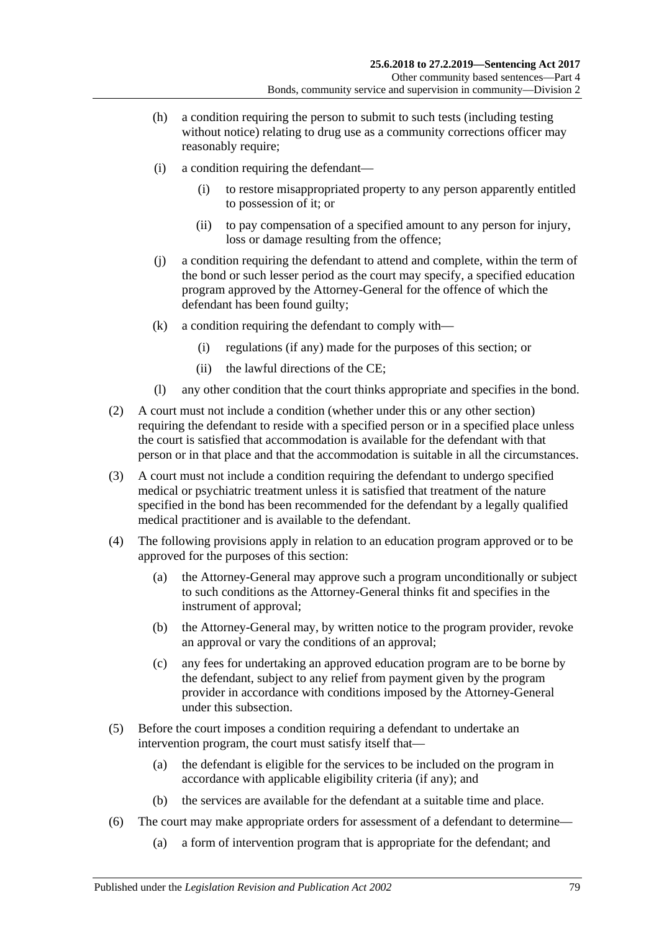- (h) a condition requiring the person to submit to such tests (including testing without notice) relating to drug use as a community corrections officer may reasonably require;
- (i) a condition requiring the defendant—
	- (i) to restore misappropriated property to any person apparently entitled to possession of it; or
	- (ii) to pay compensation of a specified amount to any person for injury, loss or damage resulting from the offence;
- (j) a condition requiring the defendant to attend and complete, within the term of the bond or such lesser period as the court may specify, a specified education program approved by the Attorney-General for the offence of which the defendant has been found guilty;
- (k) a condition requiring the defendant to comply with—
	- (i) regulations (if any) made for the purposes of this section; or
	- (ii) the lawful directions of the CE;
- (l) any other condition that the court thinks appropriate and specifies in the bond.
- (2) A court must not include a condition (whether under this or any other section) requiring the defendant to reside with a specified person or in a specified place unless the court is satisfied that accommodation is available for the defendant with that person or in that place and that the accommodation is suitable in all the circumstances.
- (3) A court must not include a condition requiring the defendant to undergo specified medical or psychiatric treatment unless it is satisfied that treatment of the nature specified in the bond has been recommended for the defendant by a legally qualified medical practitioner and is available to the defendant.
- (4) The following provisions apply in relation to an education program approved or to be approved for the purposes of this section:
	- (a) the Attorney-General may approve such a program unconditionally or subject to such conditions as the Attorney-General thinks fit and specifies in the instrument of approval;
	- (b) the Attorney-General may, by written notice to the program provider, revoke an approval or vary the conditions of an approval;
	- (c) any fees for undertaking an approved education program are to be borne by the defendant, subject to any relief from payment given by the program provider in accordance with conditions imposed by the Attorney-General under this subsection.
- (5) Before the court imposes a condition requiring a defendant to undertake an intervention program, the court must satisfy itself that—
	- (a) the defendant is eligible for the services to be included on the program in accordance with applicable eligibility criteria (if any); and
	- (b) the services are available for the defendant at a suitable time and place.
- (6) The court may make appropriate orders for assessment of a defendant to determine—
	- (a) a form of intervention program that is appropriate for the defendant; and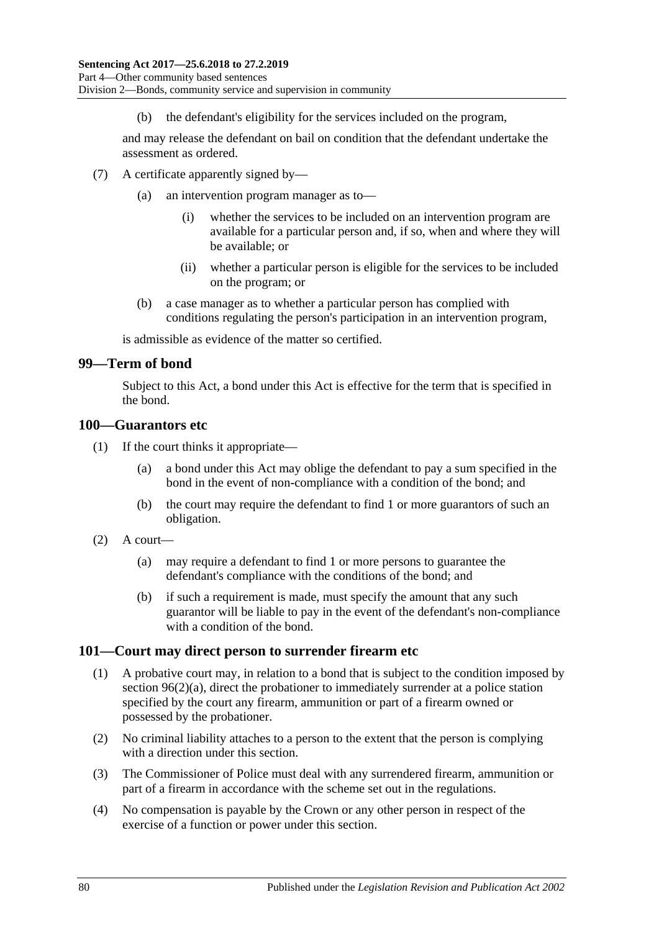(b) the defendant's eligibility for the services included on the program,

and may release the defendant on bail on condition that the defendant undertake the assessment as ordered.

- (7) A certificate apparently signed by—
	- (a) an intervention program manager as to—
		- (i) whether the services to be included on an intervention program are available for a particular person and, if so, when and where they will be available; or
		- (ii) whether a particular person is eligible for the services to be included on the program; or
	- (b) a case manager as to whether a particular person has complied with conditions regulating the person's participation in an intervention program,

is admissible as evidence of the matter so certified.

#### **99—Term of bond**

Subject to this Act, a bond under this Act is effective for the term that is specified in the bond.

#### **100—Guarantors etc**

- (1) If the court thinks it appropriate—
	- (a) a bond under this Act may oblige the defendant to pay a sum specified in the bond in the event of non-compliance with a condition of the bond; and
	- (b) the court may require the defendant to find 1 or more guarantors of such an obligation.
- $(2)$  A court—
	- (a) may require a defendant to find 1 or more persons to guarantee the defendant's compliance with the conditions of the bond; and
	- (b) if such a requirement is made, must specify the amount that any such guarantor will be liable to pay in the event of the defendant's non-compliance with a condition of the bond.

#### **101—Court may direct person to surrender firearm etc**

- (1) A probative court may, in relation to a bond that is subject to the condition imposed by section [96\(2\)\(a\),](#page-74-8) direct the probationer to immediately surrender at a police station specified by the court any firearm, ammunition or part of a firearm owned or possessed by the probationer.
- (2) No criminal liability attaches to a person to the extent that the person is complying with a direction under this section.
- (3) The Commissioner of Police must deal with any surrendered firearm, ammunition or part of a firearm in accordance with the scheme set out in the regulations.
- (4) No compensation is payable by the Crown or any other person in respect of the exercise of a function or power under this section.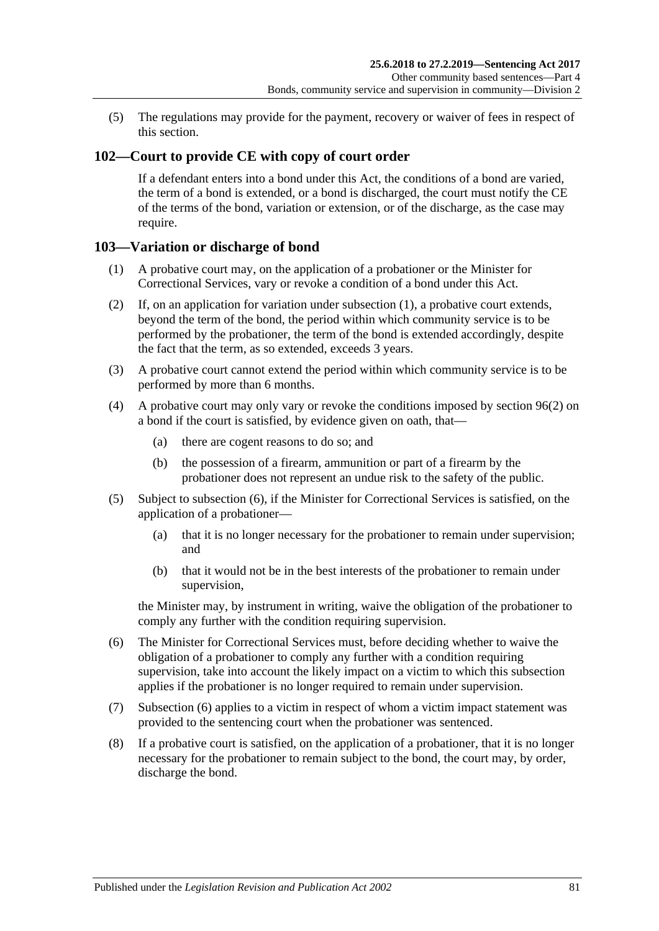(5) The regulations may provide for the payment, recovery or waiver of fees in respect of this section.

## **102—Court to provide CE with copy of court order**

If a defendant enters into a bond under this Act, the conditions of a bond are varied, the term of a bond is extended, or a bond is discharged, the court must notify the CE of the terms of the bond, variation or extension, or of the discharge, as the case may require.

### <span id="page-80-0"></span>**103—Variation or discharge of bond**

- (1) A probative court may, on the application of a probationer or the Minister for Correctional Services, vary or revoke a condition of a bond under this Act.
- (2) If, on an application for variation under [subsection](#page-80-0) (1), a probative court extends, beyond the term of the bond, the period within which community service is to be performed by the probationer, the term of the bond is extended accordingly, despite the fact that the term, as so extended, exceeds 3 years.
- (3) A probative court cannot extend the period within which community service is to be performed by more than 6 months.
- (4) A probative court may only vary or revoke the conditions imposed by [section](#page-74-1) 96(2) on a bond if the court is satisfied, by evidence given on oath, that—
	- (a) there are cogent reasons to do so; and
	- (b) the possession of a firearm, ammunition or part of a firearm by the probationer does not represent an undue risk to the safety of the public.
- (5) Subject to [subsection](#page-80-1) (6), if the Minister for Correctional Services is satisfied, on the application of a probationer—
	- (a) that it is no longer necessary for the probationer to remain under supervision; and
	- (b) that it would not be in the best interests of the probationer to remain under supervision,

the Minister may, by instrument in writing, waive the obligation of the probationer to comply any further with the condition requiring supervision.

- <span id="page-80-1"></span>(6) The Minister for Correctional Services must, before deciding whether to waive the obligation of a probationer to comply any further with a condition requiring supervision, take into account the likely impact on a victim to which this subsection applies if the probationer is no longer required to remain under supervision.
- (7) [Subsection](#page-80-1) (6) applies to a victim in respect of whom a victim impact statement was provided to the sentencing court when the probationer was sentenced.
- (8) If a probative court is satisfied, on the application of a probationer, that it is no longer necessary for the probationer to remain subject to the bond, the court may, by order, discharge the bond.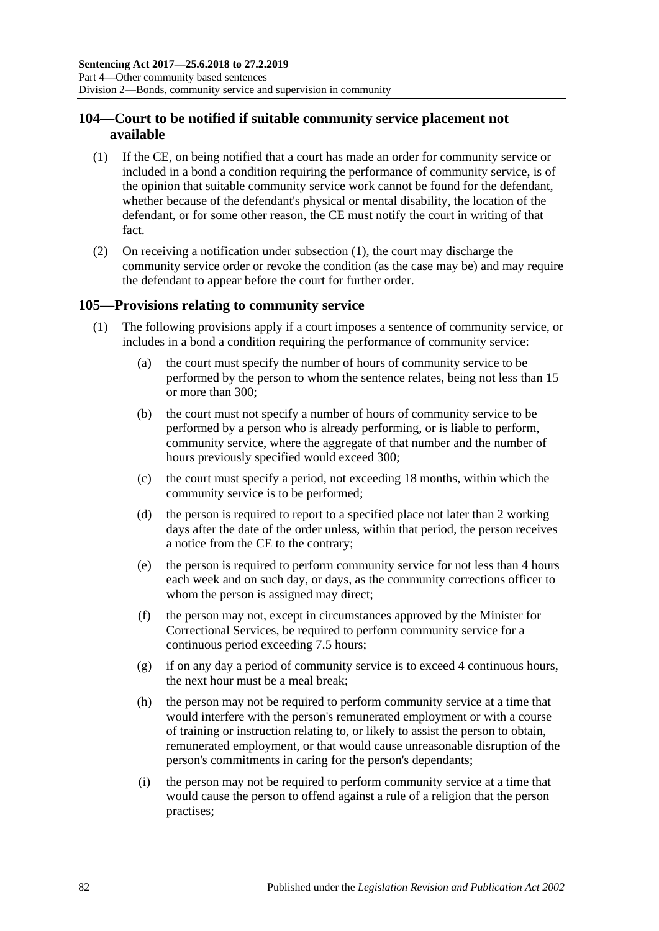## **104—Court to be notified if suitable community service placement not available**

- <span id="page-81-0"></span>(1) If the CE, on being notified that a court has made an order for community service or included in a bond a condition requiring the performance of community service, is of the opinion that suitable community service work cannot be found for the defendant, whether because of the defendant's physical or mental disability, the location of the defendant, or for some other reason, the CE must notify the court in writing of that fact.
- (2) On receiving a notification under [subsection](#page-81-0) (1), the court may discharge the community service order or revoke the condition (as the case may be) and may require the defendant to appear before the court for further order.

### <span id="page-81-1"></span>**105—Provisions relating to community service**

- (1) The following provisions apply if a court imposes a sentence of community service, or includes in a bond a condition requiring the performance of community service:
	- (a) the court must specify the number of hours of community service to be performed by the person to whom the sentence relates, being not less than 15 or more than 300;
	- (b) the court must not specify a number of hours of community service to be performed by a person who is already performing, or is liable to perform, community service, where the aggregate of that number and the number of hours previously specified would exceed 300;
	- (c) the court must specify a period, not exceeding 18 months, within which the community service is to be performed;
	- (d) the person is required to report to a specified place not later than 2 working days after the date of the order unless, within that period, the person receives a notice from the CE to the contrary;
	- (e) the person is required to perform community service for not less than 4 hours each week and on such day, or days, as the community corrections officer to whom the person is assigned may direct;
	- (f) the person may not, except in circumstances approved by the Minister for Correctional Services, be required to perform community service for a continuous period exceeding 7.5 hours;
	- (g) if on any day a period of community service is to exceed 4 continuous hours, the next hour must be a meal break;
	- (h) the person may not be required to perform community service at a time that would interfere with the person's remunerated employment or with a course of training or instruction relating to, or likely to assist the person to obtain, remunerated employment, or that would cause unreasonable disruption of the person's commitments in caring for the person's dependants;
	- (i) the person may not be required to perform community service at a time that would cause the person to offend against a rule of a religion that the person practises;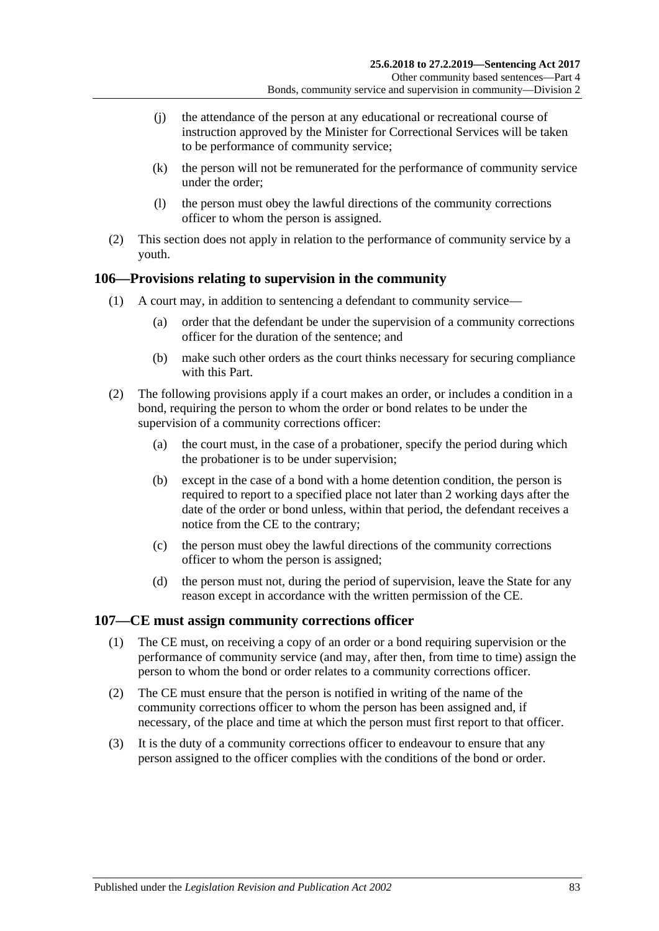- (j) the attendance of the person at any educational or recreational course of instruction approved by the Minister for Correctional Services will be taken to be performance of community service;
- (k) the person will not be remunerated for the performance of community service under the order;
- (l) the person must obey the lawful directions of the community corrections officer to whom the person is assigned.
- (2) This section does not apply in relation to the performance of community service by a youth.

### **106—Provisions relating to supervision in the community**

- (1) A court may, in addition to sentencing a defendant to community service—
	- (a) order that the defendant be under the supervision of a community corrections officer for the duration of the sentence; and
	- (b) make such other orders as the court thinks necessary for securing compliance with this Part.
- (2) The following provisions apply if a court makes an order, or includes a condition in a bond, requiring the person to whom the order or bond relates to be under the supervision of a community corrections officer:
	- (a) the court must, in the case of a probationer, specify the period during which the probationer is to be under supervision;
	- (b) except in the case of a bond with a home detention condition, the person is required to report to a specified place not later than 2 working days after the date of the order or bond unless, within that period, the defendant receives a notice from the CE to the contrary;
	- (c) the person must obey the lawful directions of the community corrections officer to whom the person is assigned;
	- (d) the person must not, during the period of supervision, leave the State for any reason except in accordance with the written permission of the CE.

#### **107—CE must assign community corrections officer**

- (1) The CE must, on receiving a copy of an order or a bond requiring supervision or the performance of community service (and may, after then, from time to time) assign the person to whom the bond or order relates to a community corrections officer.
- (2) The CE must ensure that the person is notified in writing of the name of the community corrections officer to whom the person has been assigned and, if necessary, of the place and time at which the person must first report to that officer.
- (3) It is the duty of a community corrections officer to endeavour to ensure that any person assigned to the officer complies with the conditions of the bond or order.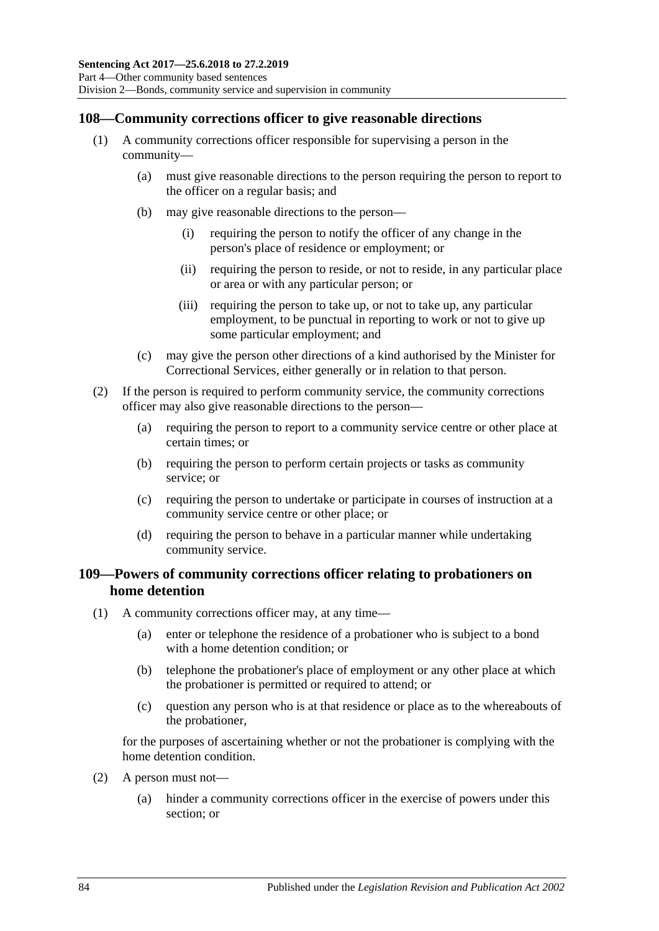### **108—Community corrections officer to give reasonable directions**

- (1) A community corrections officer responsible for supervising a person in the community—
	- (a) must give reasonable directions to the person requiring the person to report to the officer on a regular basis; and
	- (b) may give reasonable directions to the person—
		- (i) requiring the person to notify the officer of any change in the person's place of residence or employment; or
		- (ii) requiring the person to reside, or not to reside, in any particular place or area or with any particular person; or
		- (iii) requiring the person to take up, or not to take up, any particular employment, to be punctual in reporting to work or not to give up some particular employment; and
	- (c) may give the person other directions of a kind authorised by the Minister for Correctional Services, either generally or in relation to that person.
- (2) If the person is required to perform community service, the community corrections officer may also give reasonable directions to the person—
	- (a) requiring the person to report to a community service centre or other place at certain times; or
	- (b) requiring the person to perform certain projects or tasks as community service; or
	- (c) requiring the person to undertake or participate in courses of instruction at a community service centre or other place; or
	- (d) requiring the person to behave in a particular manner while undertaking community service.

### **109—Powers of community corrections officer relating to probationers on home detention**

- (1) A community corrections officer may, at any time—
	- (a) enter or telephone the residence of a probationer who is subject to a bond with a home detention condition; or
	- (b) telephone the probationer's place of employment or any other place at which the probationer is permitted or required to attend; or
	- (c) question any person who is at that residence or place as to the whereabouts of the probationer,

for the purposes of ascertaining whether or not the probationer is complying with the home detention condition.

- (2) A person must not—
	- (a) hinder a community corrections officer in the exercise of powers under this section; or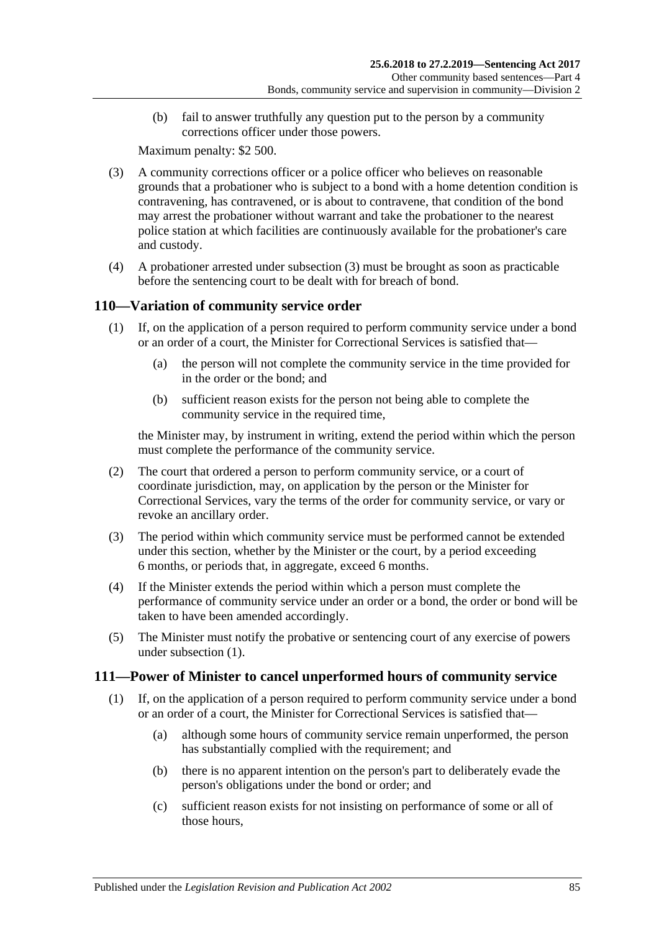(b) fail to answer truthfully any question put to the person by a community corrections officer under those powers.

Maximum penalty: \$2 500.

- <span id="page-84-0"></span>(3) A community corrections officer or a police officer who believes on reasonable grounds that a probationer who is subject to a bond with a home detention condition is contravening, has contravened, or is about to contravene, that condition of the bond may arrest the probationer without warrant and take the probationer to the nearest police station at which facilities are continuously available for the probationer's care and custody.
- (4) A probationer arrested under [subsection](#page-84-0) (3) must be brought as soon as practicable before the sentencing court to be dealt with for breach of bond.

## <span id="page-84-1"></span>**110—Variation of community service order**

- (1) If, on the application of a person required to perform community service under a bond or an order of a court, the Minister for Correctional Services is satisfied that—
	- (a) the person will not complete the community service in the time provided for in the order or the bond; and
	- (b) sufficient reason exists for the person not being able to complete the community service in the required time,

the Minister may, by instrument in writing, extend the period within which the person must complete the performance of the community service.

- (2) The court that ordered a person to perform community service, or a court of coordinate jurisdiction, may, on application by the person or the Minister for Correctional Services, vary the terms of the order for community service, or vary or revoke an ancillary order.
- (3) The period within which community service must be performed cannot be extended under this section, whether by the Minister or the court, by a period exceeding 6 months, or periods that, in aggregate, exceed 6 months.
- (4) If the Minister extends the period within which a person must complete the performance of community service under an order or a bond, the order or bond will be taken to have been amended accordingly.
- (5) The Minister must notify the probative or sentencing court of any exercise of powers under [subsection](#page-84-1) (1).

### <span id="page-84-2"></span>**111—Power of Minister to cancel unperformed hours of community service**

- (1) If, on the application of a person required to perform community service under a bond or an order of a court, the Minister for Correctional Services is satisfied that—
	- (a) although some hours of community service remain unperformed, the person has substantially complied with the requirement; and
	- (b) there is no apparent intention on the person's part to deliberately evade the person's obligations under the bond or order; and
	- (c) sufficient reason exists for not insisting on performance of some or all of those hours,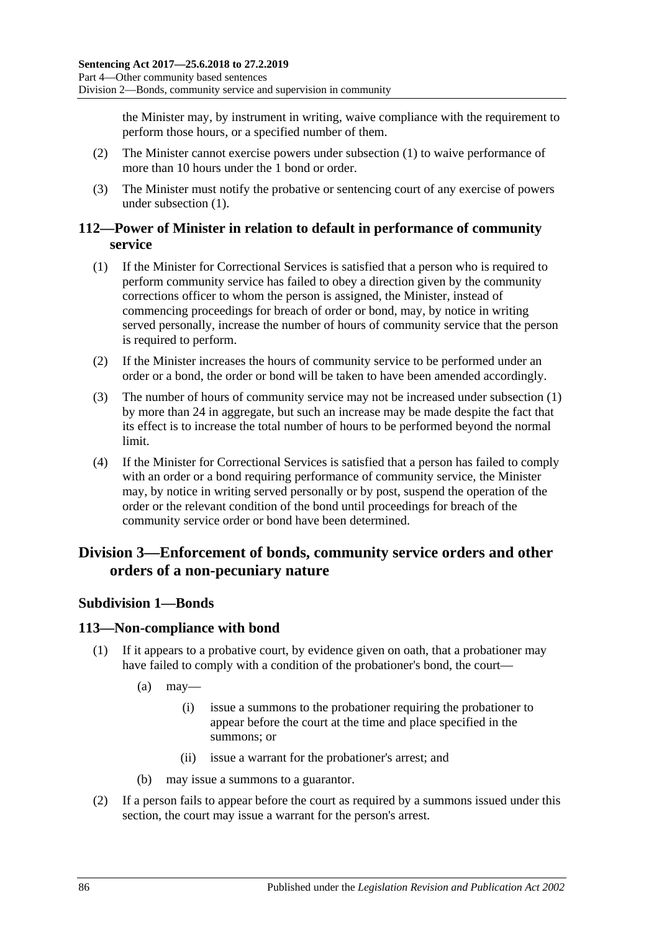the Minister may, by instrument in writing, waive compliance with the requirement to perform those hours, or a specified number of them.

- (2) The Minister cannot exercise powers under [subsection](#page-84-2) (1) to waive performance of more than 10 hours under the 1 bond or order.
- (3) The Minister must notify the probative or sentencing court of any exercise of powers under [subsection](#page-84-2) (1).

## **112—Power of Minister in relation to default in performance of community service**

- <span id="page-85-0"></span>(1) If the Minister for Correctional Services is satisfied that a person who is required to perform community service has failed to obey a direction given by the community corrections officer to whom the person is assigned, the Minister, instead of commencing proceedings for breach of order or bond, may, by notice in writing served personally, increase the number of hours of community service that the person is required to perform.
- (2) If the Minister increases the hours of community service to be performed under an order or a bond, the order or bond will be taken to have been amended accordingly.
- (3) The number of hours of community service may not be increased under [subsection](#page-85-0) (1) by more than 24 in aggregate, but such an increase may be made despite the fact that its effect is to increase the total number of hours to be performed beyond the normal limit.
- (4) If the Minister for Correctional Services is satisfied that a person has failed to comply with an order or a bond requiring performance of community service, the Minister may, by notice in writing served personally or by post, suspend the operation of the order or the relevant condition of the bond until proceedings for breach of the community service order or bond have been determined.

## **Division 3—Enforcement of bonds, community service orders and other orders of a non-pecuniary nature**

## **Subdivision 1—Bonds**

### **113—Non-compliance with bond**

- (1) If it appears to a probative court, by evidence given on oath, that a probationer may have failed to comply with a condition of the probationer's bond, the court—
	- $(a)$  may—
		- (i) issue a summons to the probationer requiring the probationer to appear before the court at the time and place specified in the summons; or
		- (ii) issue a warrant for the probationer's arrest; and
	- (b) may issue a summons to a guarantor.
- (2) If a person fails to appear before the court as required by a summons issued under this section, the court may issue a warrant for the person's arrest.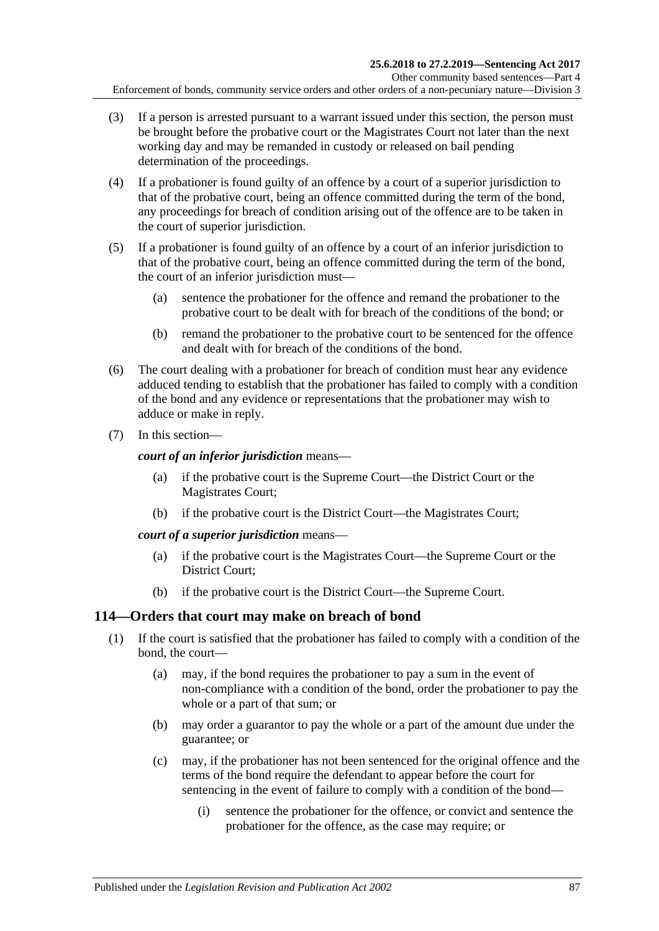- (3) If a person is arrested pursuant to a warrant issued under this section, the person must be brought before the probative court or the Magistrates Court not later than the next working day and may be remanded in custody or released on bail pending determination of the proceedings.
- (4) If a probationer is found guilty of an offence by a court of a superior jurisdiction to that of the probative court, being an offence committed during the term of the bond, any proceedings for breach of condition arising out of the offence are to be taken in the court of superior jurisdiction.
- (5) If a probationer is found guilty of an offence by a court of an inferior jurisdiction to that of the probative court, being an offence committed during the term of the bond, the court of an inferior jurisdiction must—
	- (a) sentence the probationer for the offence and remand the probationer to the probative court to be dealt with for breach of the conditions of the bond; or
	- (b) remand the probationer to the probative court to be sentenced for the offence and dealt with for breach of the conditions of the bond.
- (6) The court dealing with a probationer for breach of condition must hear any evidence adduced tending to establish that the probationer has failed to comply with a condition of the bond and any evidence or representations that the probationer may wish to adduce or make in reply.
- (7) In this section—

#### *court of an inferior jurisdiction* means—

- (a) if the probative court is the Supreme Court—the District Court or the Magistrates Court;
- (b) if the probative court is the District Court—the Magistrates Court;

#### *court of a superior jurisdiction* means—

- (a) if the probative court is the Magistrates Court—the Supreme Court or the District Court;
- (b) if the probative court is the District Court—the Supreme Court.

### **114—Orders that court may make on breach of bond**

- <span id="page-86-0"></span>(1) If the court is satisfied that the probationer has failed to comply with a condition of the bond, the court—
	- (a) may, if the bond requires the probationer to pay a sum in the event of non-compliance with a condition of the bond, order the probationer to pay the whole or a part of that sum; or
	- (b) may order a guarantor to pay the whole or a part of the amount due under the guarantee; or
	- (c) may, if the probationer has not been sentenced for the original offence and the terms of the bond require the defendant to appear before the court for sentencing in the event of failure to comply with a condition of the bond—
		- (i) sentence the probationer for the offence, or convict and sentence the probationer for the offence, as the case may require; or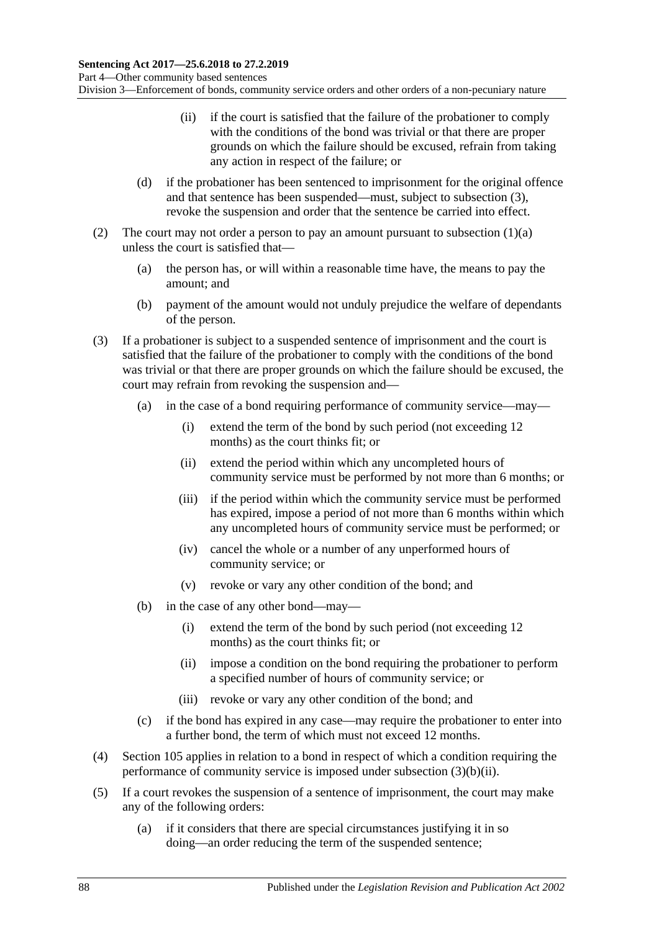Part 4—Other community based sentences

Division 3—Enforcement of bonds, community service orders and other orders of a non-pecuniary nature

- (ii) if the court is satisfied that the failure of the probationer to comply with the conditions of the bond was trivial or that there are proper grounds on which the failure should be excused, refrain from taking any action in respect of the failure; or
- (d) if the probationer has been sentenced to imprisonment for the original offence and that sentence has been suspended—must, subject to [subsection](#page-87-0) (3), revoke the suspension and order that the sentence be carried into effect.
- (2) The court may not order a person to pay an amount pursuant to [subsection](#page-86-0)  $(1)(a)$ unless the court is satisfied that—
	- (a) the person has, or will within a reasonable time have, the means to pay the amount; and
	- (b) payment of the amount would not unduly prejudice the welfare of dependants of the person.
- <span id="page-87-0"></span>(3) If a probationer is subject to a suspended sentence of imprisonment and the court is satisfied that the failure of the probationer to comply with the conditions of the bond was trivial or that there are proper grounds on which the failure should be excused, the court may refrain from revoking the suspension and—
	- (a) in the case of a bond requiring performance of community service—may—
		- (i) extend the term of the bond by such period (not exceeding 12 months) as the court thinks fit; or
		- (ii) extend the period within which any uncompleted hours of community service must be performed by not more than 6 months; or
		- (iii) if the period within which the community service must be performed has expired, impose a period of not more than 6 months within which any uncompleted hours of community service must be performed; or
		- (iv) cancel the whole or a number of any unperformed hours of community service; or
		- (v) revoke or vary any other condition of the bond; and
	- (b) in the case of any other bond—may—
		- (i) extend the term of the bond by such period (not exceeding 12 months) as the court thinks fit; or
		- (ii) impose a condition on the bond requiring the probationer to perform a specified number of hours of community service; or
		- (iii) revoke or vary any other condition of the bond; and
	- (c) if the bond has expired in any case—may require the probationer to enter into a further bond, the term of which must not exceed 12 months.
- <span id="page-87-1"></span>(4) [Section](#page-81-1) 105 applies in relation to a bond in respect of which a condition requiring the performance of community service is imposed under [subsection](#page-87-1) (3)(b)(ii).
- (5) If a court revokes the suspension of a sentence of imprisonment, the court may make any of the following orders:
	- (a) if it considers that there are special circumstances justifying it in so doing—an order reducing the term of the suspended sentence;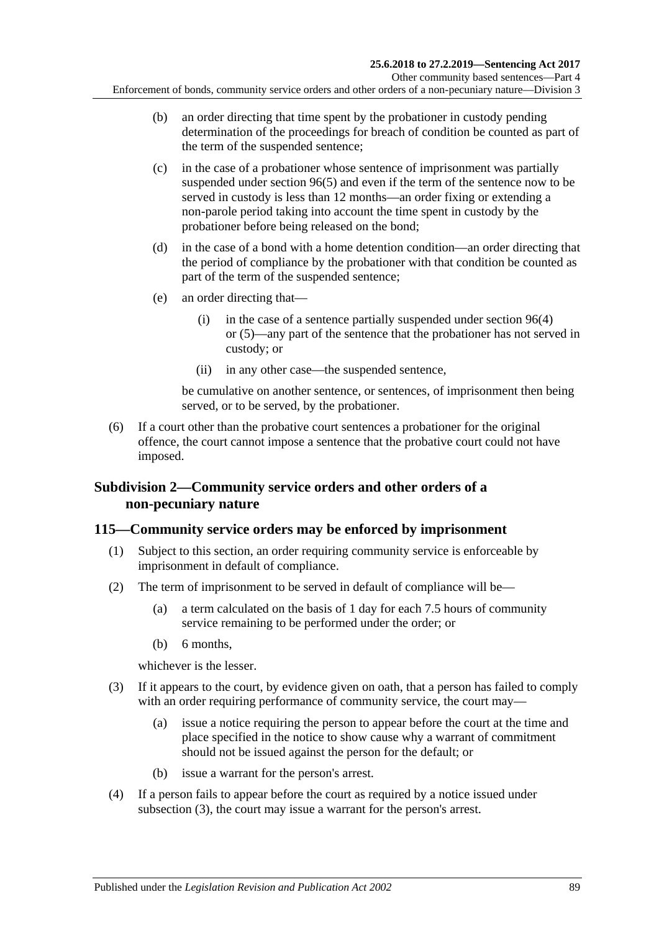- (b) an order directing that time spent by the probationer in custody pending determination of the proceedings for breach of condition be counted as part of the term of the suspended sentence;
- (c) in the case of a probationer whose sentence of imprisonment was partially suspended under [section](#page-75-0) 96(5) and even if the term of the sentence now to be served in custody is less than 12 months—an order fixing or extending a non-parole period taking into account the time spent in custody by the probationer before being released on the bond;
- (d) in the case of a bond with a home detention condition—an order directing that the period of compliance by the probationer with that condition be counted as part of the term of the suspended sentence;
- (e) an order directing that—
	- (i) in the case of a sentence partially suspended under [section](#page-74-7) 96(4) or [\(5\)—](#page-75-0)any part of the sentence that the probationer has not served in custody; or
	- (ii) in any other case—the suspended sentence,

be cumulative on another sentence, or sentences, of imprisonment then being served, or to be served, by the probationer.

(6) If a court other than the probative court sentences a probationer for the original offence, the court cannot impose a sentence that the probative court could not have imposed.

## **Subdivision 2—Community service orders and other orders of a non-pecuniary nature**

## <span id="page-88-2"></span>**115—Community service orders may be enforced by imprisonment**

- (1) Subject to this section, an order requiring community service is enforceable by imprisonment in default of compliance.
- <span id="page-88-1"></span>(2) The term of imprisonment to be served in default of compliance will be—
	- (a) a term calculated on the basis of 1 day for each 7.5 hours of community service remaining to be performed under the order; or
	- (b) 6 months,

whichever is the lesser.

- <span id="page-88-0"></span>(3) If it appears to the court, by evidence given on oath, that a person has failed to comply with an order requiring performance of community service, the court may—
	- (a) issue a notice requiring the person to appear before the court at the time and place specified in the notice to show cause why a warrant of commitment should not be issued against the person for the default; or
	- (b) issue a warrant for the person's arrest.
- (4) If a person fails to appear before the court as required by a notice issued under [subsection](#page-88-0) (3), the court may issue a warrant for the person's arrest.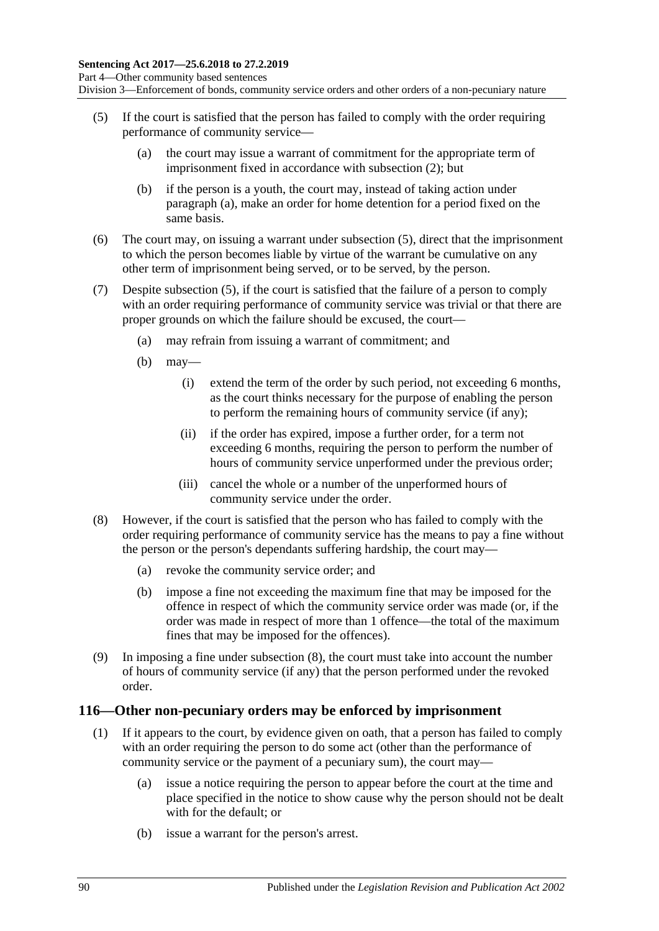Division 3—Enforcement of bonds, community service orders and other orders of a non-pecuniary nature

- <span id="page-89-1"></span><span id="page-89-0"></span>(5) If the court is satisfied that the person has failed to comply with the order requiring performance of community service—
	- (a) the court may issue a warrant of commitment for the appropriate term of imprisonment fixed in accordance with [subsection](#page-88-1) (2); but
	- (b) if the person is a youth, the court may, instead of taking action under [paragraph](#page-89-0) (a), make an order for home detention for a period fixed on the same basis.
- (6) The court may, on issuing a warrant under [subsection](#page-89-1) (5), direct that the imprisonment to which the person becomes liable by virtue of the warrant be cumulative on any other term of imprisonment being served, or to be served, by the person.
- (7) Despite [subsection](#page-89-1) (5), if the court is satisfied that the failure of a person to comply with an order requiring performance of community service was trivial or that there are proper grounds on which the failure should be excused, the court—
	- (a) may refrain from issuing a warrant of commitment; and
	- (b) may—
		- (i) extend the term of the order by such period, not exceeding 6 months, as the court thinks necessary for the purpose of enabling the person to perform the remaining hours of community service (if any);
		- (ii) if the order has expired, impose a further order, for a term not exceeding 6 months, requiring the person to perform the number of hours of community service unperformed under the previous order;
		- (iii) cancel the whole or a number of the unperformed hours of community service under the order.
- <span id="page-89-2"></span>(8) However, if the court is satisfied that the person who has failed to comply with the order requiring performance of community service has the means to pay a fine without the person or the person's dependants suffering hardship, the court may—
	- (a) revoke the community service order; and
	- (b) impose a fine not exceeding the maximum fine that may be imposed for the offence in respect of which the community service order was made (or, if the order was made in respect of more than 1 offence—the total of the maximum fines that may be imposed for the offences).
- (9) In imposing a fine under [subsection](#page-89-2) (8), the court must take into account the number of hours of community service (if any) that the person performed under the revoked order.

#### <span id="page-89-4"></span><span id="page-89-3"></span>**116—Other non-pecuniary orders may be enforced by imprisonment**

- (1) If it appears to the court, by evidence given on oath, that a person has failed to comply with an order requiring the person to do some act (other than the performance of community service or the payment of a pecuniary sum), the court may—
	- (a) issue a notice requiring the person to appear before the court at the time and place specified in the notice to show cause why the person should not be dealt with for the default; or
	- (b) issue a warrant for the person's arrest.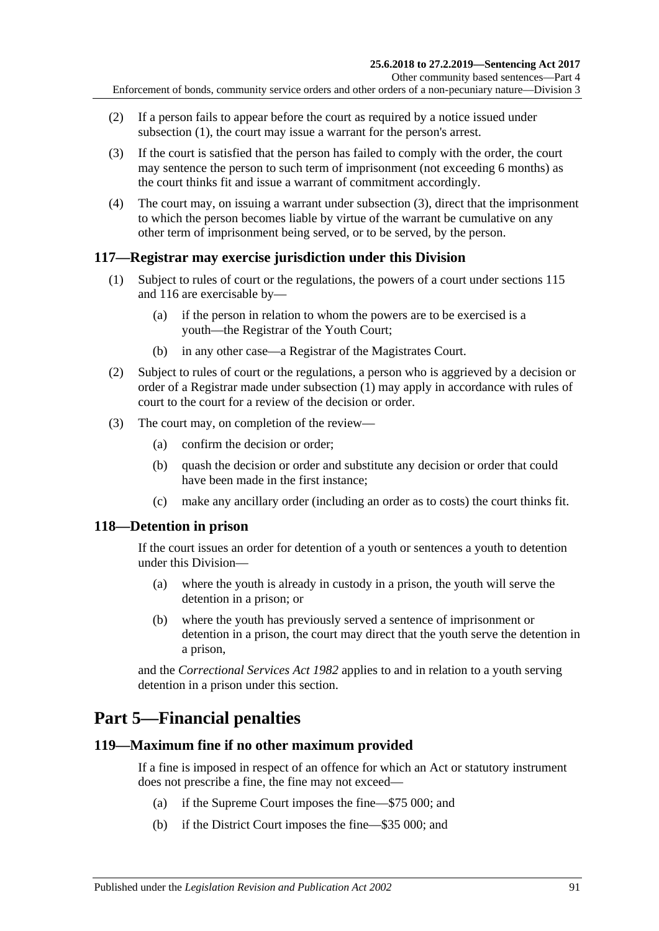- (2) If a person fails to appear before the court as required by a notice issued under [subsection](#page-89-3) (1), the court may issue a warrant for the person's arrest.
- <span id="page-90-0"></span>(3) If the court is satisfied that the person has failed to comply with the order, the court may sentence the person to such term of imprisonment (not exceeding 6 months) as the court thinks fit and issue a warrant of commitment accordingly.
- (4) The court may, on issuing a warrant under [subsection](#page-90-0) (3), direct that the imprisonment to which the person becomes liable by virtue of the warrant be cumulative on any other term of imprisonment being served, or to be served, by the person.

### <span id="page-90-1"></span>**117—Registrar may exercise jurisdiction under this Division**

- (1) Subject to rules of court or the regulations, the powers of a court under [sections](#page-88-2) 115 and [116](#page-89-4) are exercisable by—
	- (a) if the person in relation to whom the powers are to be exercised is a youth—the Registrar of the Youth Court;
	- (b) in any other case—a Registrar of the Magistrates Court.
- (2) Subject to rules of court or the regulations, a person who is aggrieved by a decision or order of a Registrar made under [subsection](#page-90-1) (1) may apply in accordance with rules of court to the court for a review of the decision or order.
- (3) The court may, on completion of the review—
	- (a) confirm the decision or order;
	- (b) quash the decision or order and substitute any decision or order that could have been made in the first instance;
	- (c) make any ancillary order (including an order as to costs) the court thinks fit.

## **118—Detention in prison**

If the court issues an order for detention of a youth or sentences a youth to detention under this Division—

- (a) where the youth is already in custody in a prison, the youth will serve the detention in a prison; or
- (b) where the youth has previously served a sentence of imprisonment or detention in a prison, the court may direct that the youth serve the detention in a prison,

and the *[Correctional Services Act](http://www.legislation.sa.gov.au/index.aspx?action=legref&type=act&legtitle=Correctional%20Services%20Act%201982) 1982* applies to and in relation to a youth serving detention in a prison under this section.

## **Part 5—Financial penalties**

### **119—Maximum fine if no other maximum provided**

If a fine is imposed in respect of an offence for which an Act or statutory instrument does not prescribe a fine, the fine may not exceed—

- (a) if the Supreme Court imposes the fine—\$75 000; and
- (b) if the District Court imposes the fine—\$35 000; and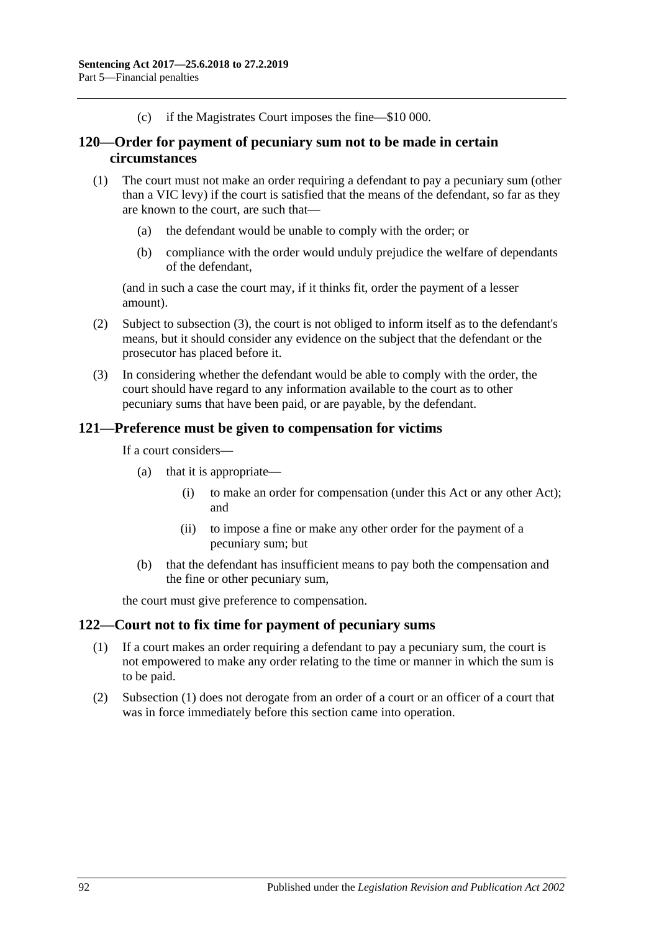(c) if the Magistrates Court imposes the fine—\$10 000.

### **120—Order for payment of pecuniary sum not to be made in certain circumstances**

- (1) The court must not make an order requiring a defendant to pay a pecuniary sum (other than a VIC levy) if the court is satisfied that the means of the defendant, so far as they are known to the court, are such that—
	- (a) the defendant would be unable to comply with the order; or
	- (b) compliance with the order would unduly prejudice the welfare of dependants of the defendant,

(and in such a case the court may, if it thinks fit, order the payment of a lesser amount).

- (2) Subject to [subsection](#page-91-0) (3), the court is not obliged to inform itself as to the defendant's means, but it should consider any evidence on the subject that the defendant or the prosecutor has placed before it.
- <span id="page-91-0"></span>(3) In considering whether the defendant would be able to comply with the order, the court should have regard to any information available to the court as to other pecuniary sums that have been paid, or are payable, by the defendant.

#### **121—Preference must be given to compensation for victims**

If a court considers—

- (a) that it is appropriate—
	- (i) to make an order for compensation (under this Act or any other Act); and
	- (ii) to impose a fine or make any other order for the payment of a pecuniary sum; but
- (b) that the defendant has insufficient means to pay both the compensation and the fine or other pecuniary sum,

the court must give preference to compensation.

### <span id="page-91-1"></span>**122—Court not to fix time for payment of pecuniary sums**

- (1) If a court makes an order requiring a defendant to pay a pecuniary sum, the court is not empowered to make any order relating to the time or manner in which the sum is to be paid.
- (2) [Subsection](#page-91-1) (1) does not derogate from an order of a court or an officer of a court that was in force immediately before this section came into operation.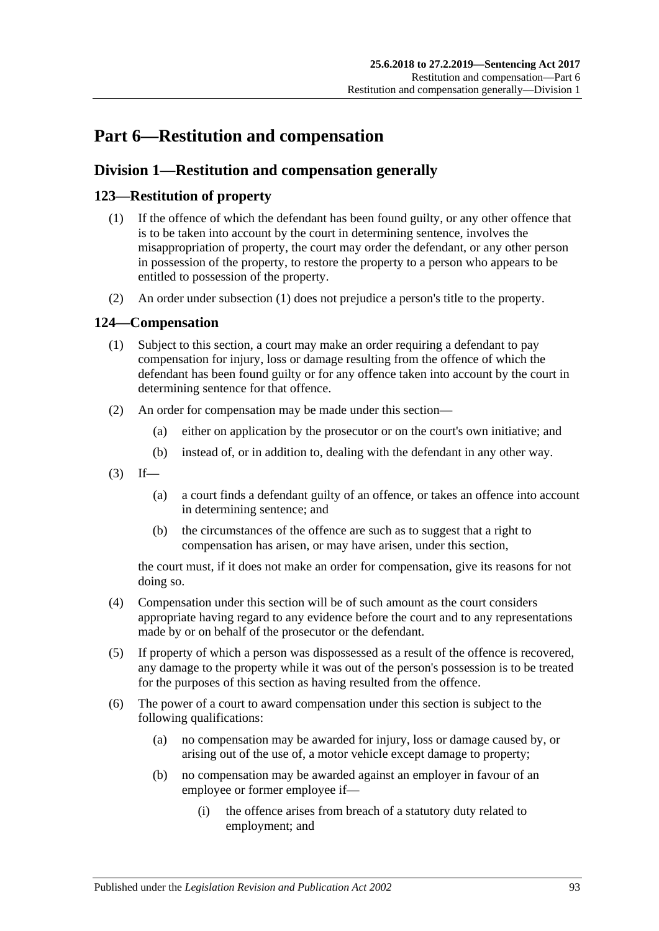# **Part 6—Restitution and compensation**

## **Division 1—Restitution and compensation generally**

## <span id="page-92-1"></span><span id="page-92-0"></span>**123—Restitution of property**

- (1) If the offence of which the defendant has been found guilty, or any other offence that is to be taken into account by the court in determining sentence, involves the misappropriation of property, the court may order the defendant, or any other person in possession of the property, to restore the property to a person who appears to be entitled to possession of the property.
- (2) An order under [subsection](#page-92-0) (1) does not prejudice a person's title to the property.

## **124—Compensation**

- (1) Subject to this section, a court may make an order requiring a defendant to pay compensation for injury, loss or damage resulting from the offence of which the defendant has been found guilty or for any offence taken into account by the court in determining sentence for that offence.
- (2) An order for compensation may be made under this section—
	- (a) either on application by the prosecutor or on the court's own initiative; and
	- (b) instead of, or in addition to, dealing with the defendant in any other way.
- $(3)$  If—
	- (a) a court finds a defendant guilty of an offence, or takes an offence into account in determining sentence; and
	- (b) the circumstances of the offence are such as to suggest that a right to compensation has arisen, or may have arisen, under this section,

the court must, if it does not make an order for compensation, give its reasons for not doing so.

- (4) Compensation under this section will be of such amount as the court considers appropriate having regard to any evidence before the court and to any representations made by or on behalf of the prosecutor or the defendant.
- (5) If property of which a person was dispossessed as a result of the offence is recovered, any damage to the property while it was out of the person's possession is to be treated for the purposes of this section as having resulted from the offence.
- (6) The power of a court to award compensation under this section is subject to the following qualifications:
	- (a) no compensation may be awarded for injury, loss or damage caused by, or arising out of the use of, a motor vehicle except damage to property;
	- (b) no compensation may be awarded against an employer in favour of an employee or former employee if—
		- (i) the offence arises from breach of a statutory duty related to employment; and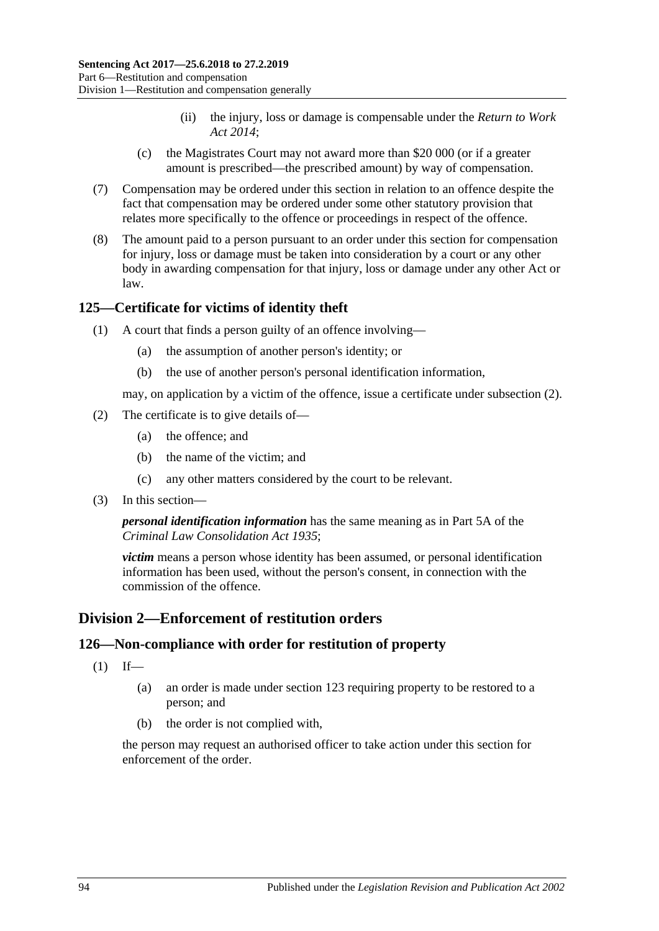- (ii) the injury, loss or damage is compensable under the *[Return to Work](http://www.legislation.sa.gov.au/index.aspx?action=legref&type=act&legtitle=Return%20to%20Work%20Act%202014)  Act [2014](http://www.legislation.sa.gov.au/index.aspx?action=legref&type=act&legtitle=Return%20to%20Work%20Act%202014)*;
- (c) the Magistrates Court may not award more than \$20 000 (or if a greater amount is prescribed—the prescribed amount) by way of compensation.
- (7) Compensation may be ordered under this section in relation to an offence despite the fact that compensation may be ordered under some other statutory provision that relates more specifically to the offence or proceedings in respect of the offence.
- (8) The amount paid to a person pursuant to an order under this section for compensation for injury, loss or damage must be taken into consideration by a court or any other body in awarding compensation for that injury, loss or damage under any other Act or law.

### **125—Certificate for victims of identity theft**

- (1) A court that finds a person guilty of an offence involving—
	- (a) the assumption of another person's identity; or
	- (b) the use of another person's personal identification information,

may, on application by a victim of the offence, issue a certificate under [subsection](#page-93-0) (2).

- <span id="page-93-0"></span>(2) The certificate is to give details of—
	- (a) the offence; and
	- (b) the name of the victim; and
	- (c) any other matters considered by the court to be relevant.
- (3) In this section—

*personal identification information* has the same meaning as in Part 5A of the *[Criminal Law Consolidation Act](http://www.legislation.sa.gov.au/index.aspx?action=legref&type=act&legtitle=Criminal%20Law%20Consolidation%20Act%201935) 1935*;

*victim* means a person whose identity has been assumed, or personal identification information has been used, without the person's consent, in connection with the commission of the offence.

## **Division 2—Enforcement of restitution orders**

## **126—Non-compliance with order for restitution of property**

- $(1)$  If—
	- (a) an order is made under [section](#page-92-1) 123 requiring property to be restored to a person; and
	- (b) the order is not complied with,

the person may request an authorised officer to take action under this section for enforcement of the order.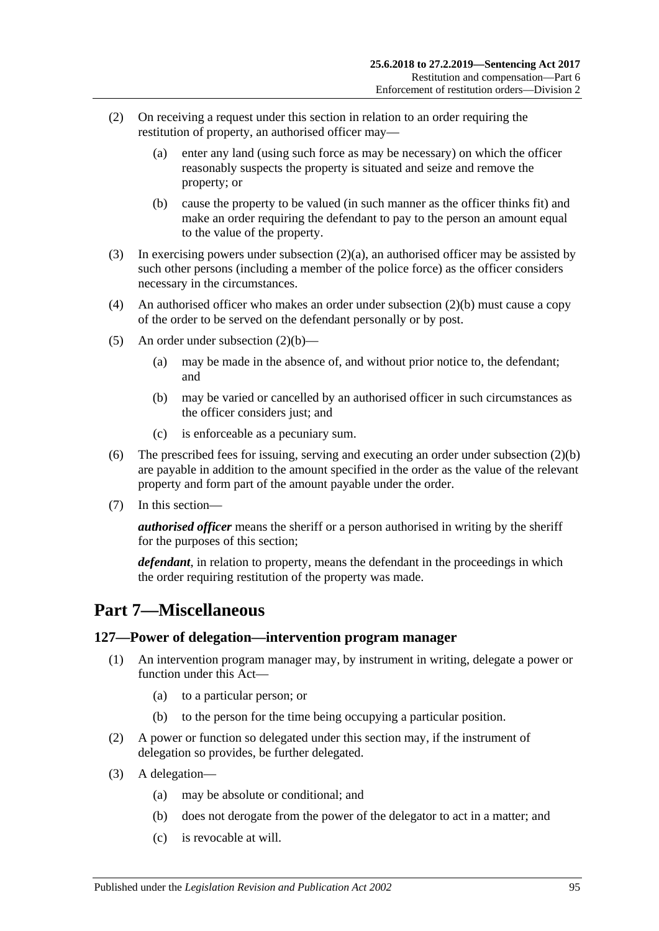- <span id="page-94-0"></span>(2) On receiving a request under this section in relation to an order requiring the restitution of property, an authorised officer may—
	- (a) enter any land (using such force as may be necessary) on which the officer reasonably suspects the property is situated and seize and remove the property; or
	- (b) cause the property to be valued (in such manner as the officer thinks fit) and make an order requiring the defendant to pay to the person an amount equal to the value of the property.
- <span id="page-94-1"></span>(3) In exercising powers under [subsection](#page-94-0) (2)(a), an authorised officer may be assisted by such other persons (including a member of the police force) as the officer considers necessary in the circumstances.
- (4) An authorised officer who makes an order under [subsection](#page-94-1) (2)(b) must cause a copy of the order to be served on the defendant personally or by post.
- (5) An order under [subsection](#page-94-1)  $(2)(b)$ 
	- (a) may be made in the absence of, and without prior notice to, the defendant; and
	- (b) may be varied or cancelled by an authorised officer in such circumstances as the officer considers just; and
	- (c) is enforceable as a pecuniary sum.
- (6) The prescribed fees for issuing, serving and executing an order under [subsection](#page-94-1) (2)(b) are payable in addition to the amount specified in the order as the value of the relevant property and form part of the amount payable under the order.
- (7) In this section—

*authorised officer* means the sheriff or a person authorised in writing by the sheriff for the purposes of this section;

*defendant*, in relation to property, means the defendant in the proceedings in which the order requiring restitution of the property was made.

## **Part 7—Miscellaneous**

### **127—Power of delegation—intervention program manager**

- (1) An intervention program manager may, by instrument in writing, delegate a power or function under this Act—
	- (a) to a particular person; or
	- (b) to the person for the time being occupying a particular position.
- (2) A power or function so delegated under this section may, if the instrument of delegation so provides, be further delegated.
- (3) A delegation—
	- (a) may be absolute or conditional; and
	- (b) does not derogate from the power of the delegator to act in a matter; and
	- (c) is revocable at will.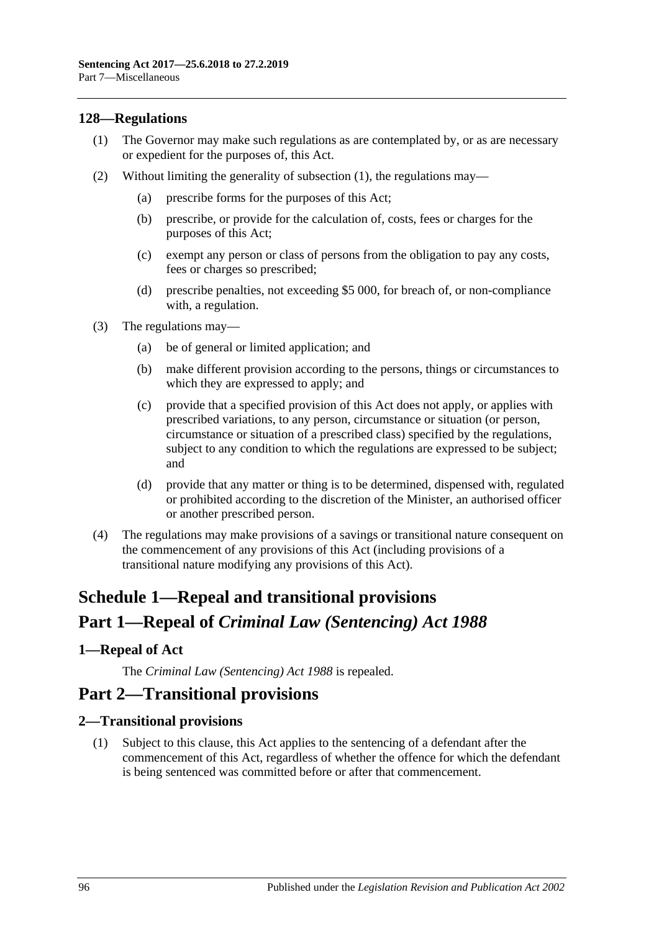#### <span id="page-95-0"></span>**128—Regulations**

- (1) The Governor may make such regulations as are contemplated by, or as are necessary or expedient for the purposes of, this Act.
- (2) Without limiting the generality of [subsection](#page-95-0) (1), the regulations may—
	- (a) prescribe forms for the purposes of this Act;
	- (b) prescribe, or provide for the calculation of, costs, fees or charges for the purposes of this Act;
	- (c) exempt any person or class of persons from the obligation to pay any costs, fees or charges so prescribed;
	- (d) prescribe penalties, not exceeding \$5 000, for breach of, or non-compliance with, a regulation.
- (3) The regulations may—
	- (a) be of general or limited application; and
	- (b) make different provision according to the persons, things or circumstances to which they are expressed to apply; and
	- (c) provide that a specified provision of this Act does not apply, or applies with prescribed variations, to any person, circumstance or situation (or person, circumstance or situation of a prescribed class) specified by the regulations, subject to any condition to which the regulations are expressed to be subject; and
	- (d) provide that any matter or thing is to be determined, dispensed with, regulated or prohibited according to the discretion of the Minister, an authorised officer or another prescribed person.
- (4) The regulations may make provisions of a savings or transitional nature consequent on the commencement of any provisions of this Act (including provisions of a transitional nature modifying any provisions of this Act).

## **Schedule 1—Repeal and transitional provisions Part 1—Repeal of** *Criminal Law (Sentencing) Act 1988*

### <span id="page-95-1"></span>**1—Repeal of Act**

The *[Criminal Law \(Sentencing\) Act](http://www.legislation.sa.gov.au/index.aspx?action=legref&type=act&legtitle=Criminal%20Law%20(Sentencing)%20Act%201988) 1988* is repealed.

## **Part 2—Transitional provisions**

### **2—Transitional provisions**

(1) Subject to this clause, this Act applies to the sentencing of a defendant after the commencement of this Act, regardless of whether the offence for which the defendant is being sentenced was committed before or after that commencement.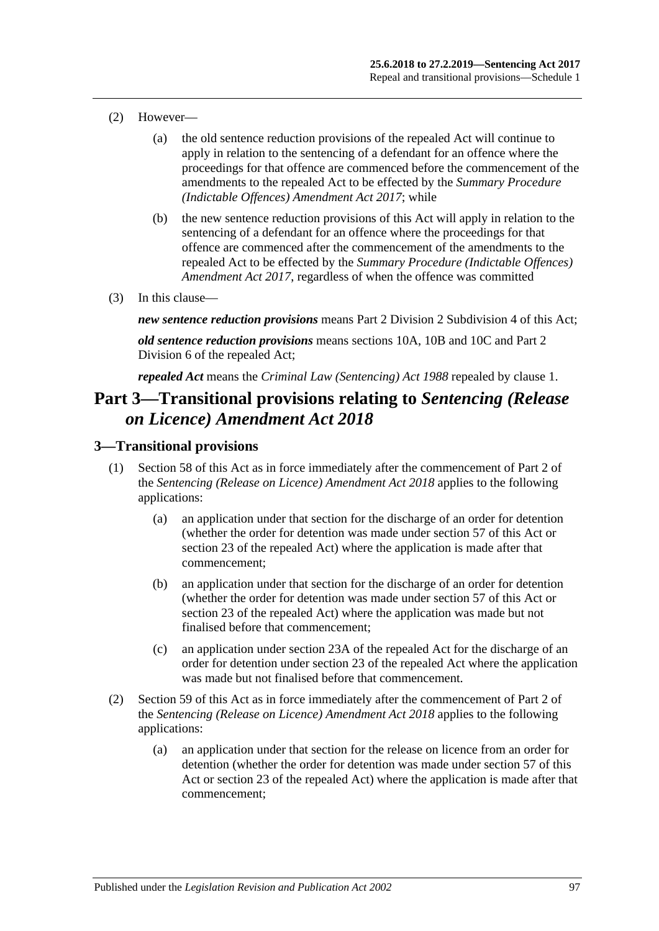- (2) However—
	- (a) the old sentence reduction provisions of the repealed Act will continue to apply in relation to the sentencing of a defendant for an offence where the proceedings for that offence are commenced before the commencement of the amendments to the repealed Act to be effected by the *[Summary Procedure](http://www.legislation.sa.gov.au/index.aspx?action=legref&type=act&legtitle=Summary%20Procedure%20(Indictable%20Offences)%20Amendment%20Act%202017)  [\(Indictable Offences\) Amendment Act 2017](http://www.legislation.sa.gov.au/index.aspx?action=legref&type=act&legtitle=Summary%20Procedure%20(Indictable%20Offences)%20Amendment%20Act%202017)*; while
	- (b) the new sentence reduction provisions of this Act will apply in relation to the sentencing of a defendant for an offence where the proceedings for that offence are commenced after the commencement of the amendments to the repealed Act to be effected by the *[Summary Procedure \(Indictable Offences\)](http://www.legislation.sa.gov.au/index.aspx?action=legref&type=act&legtitle=Summary%20Procedure%20(Indictable%20Offences)%20Amendment%20Act%202017)  [Amendment Act](http://www.legislation.sa.gov.au/index.aspx?action=legref&type=act&legtitle=Summary%20Procedure%20(Indictable%20Offences)%20Amendment%20Act%202017) 2017*, regardless of when the offence was committed
- (3) In this clause—

*new sentence reduction provisions* means Part 2 Division [2 Subdivision](#page-27-0) 4 of this Act;

*old sentence reduction provisions* means sections 10A, 10B and 10C and Part 2 Division 6 of the repealed Act;

*repealed Act* means the *[Criminal Law \(Sentencing\) Act](http://www.legislation.sa.gov.au/index.aspx?action=legref&type=act&legtitle=Criminal%20Law%20(Sentencing)%20Act%201988) 1988* repealed by [clause](#page-95-1) 1.

## **Part 3—Transitional provisions relating to** *Sentencing (Release on Licence) Amendment Act 2018*

#### **3—Transitional provisions**

- (1) [Section 58](#page-49-0) of this Act as in force immediately after the commencement of Part 2 of the *[Sentencing \(Release on Licence\) Amendment Act](http://www.legislation.sa.gov.au/index.aspx?action=legref&type=act&legtitle=Sentencing%20(Release%20on%20Licence)%20Amendment%20Act%202018) 2018* applies to the following applications:
	- (a) an application under that section for the discharge of an order for detention (whether the order for detention was made under [section](#page-47-0) 57 of this Act or section 23 of the repealed Act) where the application is made after that commencement;
	- (b) an application under that section for the discharge of an order for detention (whether the order for detention was made under [section](#page-47-0) 57 of this Act or section 23 of the repealed Act) where the application was made but not finalised before that commencement;
	- (c) an application under section 23A of the repealed Act for the discharge of an order for detention under section 23 of the repealed Act where the application was made but not finalised before that commencement.
- (2) [Section 59](#page-50-0) of this Act as in force immediately after the commencement of Part 2 of the *[Sentencing \(Release on Licence\) Amendment Act](http://www.legislation.sa.gov.au/index.aspx?action=legref&type=act&legtitle=Sentencing%20(Release%20on%20Licence)%20Amendment%20Act%202018) 2018* applies to the following applications:
	- (a) an application under that section for the release on licence from an order for detention (whether the order for detention was made under [section](#page-47-0) 57 of this Act or section 23 of the repealed Act) where the application is made after that commencement;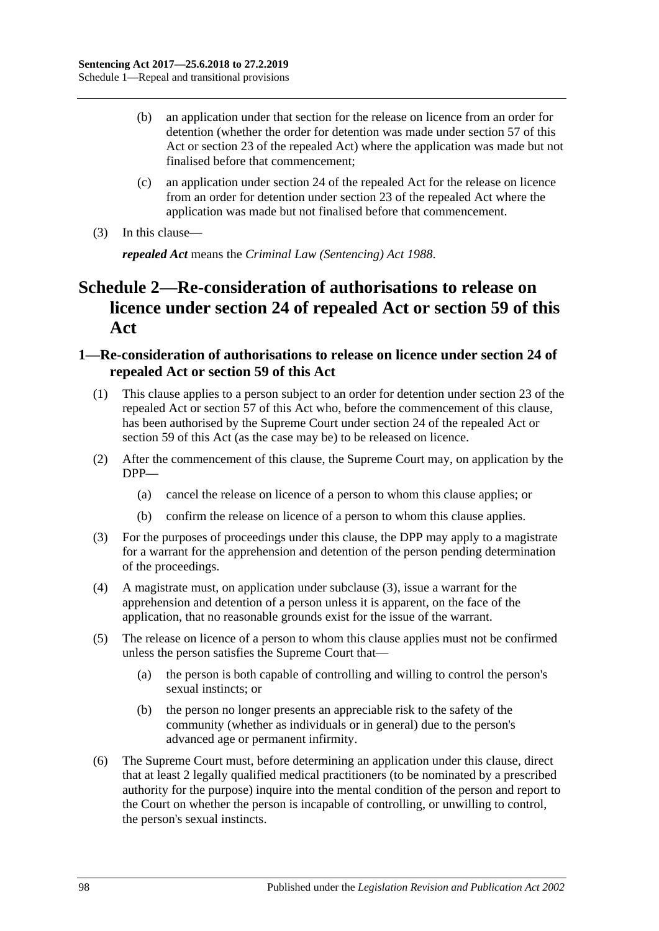- (b) an application under that section for the release on licence from an order for detention (whether the order for detention was made under [section](#page-47-0) 57 of this Act or section 23 of the repealed Act) where the application was made but not finalised before that commencement;
- (c) an application under section 24 of the repealed Act for the release on licence from an order for detention under section 23 of the repealed Act where the application was made but not finalised before that commencement.
- (3) In this clause—

*repealed Act* means the *[Criminal Law \(Sentencing\) Act](http://www.legislation.sa.gov.au/index.aspx?action=legref&type=act&legtitle=Criminal%20Law%20(Sentencing)%20Act%201988) 1988*.

## **Schedule 2—Re-consideration of authorisations to release on licence under section 24 of repealed Act or [section](#page-50-0) 59 of this Act**

## **1—Re-consideration of authorisations to release on licence under section 24 of repealed Act or [section](#page-50-0) 59 of this Act**

- (1) This clause applies to a person subject to an order for detention under section 23 of the repealed Act or [section](#page-47-0) 57 of this Act who, before the commencement of this clause, has been authorised by the Supreme Court under section 24 of the repealed Act or [section](#page-50-0) 59 of this Act (as the case may be) to be released on licence.
- (2) After the commencement of this clause, the Supreme Court may, on application by the DPP—
	- (a) cancel the release on licence of a person to whom this clause applies; or
	- (b) confirm the release on licence of a person to whom this clause applies.
- <span id="page-97-0"></span>(3) For the purposes of proceedings under this clause, the DPP may apply to a magistrate for a warrant for the apprehension and detention of the person pending determination of the proceedings.
- (4) A magistrate must, on application under [subclause](#page-97-0) (3), issue a warrant for the apprehension and detention of a person unless it is apparent, on the face of the application, that no reasonable grounds exist for the issue of the warrant.
- (5) The release on licence of a person to whom this clause applies must not be confirmed unless the person satisfies the Supreme Court that—
	- (a) the person is both capable of controlling and willing to control the person's sexual instincts; or
	- (b) the person no longer presents an appreciable risk to the safety of the community (whether as individuals or in general) due to the person's advanced age or permanent infirmity.
- <span id="page-97-1"></span>(6) The Supreme Court must, before determining an application under this clause, direct that at least 2 legally qualified medical practitioners (to be nominated by a prescribed authority for the purpose) inquire into the mental condition of the person and report to the Court on whether the person is incapable of controlling, or unwilling to control, the person's sexual instincts.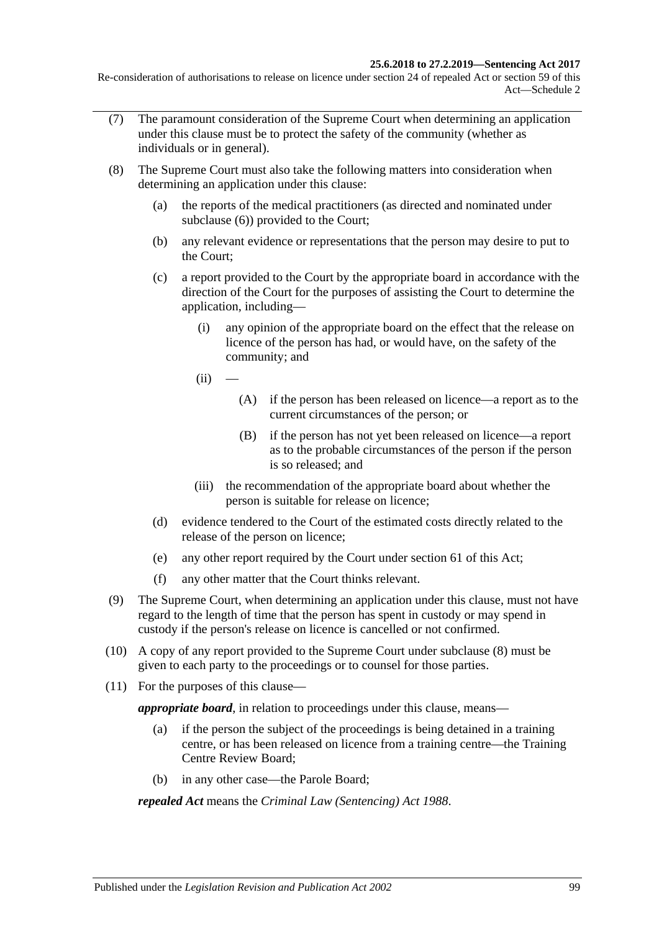#### **25.6.2018 to 27.2.2019—Sentencing Act 2017**

Re-consideration of authorisations to release on licence under section 24 of repealed Act or [section](#page-50-0) 59 of this Act—Schedule 2

- (7) The paramount consideration of the Supreme Court when determining an application under this clause must be to protect the safety of the community (whether as individuals or in general).
- <span id="page-98-0"></span>(8) The Supreme Court must also take the following matters into consideration when determining an application under this clause:
	- (a) the reports of the medical practitioners (as directed and nominated under [subclause](#page-97-1) (6)) provided to the Court;
	- (b) any relevant evidence or representations that the person may desire to put to the Court;
	- (c) a report provided to the Court by the appropriate board in accordance with the direction of the Court for the purposes of assisting the Court to determine the application, including—
		- (i) any opinion of the appropriate board on the effect that the release on licence of the person has had, or would have, on the safety of the community; and
		- $(ii)$
- (A) if the person has been released on licence—a report as to the current circumstances of the person; or
- (B) if the person has not yet been released on licence—a report as to the probable circumstances of the person if the person is so released; and
- (iii) the recommendation of the appropriate board about whether the person is suitable for release on licence;
- (d) evidence tendered to the Court of the estimated costs directly related to the release of the person on licence;
- (e) any other report required by the Court under [section](#page-54-0) 61 of this Act;
- (f) any other matter that the Court thinks relevant.
- (9) The Supreme Court, when determining an application under this clause, must not have regard to the length of time that the person has spent in custody or may spend in custody if the person's release on licence is cancelled or not confirmed.
- (10) A copy of any report provided to the Supreme Court under [subclause](#page-98-0) (8) must be given to each party to the proceedings or to counsel for those parties.
- (11) For the purposes of this clause—

*appropriate board*, in relation to proceedings under this clause, means—

- (a) if the person the subject of the proceedings is being detained in a training centre, or has been released on licence from a training centre—the Training Centre Review Board;
- (b) in any other case—the Parole Board;

*repealed Act* means the *[Criminal Law \(Sentencing\) Act](http://www.legislation.sa.gov.au/index.aspx?action=legref&type=act&legtitle=Criminal%20Law%20(Sentencing)%20Act%201988) 1988*.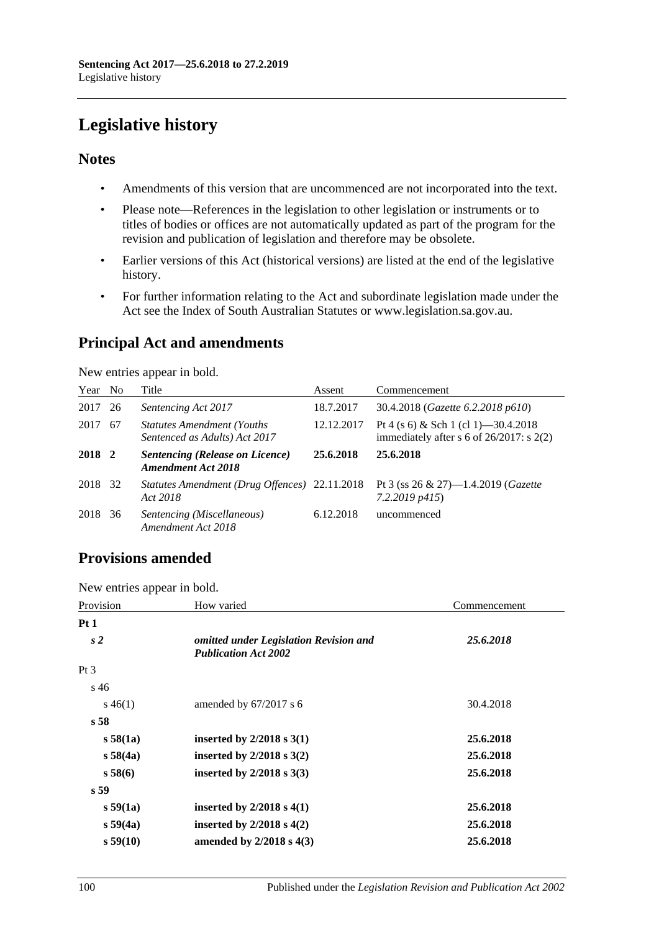# **Legislative history**

## **Notes**

- Amendments of this version that are uncommenced are not incorporated into the text.
- Please note—References in the legislation to other legislation or instruments or to titles of bodies or offices are not automatically updated as part of the program for the revision and publication of legislation and therefore may be obsolete.
- Earlier versions of this Act (historical versions) are listed at the end of the legislative history.
- For further information relating to the Act and subordinate legislation made under the Act see the Index of South Australian Statutes or www.legislation.sa.gov.au.

## **Principal Act and amendments**

New entries appear in bold.

| Year No |     | Title                                                               | Assent     | Commencement                                                                          |
|---------|-----|---------------------------------------------------------------------|------------|---------------------------------------------------------------------------------------|
| 2017    | -26 | Sentencing Act 2017                                                 | 18.7.2017  | 30.4.2018 (Gazette 6.2.2018 p610)                                                     |
| 2017    | 67  | <b>Statutes Amendment (Youths)</b><br>Sentenced as Adults) Act 2017 | 12.12.2017 | Pt 4 (s 6) & Sch 1 (cl 1) -30.4.2018<br>immediately after s 6 of $26/2017$ : s $2(2)$ |
| 2018 2  |     | <b>Sentencing (Release on Licence)</b><br><b>Amendment Act 2018</b> | 25.6.2018  | 25.6.2018                                                                             |
| 2018    | 32  | Statutes Amendment (Drug Offences) 22.11.2018<br>Act 2018           |            | Pt 3 (ss $26 \& 27$ )—1.4.2019 ( <i>Gazette</i><br>$7.2.2019$ $p415$ )                |
| 2018    | 36  | Sentencing (Miscellaneous)<br>Amendment Act 2018                    | 6.12.2018  | uncommenced                                                                           |

## **Provisions amended**

New entries appear in bold.

| Provision       | How varied                                                            | Commencement |
|-----------------|-----------------------------------------------------------------------|--------------|
| Pt1             |                                                                       |              |
| s <sub>2</sub>  | omitted under Legislation Revision and<br><b>Publication Act 2002</b> | 25.6.2018    |
| Pt <sub>3</sub> |                                                                       |              |
| s <sub>46</sub> |                                                                       |              |
| $s\,46(1)$      | amended by $67/2017$ s 6                                              | 30.4.2018    |
| s <sub>58</sub> |                                                                       |              |
| s 58(1a)        | inserted by $2/2018$ s $3(1)$                                         | 25.6.2018    |
| s 58(4a)        | inserted by $2/2018$ s $3(2)$                                         | 25.6.2018    |
| s 58(6)         | inserted by $2/2018$ s $3(3)$                                         | 25.6.2018    |
| s <sub>59</sub> |                                                                       |              |
| s 59(1a)        | inserted by $2/2018$ s $4(1)$                                         | 25.6.2018    |
| s 59(4a)        | inserted by $2/2018$ s $4(2)$                                         | 25.6.2018    |
| $s\,59(10)$     | amended by $2/2018$ s $4(3)$                                          | 25.6.2018    |